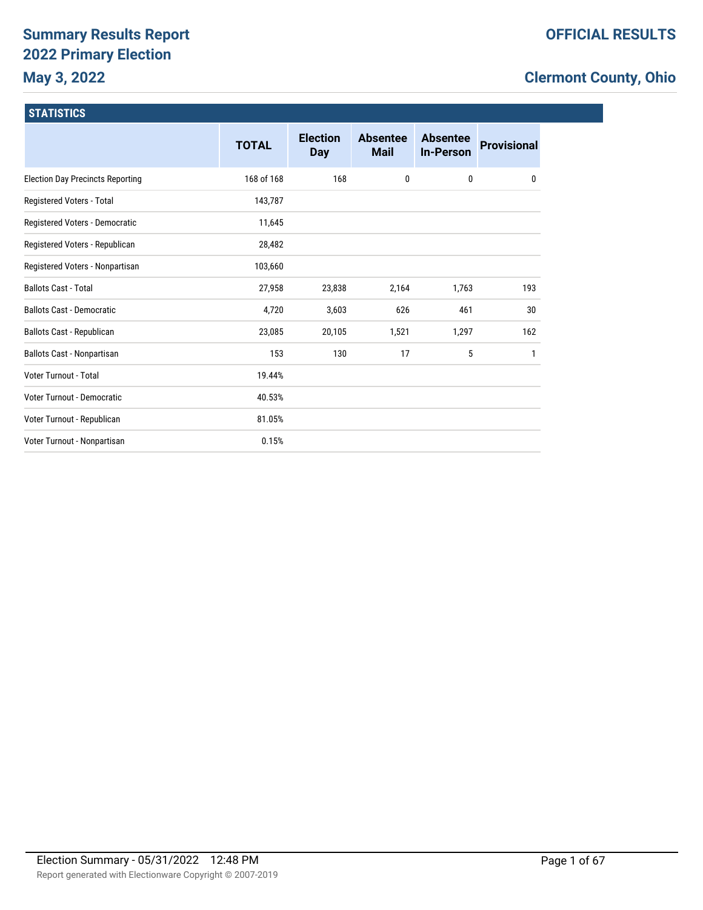# **Summary Results Report 2022 Primary Election May 3, 2022**

# **Clermont County, Ohio**

| <b>STATISTICS</b>                       |              |                               |                                |                                     |                    |
|-----------------------------------------|--------------|-------------------------------|--------------------------------|-------------------------------------|--------------------|
|                                         | <b>TOTAL</b> | <b>Election</b><br><b>Day</b> | <b>Absentee</b><br><b>Mail</b> | <b>Absentee</b><br><b>In-Person</b> | <b>Provisional</b> |
| <b>Election Day Precincts Reporting</b> | 168 of 168   | 168                           | 0                              | 0                                   | $\mathbf{0}$       |
| Registered Voters - Total               | 143,787      |                               |                                |                                     |                    |
| Registered Voters - Democratic          | 11,645       |                               |                                |                                     |                    |
| Registered Voters - Republican          | 28,482       |                               |                                |                                     |                    |
| Registered Voters - Nonpartisan         | 103,660      |                               |                                |                                     |                    |
| <b>Ballots Cast - Total</b>             | 27,958       | 23,838                        | 2,164                          | 1,763                               | 193                |
|                                         |              |                               |                                |                                     |                    |

Voter Turnout - Total 19.44% Voter Turnout - Democratic 40.53% Voter Turnout - Republican and a state of the 81.05% Voter Turnout - Nonpartisan and a control of the U.15%

Ballots Cast - Democratic and the control of the cast of the 4,720 5,603 626 461 30 Ballots Cast - Republican 23,085 20,105 1,521 1,521 1,297 162 Ballots Cast - Nonpartisan 153 153 130 17 17 5 17

Report generated with Electionware Copyright © 2007-2019 Election Summary - 05/31/2022 12:48 PM Page 1 of 67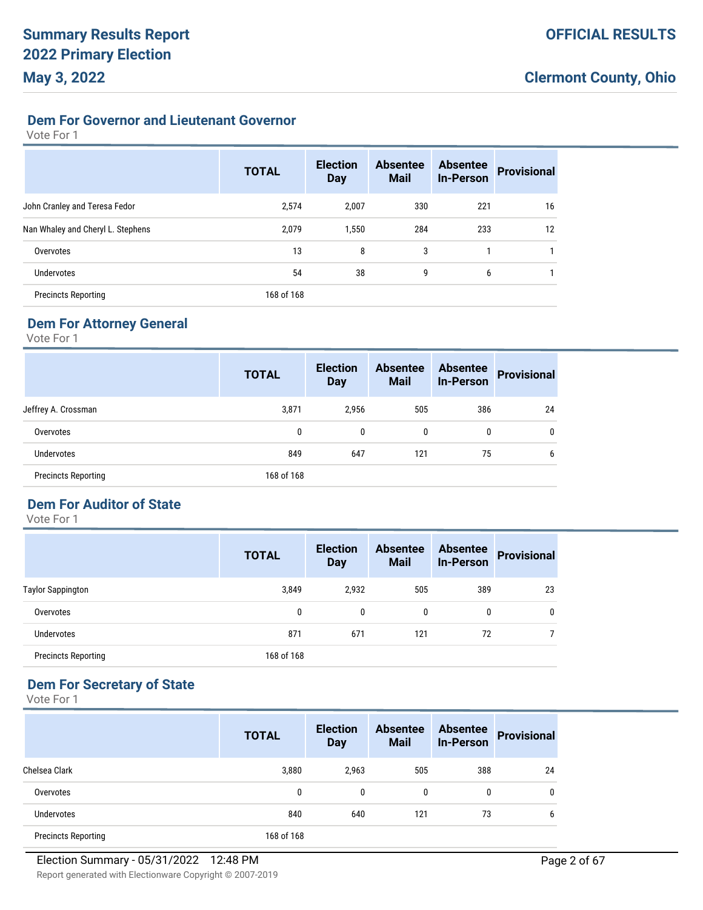### **Dem For Governor and Lieutenant Governor**

#### Vote For 1

|                                   | <b>TOTAL</b> | <b>Election</b><br><b>Day</b> | <b>Absentee</b><br><b>Mail</b> | <b>Absentee</b><br><b>In-Person</b> | <b>Provisional</b> |
|-----------------------------------|--------------|-------------------------------|--------------------------------|-------------------------------------|--------------------|
| John Cranley and Teresa Fedor     | 2,574        | 2.007                         | 330                            | 221                                 | 16                 |
| Nan Whaley and Cheryl L. Stephens | 2,079        | 1,550                         | 284                            | 233                                 | 12                 |
| Overvotes                         | 13           | 8                             | 3                              |                                     |                    |
| <b>Undervotes</b>                 | 54           | 38                            | 9                              | 6                                   |                    |
| <b>Precincts Reporting</b>        | 168 of 168   |                               |                                |                                     |                    |

# **Dem For Attorney General**

Vote For 1

|                            | <b>TOTAL</b> | <b>Election</b><br><b>Day</b> | <b>Absentee</b><br><b>Mail</b> | <b>Absentee</b><br><b>In-Person</b> | <b>Provisional</b> |
|----------------------------|--------------|-------------------------------|--------------------------------|-------------------------------------|--------------------|
| Jeffrey A. Crossman        | 3,871        | 2,956                         | 505                            | 386                                 | 24                 |
| Overvotes                  | 0            | $\mathbf{0}$                  | 0                              | 0                                   | $\mathbf{0}$       |
| Undervotes                 | 849          | 647                           | 121                            | 75                                  | 6                  |
| <b>Precincts Reporting</b> | 168 of 168   |                               |                                |                                     |                    |

# **Dem For Auditor of State**

Vote For 1

|                            | <b>TOTAL</b> | <b>Election</b><br><b>Day</b> | <b>Absentee</b><br><b>Mail</b> | <b>Absentee</b><br><b>In-Person</b> | <b>Provisional</b> |
|----------------------------|--------------|-------------------------------|--------------------------------|-------------------------------------|--------------------|
| <b>Taylor Sappington</b>   | 3,849        | 2,932                         | 505                            | 389                                 | 23                 |
| Overvotes                  | 0            | $\mathbf{0}$                  | 0                              | $\mathbf{0}$                        | 0                  |
| Undervotes                 | 871          | 671                           | 121                            | 72                                  |                    |
| <b>Precincts Reporting</b> | 168 of 168   |                               |                                |                                     |                    |

# **Dem For Secretary of State**

|                            | <b>TOTAL</b> | <b>Election</b><br><b>Day</b> | <b>Absentee</b><br><b>Mail</b> | <b>Absentee</b><br><b>In-Person</b> | <b>Provisional</b> |
|----------------------------|--------------|-------------------------------|--------------------------------|-------------------------------------|--------------------|
| Chelsea Clark              | 3,880        | 2,963                         | 505                            | 388                                 | 24                 |
| Overvotes                  | 0            | 0                             | 0                              | 0                                   | 0                  |
| <b>Undervotes</b>          | 840          | 640                           | 121                            | 73                                  | 6                  |
| <b>Precincts Reporting</b> | 168 of 168   |                               |                                |                                     |                    |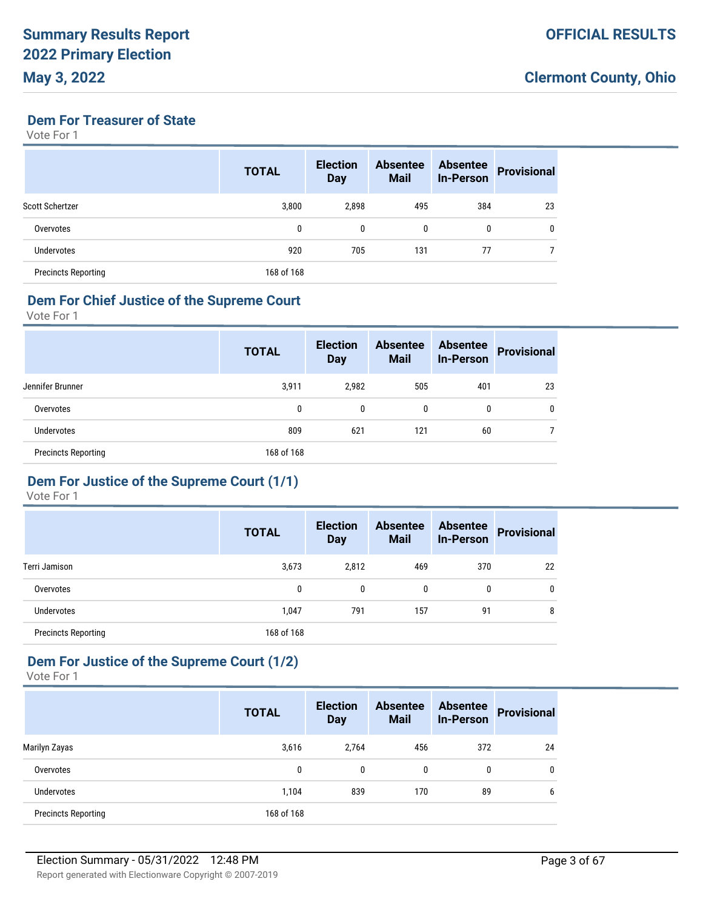#### **Dem For Treasurer of State**

Vote For 1

|                            | <b>TOTAL</b> | <b>Election</b><br><b>Day</b> | <b>Absentee</b><br><b>Mail</b> | <b>Absentee</b><br><b>In-Person</b> | <b>Provisional</b> |
|----------------------------|--------------|-------------------------------|--------------------------------|-------------------------------------|--------------------|
| Scott Schertzer            | 3,800        | 2.898                         | 495                            | 384                                 | 23                 |
| Overvotes                  | 0            | $\mathbf{0}$                  | 0                              | 0                                   | 0                  |
| <b>Undervotes</b>          | 920          | 705                           | 131                            | 77                                  |                    |
| <b>Precincts Reporting</b> | 168 of 168   |                               |                                |                                     |                    |

# **Dem For Chief Justice of the Supreme Court**

Vote For 1

|                            | <b>TOTAL</b> | <b>Election</b><br><b>Day</b> | <b>Absentee</b><br><b>Mail</b> | <b>Absentee</b><br><b>In-Person</b> | <b>Provisional</b> |
|----------------------------|--------------|-------------------------------|--------------------------------|-------------------------------------|--------------------|
| Jennifer Brunner           | 3,911        | 2,982                         | 505                            | 401                                 | 23                 |
| Overvotes                  | 0            | 0                             | 0                              | 0                                   | 0                  |
| Undervotes                 | 809          | 621                           | 121                            | 60                                  |                    |
| <b>Precincts Reporting</b> | 168 of 168   |                               |                                |                                     |                    |

#### **Dem For Justice of the Supreme Court (1/1)**

Vote For 1

|                            | <b>TOTAL</b> | <b>Election</b><br><b>Day</b> | <b>Absentee</b><br><b>Mail</b> | <b>Absentee</b><br><b>In-Person</b> | <b>Provisional</b> |
|----------------------------|--------------|-------------------------------|--------------------------------|-------------------------------------|--------------------|
| Terri Jamison              | 3,673        | 2,812                         | 469                            | 370                                 | 22                 |
| Overvotes                  | 0            | $\mathbf{0}$                  | 0                              | 0                                   | 0                  |
| <b>Undervotes</b>          | 1,047        | 791                           | 157                            | 91                                  | 8                  |
| <b>Precincts Reporting</b> | 168 of 168   |                               |                                |                                     |                    |

# **Dem For Justice of the Supreme Court (1/2)**

|                            | <b>TOTAL</b> | <b>Election</b><br><b>Day</b> | <b>Absentee</b><br><b>Mail</b> | <b>Absentee</b><br><b>In-Person</b> | <b>Provisional</b> |
|----------------------------|--------------|-------------------------------|--------------------------------|-------------------------------------|--------------------|
| Marilyn Zayas              | 3,616        | 2.764                         | 456                            | 372                                 | 24                 |
| Overvotes                  | 0            | 0                             | 0                              | 0                                   | 0                  |
| <b>Undervotes</b>          | 1,104        | 839                           | 170                            | 89                                  | 6                  |
| <b>Precincts Reporting</b> | 168 of 168   |                               |                                |                                     |                    |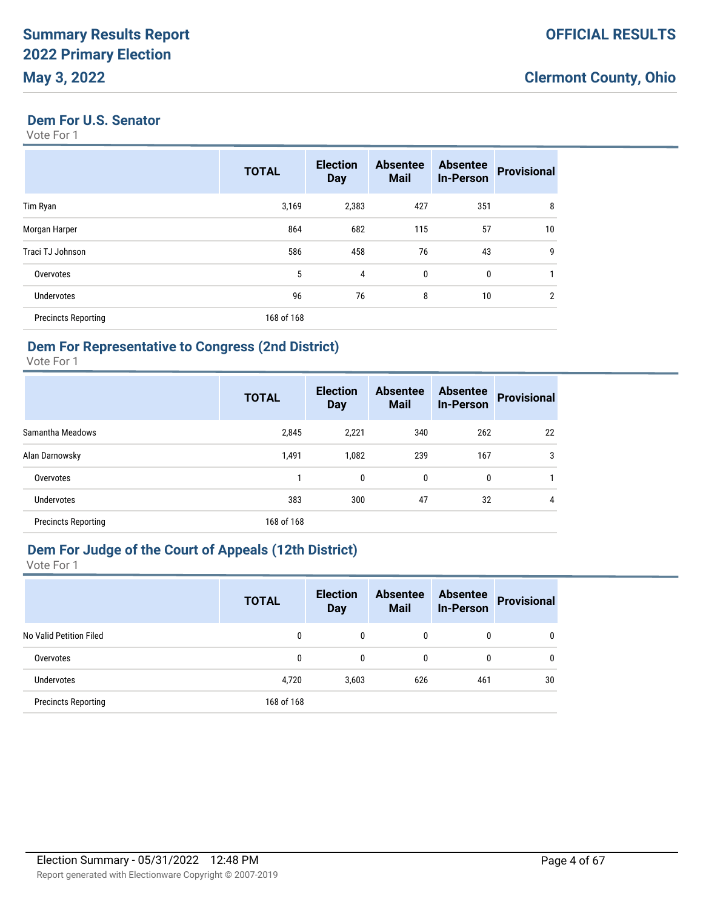#### **Dem For U.S. Senator**

Vote For 1

|                            | <b>TOTAL</b> | <b>Election</b><br><b>Day</b> | <b>Absentee</b><br><b>Mail</b> | <b>Absentee</b><br><b>In-Person</b> | <b>Provisional</b> |
|----------------------------|--------------|-------------------------------|--------------------------------|-------------------------------------|--------------------|
| Tim Ryan                   | 3,169        | 2,383                         | 427                            | 351                                 | 8                  |
| Morgan Harper              | 864          | 682                           | 115                            | 57                                  | 10                 |
| Traci TJ Johnson           | 586          | 458                           | 76                             | 43                                  | 9                  |
| Overvotes                  | 5            | 4                             | $\mathbf{0}$                   | $\mathbf{0}$                        |                    |
| <b>Undervotes</b>          | 96           | 76                            | 8                              | 10                                  | $\overline{2}$     |
| <b>Precincts Reporting</b> | 168 of 168   |                               |                                |                                     |                    |

# **Dem For Representative to Congress (2nd District)**

Vote For 1

|                            | <b>TOTAL</b> | <b>Election</b><br><b>Day</b> | <b>Absentee</b><br><b>Mail</b> | <b>Absentee</b><br><b>In-Person</b> | <b>Provisional</b> |
|----------------------------|--------------|-------------------------------|--------------------------------|-------------------------------------|--------------------|
| Samantha Meadows           | 2,845        | 2,221                         | 340                            | 262                                 | 22                 |
| Alan Darnowsky             | 1,491        | 1,082                         | 239                            | 167                                 | 3                  |
| Overvotes                  |              | 0                             | 0                              | 0                                   |                    |
| Undervotes                 | 383          | 300                           | 47                             | 32                                  | 4                  |
| <b>Precincts Reporting</b> | 168 of 168   |                               |                                |                                     |                    |

# **Dem For Judge of the Court of Appeals (12th District)**

|                            | <b>TOTAL</b> | <b>Election</b><br><b>Day</b> | <b>Absentee</b><br><b>Mail</b> | <b>Absentee</b><br><b>In-Person</b> | <b>Provisional</b> |
|----------------------------|--------------|-------------------------------|--------------------------------|-------------------------------------|--------------------|
| No Valid Petition Filed    | 0            | $\mathbf{0}$                  | 0                              | 0                                   | 0                  |
| Overvotes                  | 0            | 0                             | 0                              | 0                                   | 0                  |
| Undervotes                 | 4,720        | 3,603                         | 626                            | 461                                 | 30                 |
| <b>Precincts Reporting</b> | 168 of 168   |                               |                                |                                     |                    |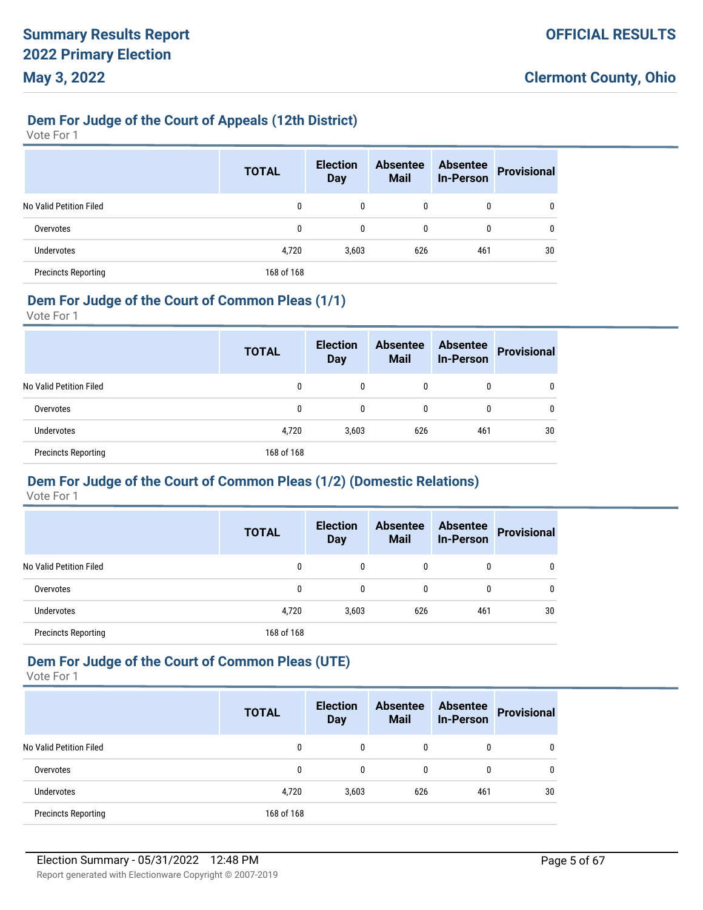### **Dem For Judge of the Court of Appeals (12th District)**

Vote For 1

|                            | <b>TOTAL</b> | <b>Election</b><br><b>Day</b> | <b>Absentee</b><br><b>Mail</b> | <b>Absentee</b><br><b>In-Person</b> | <b>Provisional</b> |
|----------------------------|--------------|-------------------------------|--------------------------------|-------------------------------------|--------------------|
| No Valid Petition Filed    | 0            | 0                             | 0                              | 0                                   |                    |
| Overvotes                  | 0            | 0                             | 0                              | 0                                   |                    |
| Undervotes                 | 4,720        | 3,603                         | 626                            | 461                                 | 30                 |
| <b>Precincts Reporting</b> | 168 of 168   |                               |                                |                                     |                    |

#### **Dem For Judge of the Court of Common Pleas (1/1)**

Vote For 1

|                            | <b>TOTAL</b> | <b>Election</b><br><b>Day</b> | <b>Absentee</b><br><b>Mail</b> | <b>Absentee</b><br><b>In-Person</b> | <b>Provisional</b> |
|----------------------------|--------------|-------------------------------|--------------------------------|-------------------------------------|--------------------|
| No Valid Petition Filed    | 0            | 0                             | 0                              | 0                                   | 0                  |
| Overvotes                  | 0            | 0                             | $\mathbf{0}$                   | 0                                   | 0                  |
| <b>Undervotes</b>          | 4,720        | 3,603                         | 626                            | 461                                 | 30                 |
| <b>Precincts Reporting</b> | 168 of 168   |                               |                                |                                     |                    |

# **Dem For Judge of the Court of Common Pleas (1/2) (Domestic Relations)**

Vote For 1

|                            | <b>TOTAL</b> | <b>Election</b><br><b>Day</b> | <b>Absentee</b><br><b>Mail</b> | <b>Absentee</b><br><b>In-Person</b> | <b>Provisional</b> |
|----------------------------|--------------|-------------------------------|--------------------------------|-------------------------------------|--------------------|
| No Valid Petition Filed    | 0            | 0                             | 0                              | 0                                   |                    |
| Overvotes                  | 0            | 0                             | 0                              | 0                                   |                    |
| <b>Undervotes</b>          | 4,720        | 3,603                         | 626                            | 461                                 | 30                 |
| <b>Precincts Reporting</b> | 168 of 168   |                               |                                |                                     |                    |

# **Dem For Judge of the Court of Common Pleas (UTE)**

|                            | <b>TOTAL</b> | <b>Election</b><br><b>Day</b> | <b>Absentee</b><br><b>Mail</b> | <b>Absentee</b><br><b>In-Person</b> | <b>Provisional</b> |
|----------------------------|--------------|-------------------------------|--------------------------------|-------------------------------------|--------------------|
| No Valid Petition Filed    | 0            | 0                             | 0                              | 0                                   | 0                  |
| Overvotes                  | 0            | 0                             | 0                              | 0                                   | 0                  |
| <b>Undervotes</b>          | 4,720        | 3,603                         | 626                            | 461                                 | 30                 |
| <b>Precincts Reporting</b> | 168 of 168   |                               |                                |                                     |                    |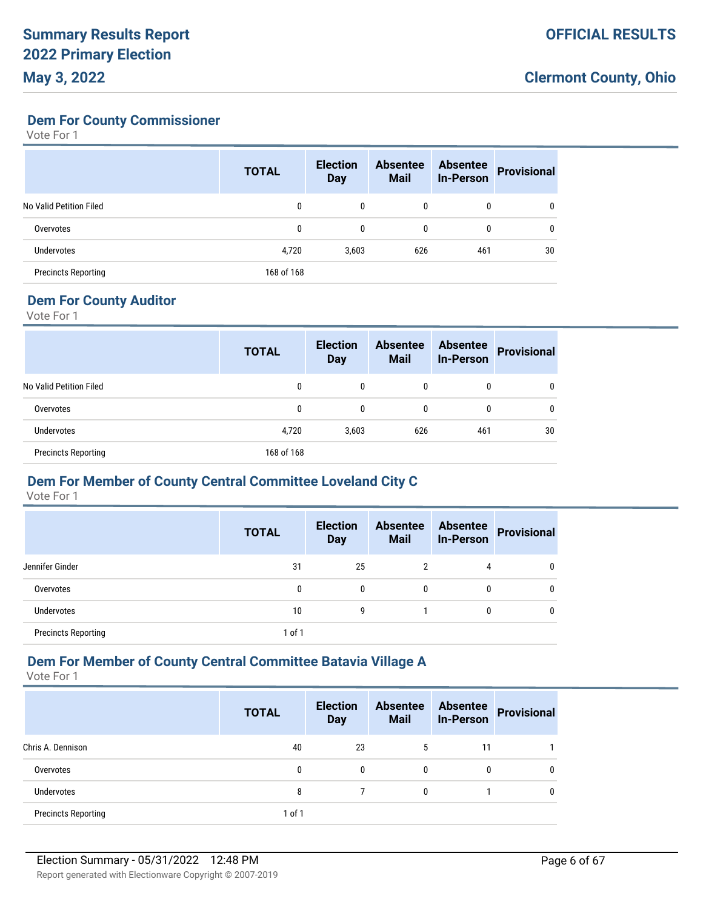**Dem For County Commissioner**

Vote For 1

|                            | <b>TOTAL</b> | <b>Election</b><br><b>Day</b> | <b>Absentee</b><br><b>Mail</b> | <b>Absentee</b><br><b>In-Person</b> | <b>Provisional</b> |
|----------------------------|--------------|-------------------------------|--------------------------------|-------------------------------------|--------------------|
| No Valid Petition Filed    | 0            | 0                             | 0                              | 0                                   |                    |
| Overvotes                  | 0            | $\mathbf{0}$                  | 0                              | 0                                   | 0                  |
| Undervotes                 | 4,720        | 3,603                         | 626                            | 461                                 | 30                 |
| <b>Precincts Reporting</b> | 168 of 168   |                               |                                |                                     |                    |

# **Dem For County Auditor**

Vote For 1

|                            | <b>TOTAL</b> | <b>Election</b><br><b>Day</b> | <b>Absentee</b><br><b>Mail</b> | <b>Absentee</b><br><b>In-Person</b> | <b>Provisional</b> |
|----------------------------|--------------|-------------------------------|--------------------------------|-------------------------------------|--------------------|
| No Valid Petition Filed    | 0            | 0                             | 0                              | 0                                   |                    |
| Overvotes                  | 0            | 0                             | 0                              | 0                                   | 0                  |
| Undervotes                 | 4,720        | 3,603                         | 626                            | 461                                 | 30                 |
| <b>Precincts Reporting</b> | 168 of 168   |                               |                                |                                     |                    |

#### **Dem For Member of County Central Committee Loveland City C**

Vote For 1

|                            | <b>TOTAL</b> | <b>Election</b><br><b>Day</b> | <b>Absentee</b><br><b>Mail</b> | <b>Absentee</b><br><b>In-Person</b> | Provisional |
|----------------------------|--------------|-------------------------------|--------------------------------|-------------------------------------|-------------|
| Jennifer Ginder            | 31           | 25                            | 2                              | 4                                   |             |
| Overvotes                  | 0            | $\Omega$                      | 0                              | 0                                   |             |
| <b>Undervotes</b>          | 10           | 9                             |                                | 0                                   |             |
| <b>Precincts Reporting</b> | $1$ of $1$   |                               |                                |                                     |             |

# **Dem For Member of County Central Committee Batavia Village A**

|                            | <b>TOTAL</b> | <b>Election</b><br><b>Day</b> | <b>Absentee</b><br><b>Mail</b> | <b>Absentee</b><br><b>In-Person</b> | <b>Provisional</b> |
|----------------------------|--------------|-------------------------------|--------------------------------|-------------------------------------|--------------------|
| Chris A. Dennison          | 40           | 23                            | 5                              | 11                                  |                    |
| Overvotes                  | 0            | 0                             | $\mathbf{0}$                   | 0                                   |                    |
| <b>Undervotes</b>          | 8            |                               | 0                              |                                     |                    |
| <b>Precincts Reporting</b> | 1 of 1       |                               |                                |                                     |                    |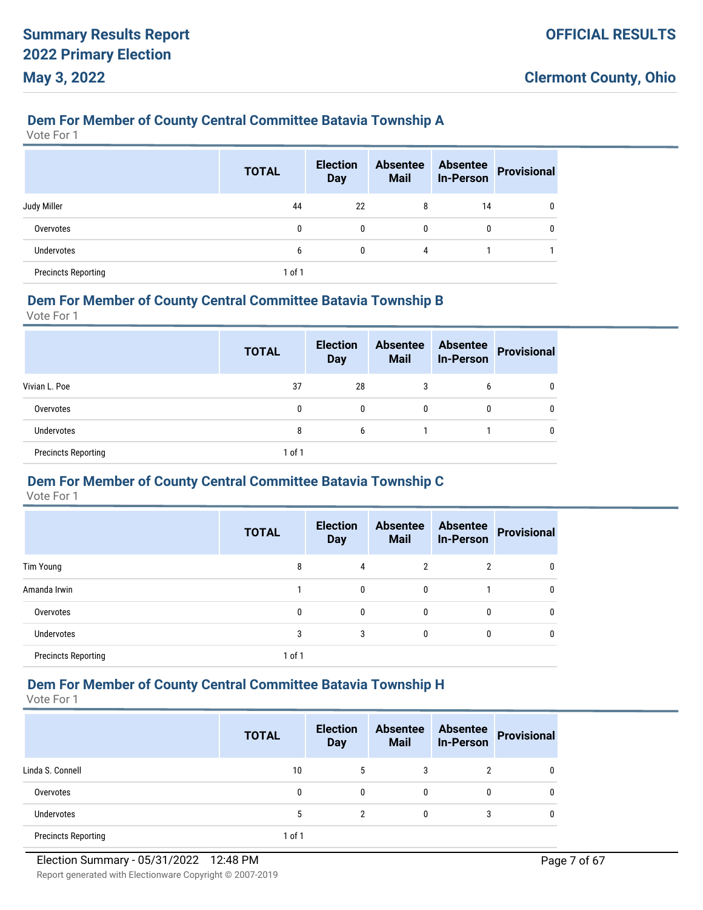#### **Dem For Member of County Central Committee Batavia Township A**

Vote For 1

|                            | <b>TOTAL</b> | <b>Election</b><br><b>Day</b> | <b>Absentee</b><br><b>Mail</b> | <b>Absentee</b><br><b>In-Person</b> | Provisional |
|----------------------------|--------------|-------------------------------|--------------------------------|-------------------------------------|-------------|
| Judy Miller                | 44           | 22                            | 8                              | 14                                  | 0           |
| Overvotes                  | 0            | 0                             | 0                              | 0                                   | 0           |
| <b>Undervotes</b>          | 6            | 0                             | 4                              |                                     |             |
| <b>Precincts Reporting</b> | 1 of 1       |                               |                                |                                     |             |

#### **Dem For Member of County Central Committee Batavia Township B**

Vote For 1

|                            | <b>TOTAL</b> | <b>Election</b><br><b>Day</b> | <b>Absentee</b><br><b>Mail</b> | <b>Absentee</b><br><b>In-Person</b> | Provisional |
|----------------------------|--------------|-------------------------------|--------------------------------|-------------------------------------|-------------|
| Vivian L. Poe              | 37           | 28                            | 3                              | 6                                   |             |
| Overvotes                  | 0            | 0                             | 0                              | 0                                   | 0           |
| <b>Undervotes</b>          | 8            | 6                             |                                |                                     |             |
| <b>Precincts Reporting</b> | 1 of 1       |                               |                                |                                     |             |

#### **Dem For Member of County Central Committee Batavia Township C**

Vote For 1

|                            | <b>TOTAL</b> | <b>Election</b><br><b>Day</b> | <b>Absentee</b><br><b>Mail</b> | <b>Absentee</b><br><b>In-Person</b> | <b>Provisional</b> |
|----------------------------|--------------|-------------------------------|--------------------------------|-------------------------------------|--------------------|
| Tim Young                  | 8            | 4                             | 2                              | $\overline{2}$                      | 0                  |
| Amanda Irwin               |              | 0                             | 0                              |                                     | 0                  |
| Overvotes                  | 0            | 0                             | 0                              | 0                                   | 0                  |
| <b>Undervotes</b>          | 3            | 3                             | 0                              | 0                                   | 0                  |
| <b>Precincts Reporting</b> | 1 of 1       |                               |                                |                                     |                    |

# **Dem For Member of County Central Committee Batavia Township H**

|                            | <b>TOTAL</b> | <b>Election</b><br><b>Day</b> | <b>Absentee</b><br><b>Mail</b> | <b>Absentee</b><br><b>In-Person</b> | <b>Provisional</b> |
|----------------------------|--------------|-------------------------------|--------------------------------|-------------------------------------|--------------------|
| Linda S. Connell           | 10           | 5                             | 3                              | 2                                   |                    |
| Overvotes                  | 0            | 0                             | $\mathbf{0}$                   | 0                                   |                    |
| <b>Undervotes</b>          | 5            | 2                             | 0                              | 3                                   |                    |
| <b>Precincts Reporting</b> | 1 of 1       |                               |                                |                                     |                    |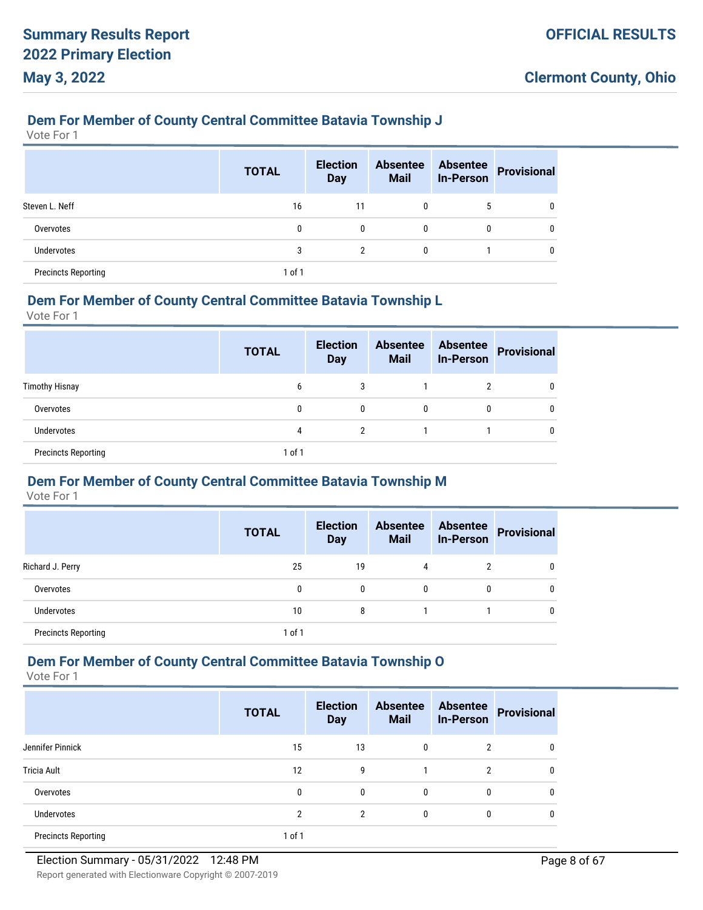#### **Dem For Member of County Central Committee Batavia Township J**

Vote For 1

|                            | <b>TOTAL</b> | <b>Election</b><br><b>Day</b> | <b>Absentee</b><br><b>Mail</b> | <b>Absentee</b><br><b>In-Person</b> | <b>Provisional</b> |
|----------------------------|--------------|-------------------------------|--------------------------------|-------------------------------------|--------------------|
| Steven L. Neff             | 16           | 11                            | 0                              | 5                                   | 0                  |
| Overvotes                  | 0            | 0                             | $\mathbf{0}$                   | 0                                   | 0                  |
| <b>Undervotes</b>          | 3            | $\overline{2}$                | 0                              |                                     | 0                  |
| <b>Precincts Reporting</b> | $1$ of $1$   |                               |                                |                                     |                    |

#### **Dem For Member of County Central Committee Batavia Township L**

Vote For 1

|                            | <b>TOTAL</b> | <b>Election</b><br><b>Day</b> | <b>Absentee</b><br><b>Mail</b> | <b>Absentee</b><br><b>In-Person</b> | <b>Provisional</b> |
|----------------------------|--------------|-------------------------------|--------------------------------|-------------------------------------|--------------------|
| <b>Timothy Hisnay</b>      | b            | 3                             |                                | ∩                                   | 0                  |
| Overvotes                  | 0            | 0                             | $\mathbf{0}$                   | 0                                   | 0                  |
| <b>Undervotes</b>          | 4            | 2                             |                                |                                     | 0                  |
| <b>Precincts Reporting</b> | 1 of 1       |                               |                                |                                     |                    |

#### **Dem For Member of County Central Committee Batavia Township M**

Vote For 1

|                            | <b>TOTAL</b> | <b>Election</b><br><b>Day</b> | <b>Absentee</b><br><b>Mail</b> | <b>Absentee</b><br><b>In-Person</b> | <b>Provisional</b> |
|----------------------------|--------------|-------------------------------|--------------------------------|-------------------------------------|--------------------|
| Richard J. Perry           | 25           | 19                            | 4                              | າ                                   |                    |
| Overvotes                  | 0            | $\mathbf{0}$                  | 0                              | 0                                   |                    |
| <b>Undervotes</b>          | 10           | 8                             |                                |                                     |                    |
| <b>Precincts Reporting</b> | 1 of 1       |                               |                                |                                     |                    |

# **Dem For Member of County Central Committee Batavia Township O**

|                            | <b>TOTAL</b>   | <b>Election</b><br><b>Day</b> | <b>Absentee</b><br><b>Mail</b> | <b>Absentee</b><br><b>In-Person</b> | <b>Provisional</b> |
|----------------------------|----------------|-------------------------------|--------------------------------|-------------------------------------|--------------------|
| Jennifer Pinnick           | 15             | 13                            | $\mathbf{0}$                   | 2                                   | 0                  |
| <b>Tricia Ault</b>         | 12             | 9                             |                                | $\overline{2}$                      | 0                  |
| Overvotes                  | 0              | 0                             | $\mathbf{0}$                   | 0                                   | 0                  |
| <b>Undervotes</b>          | $\overline{2}$ | 2                             | $\mathbf{0}$                   | 0                                   | 0                  |
| <b>Precincts Reporting</b> | $1$ of $1$     |                               |                                |                                     |                    |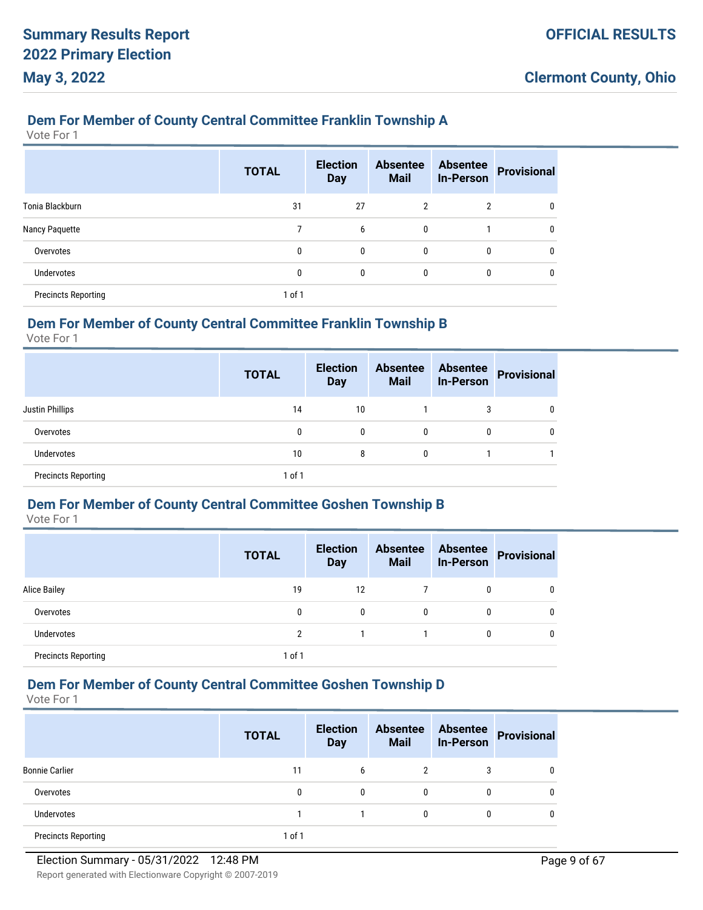#### **Dem For Member of County Central Committee Franklin Township A**

Vote For 1

|                            | <b>TOTAL</b> | <b>Election</b><br><b>Day</b> | <b>Absentee</b><br><b>Mail</b> | <b>Absentee</b><br><b>In-Person</b> | <b>Provisional</b> |
|----------------------------|--------------|-------------------------------|--------------------------------|-------------------------------------|--------------------|
| Tonia Blackburn            | 31           | 27                            | 2                              | 2                                   | 0                  |
| Nancy Paquette             |              | 6                             | 0                              |                                     | 0                  |
| Overvotes                  | 0            | $\mathbf{0}$                  | $\mathbf{0}$                   | $\mathbf{0}$                        | 0                  |
| <b>Undervotes</b>          | 0            | $\mathbf{0}$                  | 0                              | 0                                   | U                  |
| <b>Precincts Reporting</b> | 1 of 1       |                               |                                |                                     |                    |

### **Dem For Member of County Central Committee Franklin Township B**

Vote For 1

|                            | <b>TOTAL</b> | <b>Election</b><br><b>Day</b> | <b>Absentee</b><br><b>Mail</b> | <b>Absentee</b><br><b>In-Person</b> | <b>Provisional</b> |
|----------------------------|--------------|-------------------------------|--------------------------------|-------------------------------------|--------------------|
| <b>Justin Phillips</b>     | 14           | 10                            |                                | 3                                   | 0                  |
| Overvotes                  | 0            | 0                             | 0                              | 0                                   | 0                  |
| <b>Undervotes</b>          | 10           | 8                             | $\mathbf{0}$                   |                                     |                    |
| <b>Precincts Reporting</b> | $1$ of $1$   |                               |                                |                                     |                    |

### **Dem For Member of County Central Committee Goshen Township B**

Vote For 1

|                            | <b>TOTAL</b>   | <b>Election</b><br><b>Day</b> | <b>Absentee</b><br><b>Mail</b> | <b>Absentee</b><br><b>In-Person</b> | <b>Provisional</b> |
|----------------------------|----------------|-------------------------------|--------------------------------|-------------------------------------|--------------------|
| <b>Alice Bailey</b>        | 19             | 12                            |                                | 0                                   | 0                  |
| Overvotes                  | 0              | 0                             | 0                              | 0                                   | 0                  |
| <b>Undervotes</b>          | $\overline{2}$ |                               |                                | 0                                   | 0                  |
| <b>Precincts Reporting</b> | 1 of 1         |                               |                                |                                     |                    |

# **Dem For Member of County Central Committee Goshen Township D**

|                            | <b>TOTAL</b> | <b>Election</b><br><b>Day</b> | <b>Absentee</b><br><b>Mail</b> | <b>Absentee</b><br><b>In-Person</b> | <b>Provisional</b> |
|----------------------------|--------------|-------------------------------|--------------------------------|-------------------------------------|--------------------|
| <b>Bonnie Carlier</b>      | 11           | 6                             | 2                              | 3                                   |                    |
| Overvotes                  | 0            | $\mathbf{0}$                  | 0                              | 0                                   |                    |
| Undervotes                 |              |                               | 0                              | 0                                   |                    |
| <b>Precincts Reporting</b> | 1 of 1       |                               |                                |                                     |                    |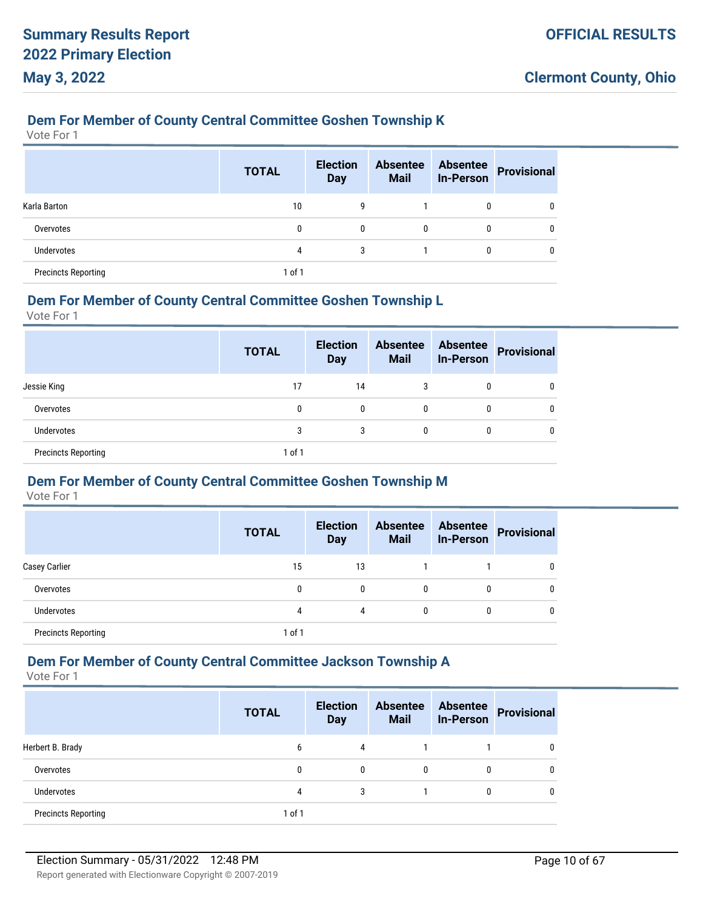#### **Dem For Member of County Central Committee Goshen Township K**

Vote For 1

|                            | <b>TOTAL</b> | <b>Election</b><br><b>Day</b> | <b>Absentee</b><br><b>Mail</b> | <b>Absentee</b><br><b>In-Person</b> | <b>Provisional</b> |
|----------------------------|--------------|-------------------------------|--------------------------------|-------------------------------------|--------------------|
| Karla Barton               | 10           | 9                             |                                | $\mathbf{0}$                        | 0                  |
| Overvotes                  | 0            | 0                             | 0                              | 0                                   | 0                  |
| <b>Undervotes</b>          | 4            | 3                             |                                | 0                                   | 0                  |
| <b>Precincts Reporting</b> | 1 of 1       |                               |                                |                                     |                    |

#### **Dem For Member of County Central Committee Goshen Township L**

Vote For 1

|                            | <b>TOTAL</b> | <b>Election</b><br><b>Day</b> | <b>Absentee</b><br><b>Mail</b> | <b>Absentee</b><br><b>In-Person</b> | <b>Provisional</b> |
|----------------------------|--------------|-------------------------------|--------------------------------|-------------------------------------|--------------------|
| Jessie King                | 17           | 14                            | 3                              | 0                                   | 0                  |
| Overvotes                  | 0            | 0                             | $\mathbf{0}$                   | 0                                   | 0                  |
| <b>Undervotes</b>          | 3            | 3                             | $\mathbf{0}$                   | 0                                   | 0                  |
| <b>Precincts Reporting</b> | 1 of 1       |                               |                                |                                     |                    |

# **Dem For Member of County Central Committee Goshen Township M**

Vote For 1

|                            | <b>TOTAL</b> | <b>Election</b><br><b>Day</b> | <b>Absentee</b><br><b>Mail</b> | <b>Absentee</b><br><b>In-Person</b> | <b>Provisional</b> |
|----------------------------|--------------|-------------------------------|--------------------------------|-------------------------------------|--------------------|
| <b>Casey Carlier</b>       | 15           | 13                            |                                |                                     |                    |
| Overvotes                  | 0            | 0                             | 0                              | 0                                   |                    |
| <b>Undervotes</b>          | 4            | 4                             | 0                              | 0                                   |                    |
| <b>Precincts Reporting</b> | $1$ of $1$   |                               |                                |                                     |                    |

### **Dem For Member of County Central Committee Jackson Township A**

|                            | <b>TOTAL</b> | <b>Election</b><br><b>Day</b> | <b>Absentee</b><br><b>Mail</b> | <b>Absentee</b><br><b>In-Person</b> | <b>Provisional</b> |
|----------------------------|--------------|-------------------------------|--------------------------------|-------------------------------------|--------------------|
| Herbert B. Brady           | 6            | 4                             |                                |                                     |                    |
| Overvotes                  | 0            | 0                             | $\mathbf{0}$                   | $\mathbf{0}$                        |                    |
| Undervotes                 | 4            | 3                             |                                | 0                                   |                    |
| <b>Precincts Reporting</b> | 1 of 1       |                               |                                |                                     |                    |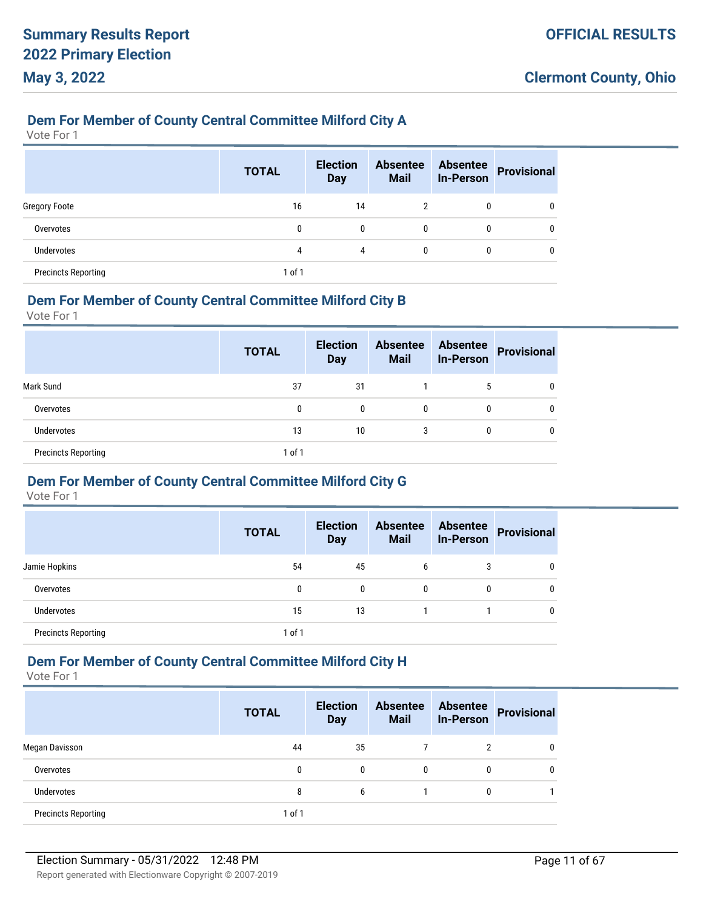#### **Dem For Member of County Central Committee Milford City A**

Vote For 1

|                            | <b>TOTAL</b> | <b>Election</b><br><b>Day</b> | <b>Absentee</b><br><b>Mail</b> | <b>Absentee</b><br><b>In-Person</b> | <b>Provisional</b> |
|----------------------------|--------------|-------------------------------|--------------------------------|-------------------------------------|--------------------|
| <b>Gregory Foote</b>       | 16           | 14                            | $\overline{2}$                 | 0                                   | 0                  |
| Overvotes                  | 0            | $\mathbf{0}$                  | 0                              | 0                                   | 0                  |
| <b>Undervotes</b>          | 4            | 4                             | 0                              | 0                                   | 0                  |
| <b>Precincts Reporting</b> | 1 of 1       |                               |                                |                                     |                    |

#### **Dem For Member of County Central Committee Milford City B**

Vote For 1

|                            | <b>TOTAL</b> | <b>Election</b><br><b>Day</b> | <b>Absentee</b><br><b>Mail</b> | <b>Absentee</b><br><b>In-Person</b> | <b>Provisional</b> |
|----------------------------|--------------|-------------------------------|--------------------------------|-------------------------------------|--------------------|
| Mark Sund                  | 37           | 31                            |                                | 5                                   | 0                  |
| Overvotes                  | 0            | 0                             | $\mathbf{0}$                   | 0                                   | 0                  |
| <b>Undervotes</b>          | 13           | 10                            | 3                              | 0                                   | 0                  |
| <b>Precincts Reporting</b> | $1$ of $1$   |                               |                                |                                     |                    |

#### **Dem For Member of County Central Committee Milford City G**

Vote For 1

|                            | <b>TOTAL</b> | <b>Election</b><br><b>Day</b> | <b>Absentee</b><br><b>Mail</b> | <b>Absentee</b><br><b>In-Person</b> | <b>Provisional</b> |
|----------------------------|--------------|-------------------------------|--------------------------------|-------------------------------------|--------------------|
| Jamie Hopkins              | 54           | 45                            | 6                              | 3                                   |                    |
| Overvotes                  | 0            | $\mathbf{0}$                  | 0                              | 0                                   |                    |
| Undervotes                 | 15           | 13                            |                                |                                     |                    |
| <b>Precincts Reporting</b> | $1$ of $1$   |                               |                                |                                     |                    |

# **Dem For Member of County Central Committee Milford City H**

|                            | <b>TOTAL</b> | <b>Election</b><br><b>Day</b> | <b>Absentee</b><br><b>Mail</b> | <b>Absentee</b><br><b>In-Person</b> | <b>Provisional</b> |
|----------------------------|--------------|-------------------------------|--------------------------------|-------------------------------------|--------------------|
| Megan Davisson             | 44           | 35                            |                                | 2                                   |                    |
| Overvotes                  | 0            | 0                             | $\mathbf{0}$                   | 0                                   |                    |
| <b>Undervotes</b>          | 8            | 6                             |                                | 0                                   |                    |
| <b>Precincts Reporting</b> | $1$ of $1$   |                               |                                |                                     |                    |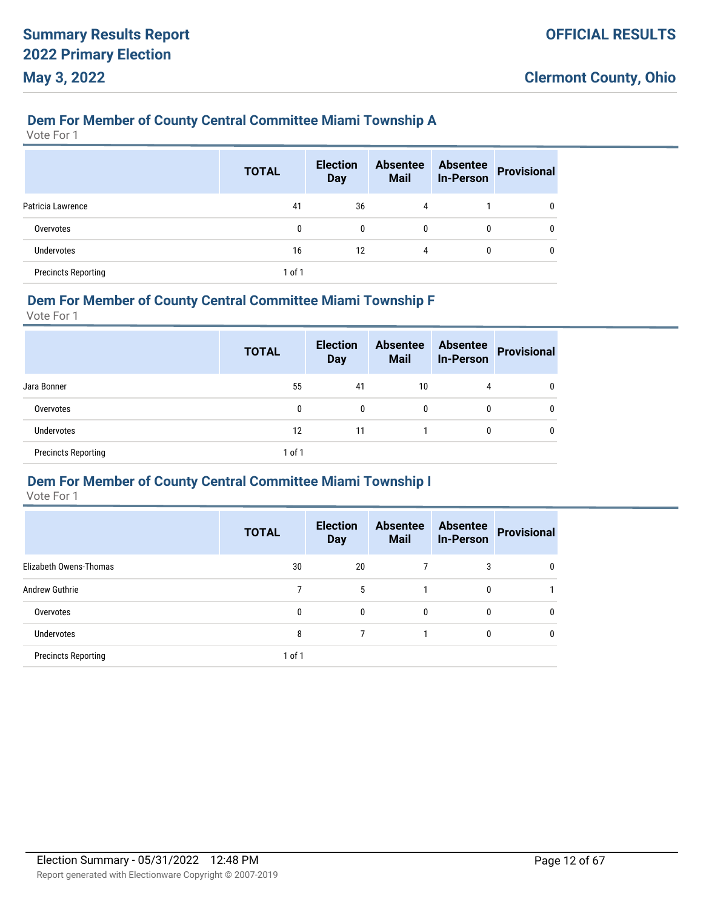#### **Dem For Member of County Central Committee Miami Township A**

Vote For 1

|                            | <b>TOTAL</b> | <b>Election</b><br><b>Day</b> | <b>Absentee</b><br><b>Mail</b> | <b>Absentee</b><br><b>In-Person</b> | <b>Provisional</b> |
|----------------------------|--------------|-------------------------------|--------------------------------|-------------------------------------|--------------------|
| Patricia Lawrence          | 41           | 36                            | 4                              |                                     | 0                  |
| Overvotes                  | 0            | $\mathbf{0}$                  | $\mathbf{0}$                   | 0                                   |                    |
| Undervotes                 | 16           | 12                            | 4                              | 0                                   |                    |
| <b>Precincts Reporting</b> | 1 of 1       |                               |                                |                                     |                    |

#### **Dem For Member of County Central Committee Miami Township F**

Vote For 1

|                            | <b>TOTAL</b> | <b>Election</b><br><b>Day</b> | <b>Absentee</b><br><b>Mail</b> | <b>Absentee</b><br><b>In-Person</b> | <b>Provisional</b> |
|----------------------------|--------------|-------------------------------|--------------------------------|-------------------------------------|--------------------|
| Jara Bonner                | 55           | 41                            | 10                             | 4                                   | 0                  |
| Overvotes                  | 0            | 0                             | 0                              | 0                                   | 0                  |
| Undervotes                 | 12           | 11                            |                                | 0                                   | 0                  |
| <b>Precincts Reporting</b> | $1$ of $1$   |                               |                                |                                     |                    |

#### **Dem For Member of County Central Committee Miami Township I**

|                            | <b>TOTAL</b> | <b>Election</b><br><b>Day</b> | <b>Absentee</b><br><b>Mail</b> | <b>Absentee</b><br><b>In-Person</b> | <b>Provisional</b> |
|----------------------------|--------------|-------------------------------|--------------------------------|-------------------------------------|--------------------|
| Elizabeth Owens-Thomas     | 30           | 20                            |                                | 3                                   | 0                  |
| <b>Andrew Guthrie</b>      |              | 5                             |                                | $\mathbf{0}$                        |                    |
| Overvotes                  | 0            | 0                             | 0                              | $\mathbf{0}$                        | 0                  |
| Undervotes                 | 8            |                               |                                | $\mathbf{0}$                        | $\mathbf{0}$       |
| <b>Precincts Reporting</b> | 1 of 1       |                               |                                |                                     |                    |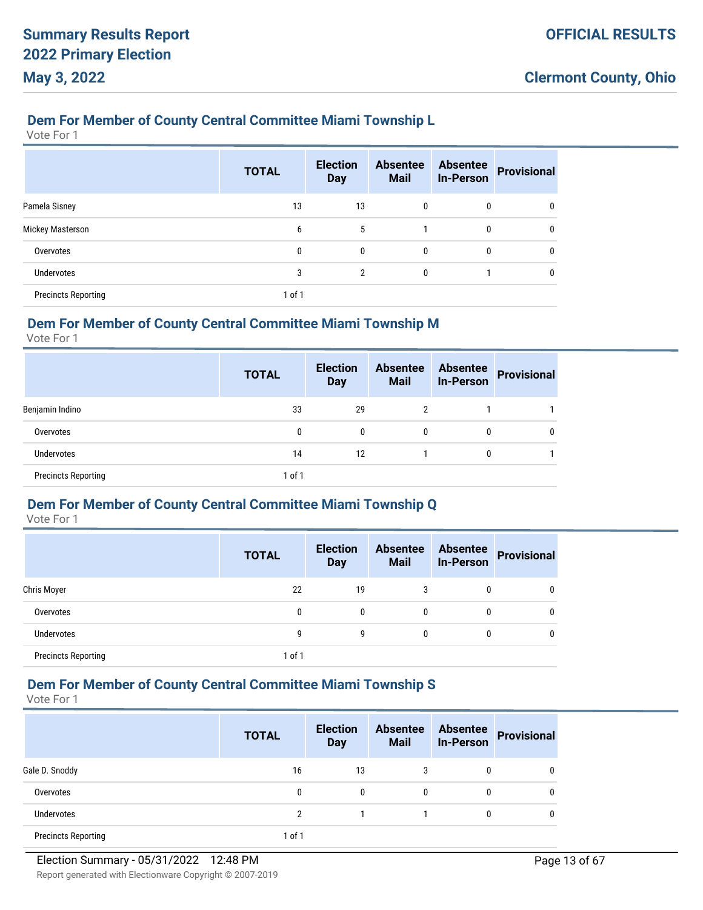#### **Dem For Member of County Central Committee Miami Township L**

Vote For 1

|                            | <b>TOTAL</b> | <b>Election</b><br><b>Day</b> | <b>Absentee</b><br><b>Mail</b> | <b>Absentee</b><br><b>In-Person</b> | <b>Provisional</b> |
|----------------------------|--------------|-------------------------------|--------------------------------|-------------------------------------|--------------------|
| Pamela Sisney              | 13           | 13                            | 0                              | 0                                   |                    |
| <b>Mickey Masterson</b>    | 6            | 5                             |                                | 0                                   |                    |
| Overvotes                  | 0            | $\mathbf{0}$                  | $\mathbf{0}$                   | 0                                   |                    |
| <b>Undervotes</b>          | 3            | $\overline{2}$                | 0                              |                                     |                    |
| <b>Precincts Reporting</b> | 1 of 1       |                               |                                |                                     |                    |

# **Dem For Member of County Central Committee Miami Township M**

Vote For 1

|                            | <b>TOTAL</b> | <b>Election</b><br><b>Day</b> | <b>Absentee</b><br><b>Mail</b> | <b>Absentee</b><br><b>In-Person</b> | <b>Provisional</b> |
|----------------------------|--------------|-------------------------------|--------------------------------|-------------------------------------|--------------------|
| Benjamin Indino            | 33           | 29                            | 2                              |                                     |                    |
| Overvotes                  | 0            | 0                             | 0                              | 0                                   |                    |
| <b>Undervotes</b>          | 14           | 12                            |                                | 0                                   |                    |
| <b>Precincts Reporting</b> | 1 of 1       |                               |                                |                                     |                    |

### **Dem For Member of County Central Committee Miami Township Q**

Vote For 1

|                            | <b>TOTAL</b> | <b>Election</b><br><b>Day</b> | <b>Absentee</b><br><b>Mail</b> | <b>Absentee</b><br><b>In-Person</b> | <b>Provisional</b> |
|----------------------------|--------------|-------------------------------|--------------------------------|-------------------------------------|--------------------|
| Chris Moyer                | 22           | 19                            | 3                              | 0                                   | 0                  |
| Overvotes                  | 0            | 0                             | 0                              | 0                                   | 0                  |
| Undervotes                 | 9            | g                             | 0                              | 0                                   | 0                  |
| <b>Precincts Reporting</b> | 1 of 1       |                               |                                |                                     |                    |

# **Dem For Member of County Central Committee Miami Township S**

|                            | <b>TOTAL</b> | <b>Election</b><br><b>Day</b> | <b>Absentee</b><br><b>Mail</b> | <b>Absentee</b><br><b>In-Person</b> | <b>Provisional</b> |
|----------------------------|--------------|-------------------------------|--------------------------------|-------------------------------------|--------------------|
| Gale D. Snoddy             | 16           | 13                            | 3                              | 0                                   |                    |
| Overvotes                  | 0            | 0                             | 0                              | 0                                   | 0                  |
| <b>Undervotes</b>          | 2            |                               |                                | 0                                   |                    |
| <b>Precincts Reporting</b> | $1$ of $1$   |                               |                                |                                     |                    |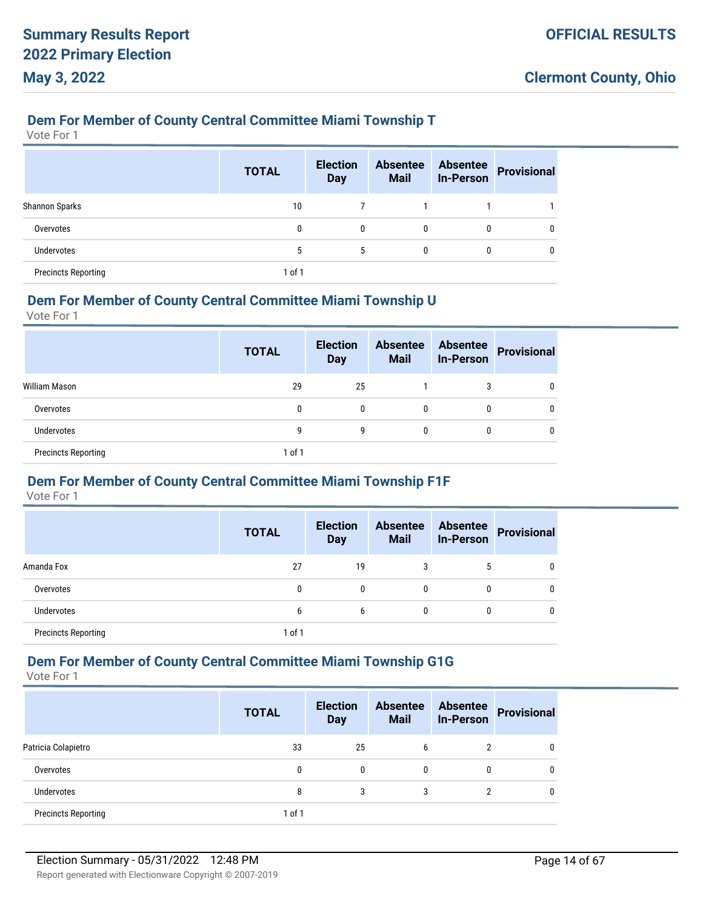#### **Dem For Member of County Central Committee Miami Township T**

Vote For 1

|                            | <b>TOTAL</b> | <b>Election</b><br><b>Day</b> | <b>Absentee</b><br><b>Mail</b> | <b>Absentee</b><br><b>In-Person</b> | <b>Provisional</b> |
|----------------------------|--------------|-------------------------------|--------------------------------|-------------------------------------|--------------------|
| Shannon Sparks             | 10           |                               |                                |                                     |                    |
| Overvotes                  | 0            | 0                             | 0                              | 0                                   | -0                 |
| Undervotes                 | 5            | 5                             | 0                              | 0                                   | 0                  |
| <b>Precincts Reporting</b> | $1$ of $1$   |                               |                                |                                     |                    |

#### **Dem For Member of County Central Committee Miami Township U**

Vote For 1

|                            | <b>TOTAL</b> | <b>Election</b><br><b>Day</b> | <b>Absentee</b><br><b>Mail</b> | <b>Absentee</b><br><b>In-Person</b> | <b>Provisional</b> |
|----------------------------|--------------|-------------------------------|--------------------------------|-------------------------------------|--------------------|
| William Mason              | 29           | 25                            |                                | 3                                   |                    |
| Overvotes                  | 0            | 0                             | $\mathbf{0}$                   | 0                                   | 0                  |
| <b>Undervotes</b>          | g            | 9                             | 0                              | 0                                   | 0                  |
| <b>Precincts Reporting</b> | $1$ of $1$   |                               |                                |                                     |                    |

#### **Dem For Member of County Central Committee Miami Township F1F**

Vote For 1

|                            | <b>TOTAL</b> | <b>Election</b><br><b>Day</b> | <b>Absentee</b><br><b>Mail</b> | <b>Absentee</b><br><b>In-Person</b> | <b>Provisional</b> |
|----------------------------|--------------|-------------------------------|--------------------------------|-------------------------------------|--------------------|
| Amanda Fox                 | 27           | 19                            | 3                              | 5                                   |                    |
| Overvotes                  | 0            | 0                             | $\mathbf{0}$                   |                                     |                    |
| Undervotes                 | 6            | 6                             | $\mathbf{0}$                   |                                     |                    |
| <b>Precincts Reporting</b> | $1$ of $1$   |                               |                                |                                     |                    |

# **Dem For Member of County Central Committee Miami Township G1G**

|                            | <b>TOTAL</b> | <b>Election</b><br><b>Day</b> | <b>Absentee</b><br><b>Mail</b> | <b>Absentee</b><br><b>In-Person</b> | <b>Provisional</b> |
|----------------------------|--------------|-------------------------------|--------------------------------|-------------------------------------|--------------------|
| Patricia Colapietro        | 33           | 25                            | 6                              | 2                                   |                    |
| Overvotes                  | 0            | $\mathbf{0}$                  | 0                              | 0                                   |                    |
| <b>Undervotes</b>          | 8            | 3                             | 3                              | າ                                   |                    |
| <b>Precincts Reporting</b> | 1 of 1       |                               |                                |                                     |                    |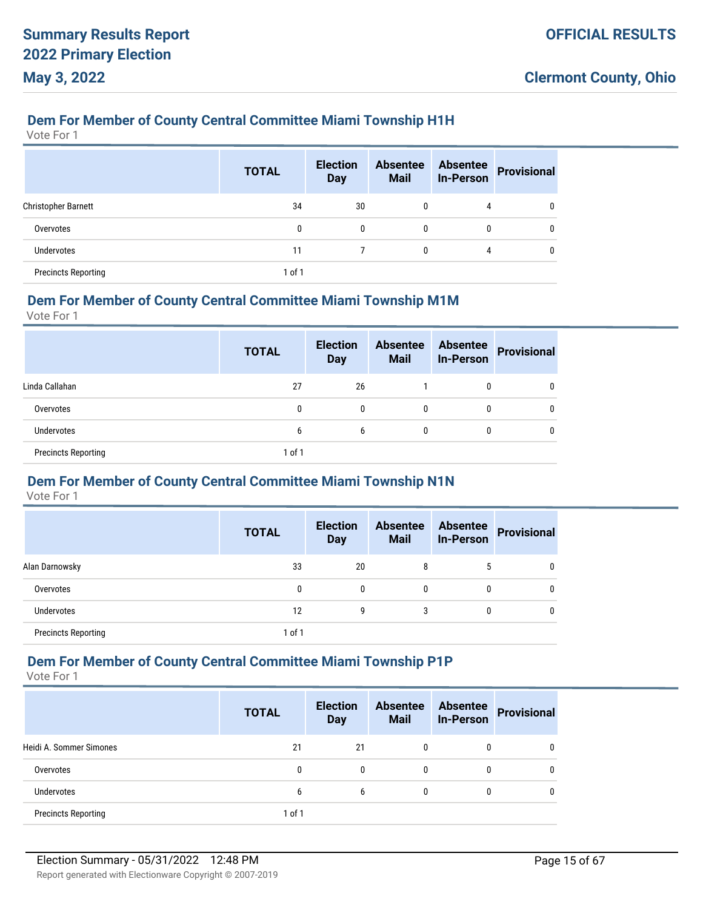### **Dem For Member of County Central Committee Miami Township H1H**

Vote For 1

|                            | <b>TOTAL</b> | <b>Election</b><br><b>Day</b> | <b>Absentee</b><br><b>Mail</b> | <b>Absentee</b><br><b>In-Person</b> | <b>Provisional</b> |
|----------------------------|--------------|-------------------------------|--------------------------------|-------------------------------------|--------------------|
| <b>Christopher Barnett</b> | 34           | 30                            | 0                              | 4                                   | $\mathbf{0}$       |
| Overvotes                  | 0            | 0                             | $\Omega$                       | 0                                   | 0                  |
| <b>Undervotes</b>          | 11           |                               | 0                              | 4                                   | 0                  |
| <b>Precincts Reporting</b> | $1$ of $1$   |                               |                                |                                     |                    |

#### **Dem For Member of County Central Committee Miami Township M1M**

Vote For 1

|                            | <b>TOTAL</b> | <b>Election</b><br><b>Day</b> | <b>Absentee</b><br><b>Mail</b> | <b>Absentee</b><br><b>In-Person</b> | <b>Provisional</b> |
|----------------------------|--------------|-------------------------------|--------------------------------|-------------------------------------|--------------------|
| Linda Callahan             | 27           | 26                            |                                | 0                                   |                    |
| Overvotes                  | 0            | 0                             | $\mathbf{0}$                   | 0                                   |                    |
| Undervotes                 | 6            | 6                             | $\mathbf{0}$                   | 0                                   |                    |
| <b>Precincts Reporting</b> | 1 of 1       |                               |                                |                                     |                    |

## **Dem For Member of County Central Committee Miami Township N1N**

Vote For 1

|                            | <b>TOTAL</b> | <b>Election</b><br><b>Day</b> | <b>Absentee</b><br><b>Mail</b> | <b>Absentee</b><br><b>In-Person</b> | Provisional |
|----------------------------|--------------|-------------------------------|--------------------------------|-------------------------------------|-------------|
| Alan Darnowsky             | 33           | 20                            | 8                              | 5                                   |             |
| Overvotes                  | 0            | 0                             | $\mathbf{0}$                   |                                     |             |
| Undervotes                 | 12           | 9                             | 3                              |                                     |             |
| <b>Precincts Reporting</b> | 1 of 1       |                               |                                |                                     |             |

# **Dem For Member of County Central Committee Miami Township P1P**

|                            | <b>TOTAL</b> | <b>Election</b><br><b>Day</b> | <b>Absentee</b><br><b>Mail</b> | <b>Absentee</b><br><b>In-Person</b> | <b>Provisional</b> |
|----------------------------|--------------|-------------------------------|--------------------------------|-------------------------------------|--------------------|
| Heidi A. Sommer Simones    | 21           | 21                            | $\mathbf{0}$                   | 0                                   |                    |
| Overvotes                  | 0            | $\Omega$                      | $\bf{0}$                       | 0                                   |                    |
| Undervotes                 | 6            | 6                             | $\Omega$                       | 0                                   |                    |
| <b>Precincts Reporting</b> | 1 of 1       |                               |                                |                                     |                    |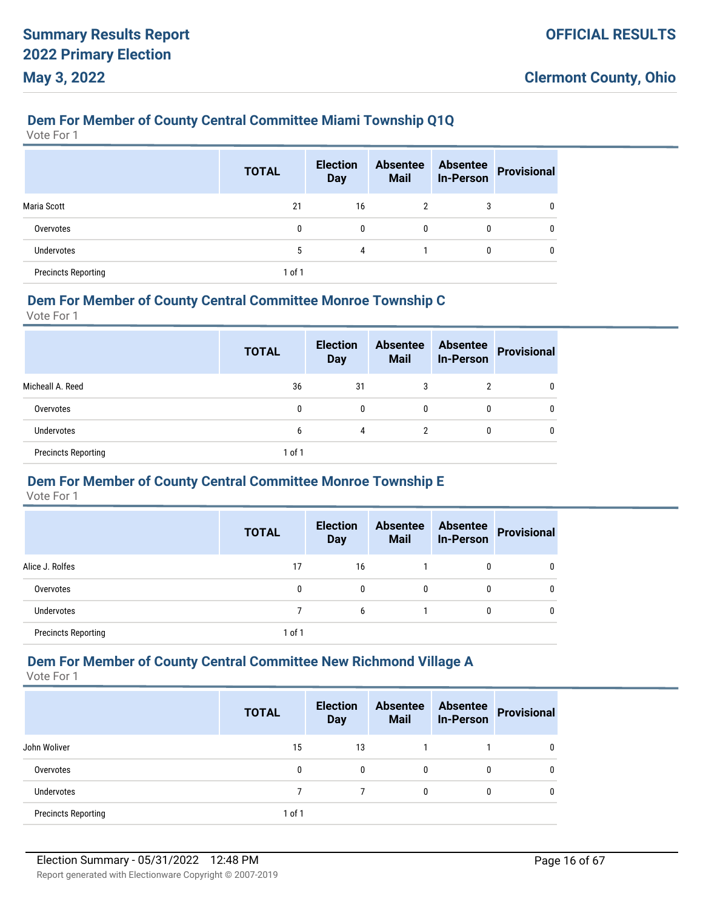### **Dem For Member of County Central Committee Miami Township Q1Q**

Vote For 1

|                            | <b>TOTAL</b> | <b>Election</b><br><b>Day</b> | <b>Absentee</b><br><b>Mail</b> | <b>Absentee</b><br><b>In-Person</b> | <b>Provisional</b> |
|----------------------------|--------------|-------------------------------|--------------------------------|-------------------------------------|--------------------|
| Maria Scott                | 21           | 16                            | $\overline{2}$                 | 3                                   | 0                  |
| Overvotes                  | 0            | 0                             | $\mathbf{0}$                   | 0                                   | 0                  |
| Undervotes                 | 5            | 4                             |                                | 0                                   | 0                  |
| <b>Precincts Reporting</b> | $1$ of $1$   |                               |                                |                                     |                    |

#### **Dem For Member of County Central Committee Monroe Township C**

Vote For 1

|                            | <b>TOTAL</b> | <b>Election</b><br><b>Day</b> | <b>Absentee</b><br><b>Mail</b> | <b>Absentee</b><br><b>In-Person</b> | Provisional |
|----------------------------|--------------|-------------------------------|--------------------------------|-------------------------------------|-------------|
| Micheall A. Reed           | 36           | 31                            | 3                              | າ                                   |             |
| Overvotes                  | 0            | 0                             | $\mathbf{0}$                   | 0                                   |             |
| <b>Undervotes</b>          | 6            | 4                             |                                | 0                                   |             |
| <b>Precincts Reporting</b> | 1 of 1       |                               |                                |                                     |             |

#### **Dem For Member of County Central Committee Monroe Township E**

Vote For 1

|                            | <b>TOTAL</b> | <b>Election</b><br><b>Day</b> | <b>Absentee</b><br><b>Mail</b> | <b>Absentee</b><br><b>In-Person</b> | <b>Provisional</b> |
|----------------------------|--------------|-------------------------------|--------------------------------|-------------------------------------|--------------------|
| Alice J. Rolfes            | 17           | 16                            |                                | 0                                   |                    |
| Overvotes                  | 0            | 0                             | $\mathbf{0}$                   | $\mathbf{0}$                        |                    |
| <b>Undervotes</b>          |              | 6                             |                                | 0                                   |                    |
| <b>Precincts Reporting</b> | 1 of 1       |                               |                                |                                     |                    |

### **Dem For Member of County Central Committee New Richmond Village A**

Vote For 1

|                            | <b>TOTAL</b> | <b>Election</b><br><b>Day</b> | <b>Absentee</b><br><b>Mail</b> | <b>Absentee</b><br><b>In-Person</b> | <b>Provisional</b> |
|----------------------------|--------------|-------------------------------|--------------------------------|-------------------------------------|--------------------|
| John Woliver               | 15           | 13                            |                                |                                     |                    |
| Overvotes                  | 0            | 0                             | $\Omega$                       | 0                                   |                    |
| Undervotes                 |              |                               | 0                              | 0                                   |                    |
| <b>Precincts Reporting</b> | $1$ of $1$   |                               |                                |                                     |                    |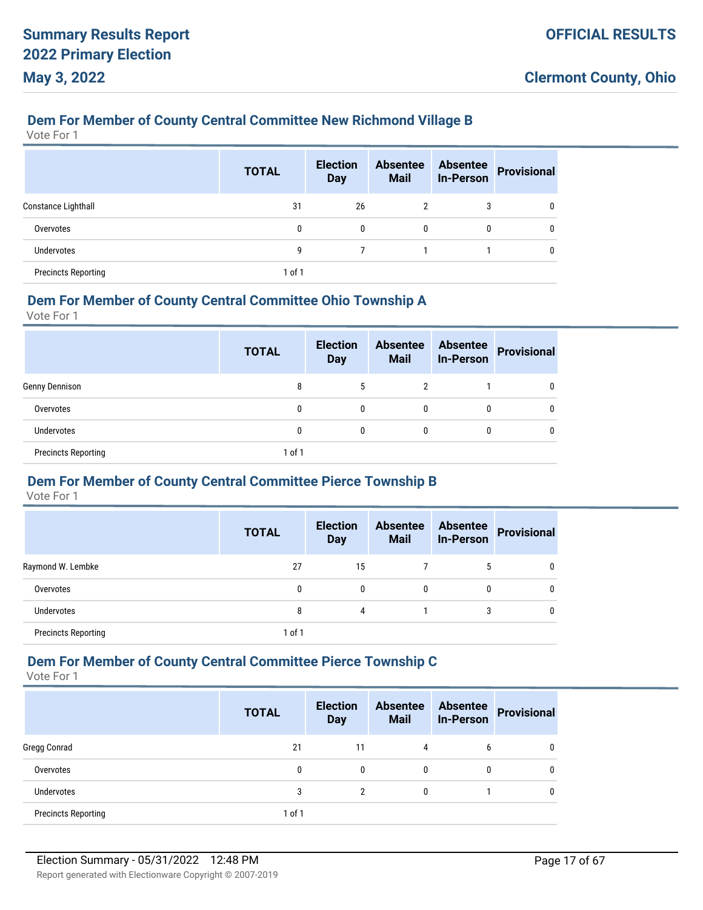# **Dem For Member of County Central Committee New Richmond Village B**

Vote For 1

|                            | <b>TOTAL</b> | <b>Election</b><br><b>Day</b> | <b>Absentee</b><br><b>Mail</b> | <b>Absentee</b><br><b>In-Person</b> | <b>Provisional</b> |
|----------------------------|--------------|-------------------------------|--------------------------------|-------------------------------------|--------------------|
| Constance Lighthall        | 31           | 26                            | 2                              | 3                                   | $\mathbf{0}$       |
| Overvotes                  | 0            | 0                             | $\mathbf{0}$                   | 0                                   | 0                  |
| Undervotes                 | 9            |                               |                                |                                     | 0                  |
| <b>Precincts Reporting</b> | 1 of 1       |                               |                                |                                     |                    |

#### **Dem For Member of County Central Committee Ohio Township A**

Vote For 1

|                            | <b>TOTAL</b> | <b>Election</b><br><b>Day</b> | <b>Absentee</b><br><b>Mail</b> | <b>Absentee</b><br><b>In-Person</b> | Provisional |
|----------------------------|--------------|-------------------------------|--------------------------------|-------------------------------------|-------------|
| Genny Dennison             | 8            | 5                             | 2                              |                                     |             |
| Overvotes                  | 0            | 0                             | 0                              | 0                                   |             |
| <b>Undervotes</b>          | 0            | 0                             | 0                              | $\mathbf{0}$                        |             |
| <b>Precincts Reporting</b> | 1 of 1       |                               |                                |                                     |             |

#### **Dem For Member of County Central Committee Pierce Township B**

Vote For 1

|                            | <b>TOTAL</b> | <b>Election</b><br><b>Day</b> | <b>Absentee</b><br><b>Mail</b> | <b>Absentee</b><br><b>In-Person</b> | Provisional |
|----------------------------|--------------|-------------------------------|--------------------------------|-------------------------------------|-------------|
| Raymond W. Lembke          | 27           | 15                            |                                | 5                                   |             |
| Overvotes                  | 0            | $\mathbf{0}$                  | 0                              | 0                                   |             |
| Undervotes                 | 8            | 4                             |                                | 3                                   |             |
| <b>Precincts Reporting</b> | 1 of 1       |                               |                                |                                     |             |

# **Dem For Member of County Central Committee Pierce Township C**

|                            | <b>TOTAL</b> | <b>Election</b><br><b>Day</b> | <b>Absentee</b><br><b>Mail</b> | <b>Absentee</b><br><b>In-Person</b> | <b>Provisional</b> |
|----------------------------|--------------|-------------------------------|--------------------------------|-------------------------------------|--------------------|
| Gregg Conrad               | 21           | 11                            | 4                              | 6                                   |                    |
| Overvotes                  | 0            | $\mathbf{0}$                  | 0                              |                                     |                    |
| <b>Undervotes</b>          | 3            | C                             | 0                              |                                     |                    |
| <b>Precincts Reporting</b> | 1 of 1       |                               |                                |                                     |                    |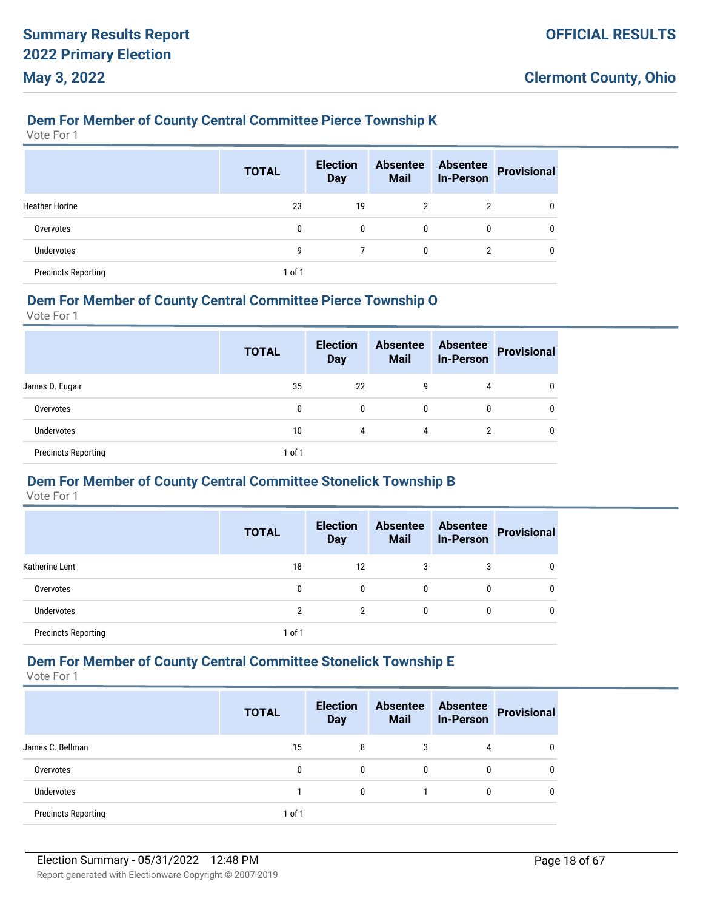### **Dem For Member of County Central Committee Pierce Township K**

Vote For 1

|                            | <b>TOTAL</b> | <b>Election</b><br><b>Day</b> | <b>Absentee</b><br><b>Mail</b> | <b>Absentee</b><br><b>In-Person</b> | <b>Provisional</b> |
|----------------------------|--------------|-------------------------------|--------------------------------|-------------------------------------|--------------------|
| <b>Heather Horine</b>      | 23           | 19                            | $\overline{2}$                 | 2                                   | 0                  |
| Overvotes                  | 0            | 0                             | $\mathbf{0}$                   | 0                                   | 0                  |
| <b>Undervotes</b>          | 9            |                               | 0                              | 2                                   | 0                  |
| <b>Precincts Reporting</b> | 1 of 1       |                               |                                |                                     |                    |

#### **Dem For Member of County Central Committee Pierce Township O**

Vote For 1

|                            | <b>TOTAL</b> | <b>Election</b><br><b>Day</b> | <b>Absentee</b><br><b>Mail</b> | <b>Absentee</b><br><b>In-Person</b> | Provisional |
|----------------------------|--------------|-------------------------------|--------------------------------|-------------------------------------|-------------|
| James D. Eugair            | 35           | 22                            | g                              | 4                                   |             |
| Overvotes                  | 0            | 0                             | $\mathbf{0}$                   | 0                                   |             |
| <b>Undervotes</b>          | 10           | 4                             | 4                              | 2                                   |             |
| <b>Precincts Reporting</b> | 1 of 1       |                               |                                |                                     |             |

#### **Dem For Member of County Central Committee Stonelick Township B**

Vote For 1

|                            | <b>TOTAL</b> | <b>Election</b><br><b>Day</b> | <b>Absentee</b><br><b>Mail</b> | <b>Absentee</b><br><b>In-Person</b> | Provisional |
|----------------------------|--------------|-------------------------------|--------------------------------|-------------------------------------|-------------|
| Katherine Lent             | 18           | 12                            | 3                              |                                     |             |
| Overvotes                  | 0            | 0                             | $\mathbf{0}$                   |                                     |             |
| <b>Undervotes</b>          | າ            | 2                             | $\mathbf{0}$                   |                                     |             |
| <b>Precincts Reporting</b> | 1 of 1       |                               |                                |                                     |             |

# **Dem For Member of County Central Committee Stonelick Township E**

|                            | <b>TOTAL</b> | <b>Election</b><br><b>Day</b> | <b>Absentee</b><br><b>Mail</b> | <b>Absentee</b><br><b>In-Person</b> | <b>Provisional</b> |
|----------------------------|--------------|-------------------------------|--------------------------------|-------------------------------------|--------------------|
| James C. Bellman           | 15           | 8                             | 3                              | 4                                   |                    |
| Overvotes                  | 0            | 0                             | $\mathbf{0}$                   | 0                                   |                    |
| <b>Undervotes</b>          |              | 0                             |                                | 0                                   |                    |
| <b>Precincts Reporting</b> | 1 of 1       |                               |                                |                                     |                    |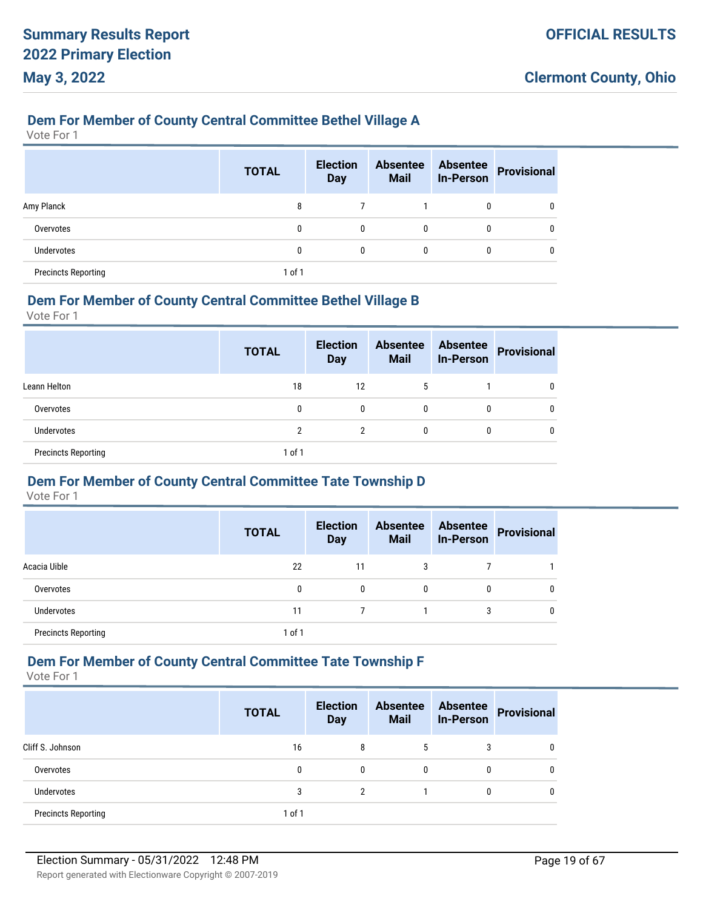### **Dem For Member of County Central Committee Bethel Village A**

Vote For 1

|                            | <b>TOTAL</b> | <b>Election</b><br><b>Day</b> | <b>Absentee</b><br><b>Mail</b> | <b>Absentee</b><br><b>In-Person</b> | <b>Provisional</b> |
|----------------------------|--------------|-------------------------------|--------------------------------|-------------------------------------|--------------------|
| Amy Planck                 | 8            |                               |                                | 0                                   |                    |
| Overvotes                  | 0            | $\mathbf{0}$                  | 0                              | 0                                   |                    |
| <b>Undervotes</b>          | 0            | $\mathbf{0}$                  | 0                              | 0                                   |                    |
| <b>Precincts Reporting</b> | 1 of 1       |                               |                                |                                     |                    |

#### **Dem For Member of County Central Committee Bethel Village B**

Vote For 1

|                            | <b>TOTAL</b> | <b>Election</b><br><b>Day</b> | <b>Absentee</b><br><b>Mail</b> | <b>Absentee</b><br><b>In-Person</b> | <b>Provisional</b> |
|----------------------------|--------------|-------------------------------|--------------------------------|-------------------------------------|--------------------|
| Leann Helton               | 18           | 12                            | 5                              |                                     |                    |
| Overvotes                  | 0            | 0                             | 0                              | 0                                   |                    |
| <b>Undervotes</b>          | 2            | 2                             | 0                              | 0                                   |                    |
| <b>Precincts Reporting</b> | 1 of 1       |                               |                                |                                     |                    |

#### **Dem For Member of County Central Committee Tate Township D**

Vote For 1

|                            | <b>TOTAL</b> | <b>Election</b><br><b>Day</b> | <b>Absentee</b><br><b>Mail</b> | <b>Absentee</b><br><b>In-Person</b> | Provisional |
|----------------------------|--------------|-------------------------------|--------------------------------|-------------------------------------|-------------|
| Acacia Uible               | 22           | 11                            | 3                              |                                     |             |
| Overvotes                  | 0            | $\mathbf{0}$                  | $\mathbf{0}$                   | 0                                   | $\Omega$    |
| Undervotes                 | 11           |                               |                                | 3                                   | $\Omega$    |
| <b>Precincts Reporting</b> | $1$ of $1$   |                               |                                |                                     |             |

### **Dem For Member of County Central Committee Tate Township F**

|                            | <b>TOTAL</b> | <b>Election</b><br><b>Day</b> | <b>Absentee</b><br><b>Mail</b> | <b>Absentee</b><br><b>In-Person</b> | <b>Provisional</b> |
|----------------------------|--------------|-------------------------------|--------------------------------|-------------------------------------|--------------------|
| Cliff S. Johnson           | 16           | 8                             | 5                              | 3                                   |                    |
| Overvotes                  | 0            | 0                             | $\mathbf{0}$                   | 0                                   |                    |
| <b>Undervotes</b>          | 3            | 2                             |                                | 0                                   |                    |
| <b>Precincts Reporting</b> | 1 of 1       |                               |                                |                                     |                    |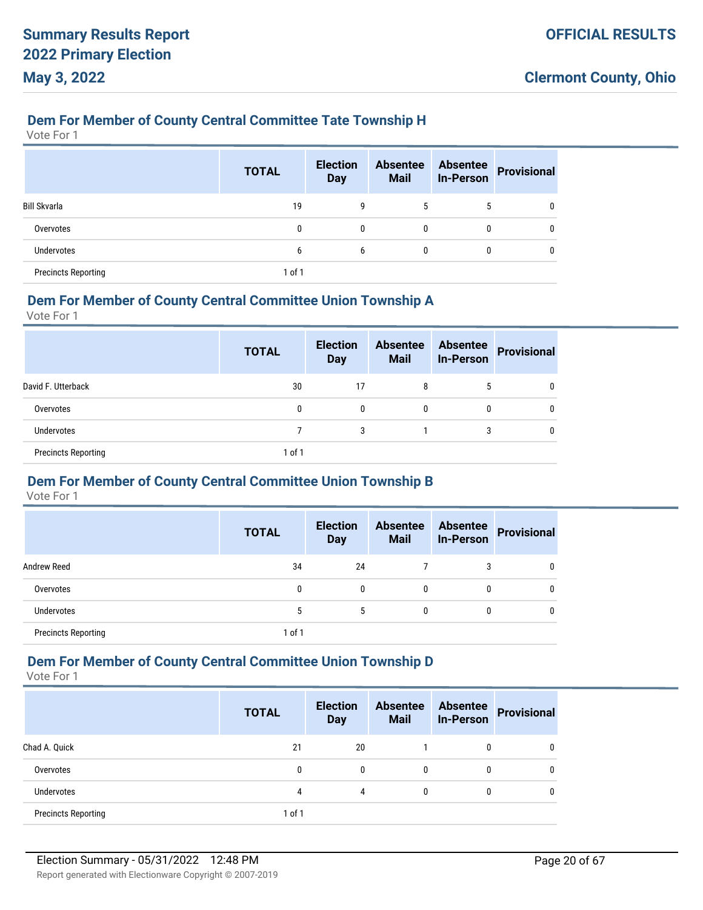#### **Dem For Member of County Central Committee Tate Township H**

Vote For 1

|                            | <b>TOTAL</b> | <b>Election</b><br><b>Day</b> | <b>Absentee</b><br><b>Mail</b> | <b>Absentee</b><br><b>In-Person</b> | Provisional |
|----------------------------|--------------|-------------------------------|--------------------------------|-------------------------------------|-------------|
| <b>Bill Skvarla</b>        | 19           | 9                             | 5                              | 5                                   | 0           |
| Overvotes                  | 0            | 0                             | 0                              | 0                                   | $\Omega$    |
| <b>Undervotes</b>          | 6            | 6                             | 0                              | 0                                   | $\Omega$    |
| <b>Precincts Reporting</b> | 1 of 1       |                               |                                |                                     |             |

#### **Dem For Member of County Central Committee Union Township A**

Vote For 1

|                            | <b>TOTAL</b> | <b>Election</b><br><b>Day</b> | <b>Absentee</b><br><b>Mail</b> | <b>Absentee</b><br><b>In-Person</b> | <b>Provisional</b> |
|----------------------------|--------------|-------------------------------|--------------------------------|-------------------------------------|--------------------|
| David F. Utterback         | 30           | 17                            | 8                              | 5                                   |                    |
| Overvotes                  | 0            | 0                             | 0                              | 0                                   |                    |
| <b>Undervotes</b>          |              | 3                             |                                | 3                                   |                    |
| <b>Precincts Reporting</b> | 1 of 1       |                               |                                |                                     |                    |

## **Dem For Member of County Central Committee Union Township B**

Vote For 1

|                            | <b>TOTAL</b> | <b>Election</b><br><b>Day</b> | <b>Absentee</b><br><b>Mail</b> | <b>Absentee</b><br><b>In-Person</b> | <b>Provisional</b> |
|----------------------------|--------------|-------------------------------|--------------------------------|-------------------------------------|--------------------|
| <b>Andrew Reed</b>         | 34           | 24                            |                                | 3                                   |                    |
| Overvotes                  | 0            | $\mathbf{0}$                  | 0                              | 0                                   |                    |
| <b>Undervotes</b>          | 5            | 5                             | 0                              | 0                                   |                    |
| <b>Precincts Reporting</b> | 1 of 1       |                               |                                |                                     |                    |

### **Dem For Member of County Central Committee Union Township D**

|                            | <b>TOTAL</b> | <b>Election</b><br><b>Day</b> | <b>Absentee</b><br><b>Mail</b> | <b>Absentee</b><br><b>In-Person</b> | <b>Provisional</b> |
|----------------------------|--------------|-------------------------------|--------------------------------|-------------------------------------|--------------------|
| Chad A. Quick              | 21           | 20                            |                                | 0                                   |                    |
| Overvotes                  | 0            | 0                             | $\mathbf{0}$                   | 0                                   |                    |
| <b>Undervotes</b>          | 4            |                               | $\Omega$                       | 0                                   |                    |
| <b>Precincts Reporting</b> | 1 of 1       |                               |                                |                                     |                    |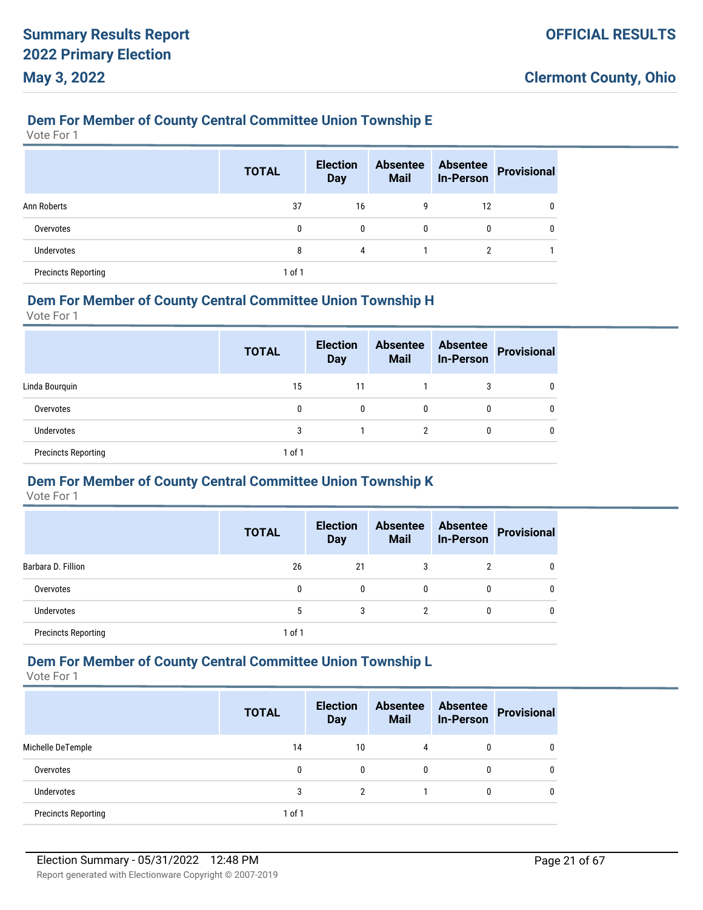#### **Dem For Member of County Central Committee Union Township E**

Vote For 1

|                            | <b>TOTAL</b> | <b>Election</b><br><b>Day</b> | <b>Absentee</b><br><b>Mail</b> | <b>Absentee</b><br><b>In-Person</b> | Provisional  |
|----------------------------|--------------|-------------------------------|--------------------------------|-------------------------------------|--------------|
| Ann Roberts                | 37           | 16                            | 9                              | 12                                  | $\mathbf{0}$ |
| Overvotes                  | 0            | 0                             | 0                              | $\mathbf{0}$                        | 0            |
| Undervotes                 | 8            | 4                             |                                | 2                                   |              |
| <b>Precincts Reporting</b> | $1$ of $1$   |                               |                                |                                     |              |

#### **Dem For Member of County Central Committee Union Township H**

Vote For 1

|                            | <b>TOTAL</b> | <b>Election</b><br><b>Day</b> | <b>Absentee</b><br><b>Mail</b> | <b>Absentee</b><br><b>In-Person</b> | Provisional |
|----------------------------|--------------|-------------------------------|--------------------------------|-------------------------------------|-------------|
| Linda Bourguin             | 15           | 11                            |                                | 3                                   |             |
| Overvotes                  | 0            | 0                             | 0                              | 0                                   | 0           |
| <b>Undervotes</b>          | 3            |                               | 2                              | 0                                   | 0           |
| <b>Precincts Reporting</b> | $1$ of $1$   |                               |                                |                                     |             |

#### **Dem For Member of County Central Committee Union Township K**

Vote For 1

|                            | <b>TOTAL</b> | <b>Election</b><br><b>Day</b> | <b>Absentee</b><br><b>Mail</b> | <b>Absentee</b><br><b>In-Person</b> | <b>Provisional</b> |
|----------------------------|--------------|-------------------------------|--------------------------------|-------------------------------------|--------------------|
| Barbara D. Fillion         | 26           | 21                            | 3                              | 2                                   | 0                  |
| Overvotes                  | 0            | $\mathbf{0}$                  | 0                              | 0                                   | $\mathbf{0}$       |
| Undervotes                 | 5            | 3                             | 2                              | 0                                   | 0                  |
| <b>Precincts Reporting</b> | 1 of 1       |                               |                                |                                     |                    |

# **Dem For Member of County Central Committee Union Township L**

|                            | <b>TOTAL</b> | <b>Election</b><br><b>Day</b> | <b>Absentee</b><br><b>Mail</b> | <b>Absentee</b><br><b>In-Person</b> | <b>Provisional</b> |
|----------------------------|--------------|-------------------------------|--------------------------------|-------------------------------------|--------------------|
| Michelle DeTemple          | 14           | 10                            | 4                              | 0                                   |                    |
| Overvotes                  | 0            | 0                             | $\mathbf{0}$                   | 0                                   |                    |
| <b>Undervotes</b>          | 3            | 2                             |                                | 0                                   |                    |
| <b>Precincts Reporting</b> | 1 of 1       |                               |                                |                                     |                    |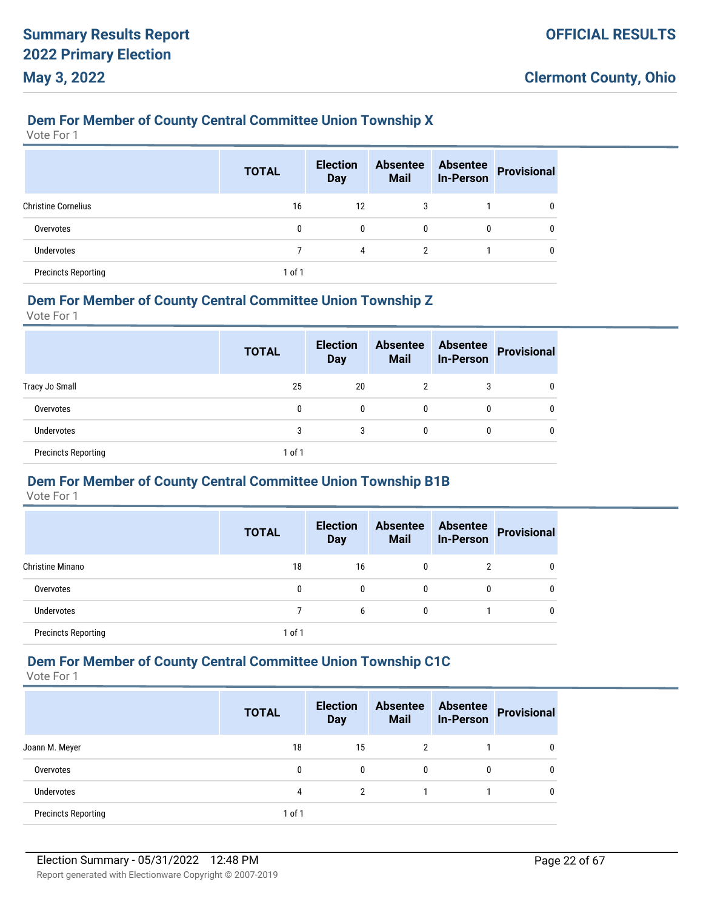#### **Dem For Member of County Central Committee Union Township X**

Vote For 1

|                            | <b>TOTAL</b> | <b>Election</b><br><b>Day</b> | <b>Absentee</b><br><b>Mail</b> | <b>Absentee</b><br><b>In-Person</b> | <b>Provisional</b> |
|----------------------------|--------------|-------------------------------|--------------------------------|-------------------------------------|--------------------|
| <b>Christine Cornelius</b> | 16           | 12                            | 3                              |                                     | 0                  |
| Overvotes                  | 0            | $\mathbf{0}$                  | 0                              | 0                                   | 0                  |
| Undervotes                 |              | 4                             | 2                              |                                     | $\mathbf{0}$       |
| <b>Precincts Reporting</b> | $1$ of $1$   |                               |                                |                                     |                    |

#### **Dem For Member of County Central Committee Union Township Z**

Vote For 1

|                            | <b>TOTAL</b> | <b>Election</b><br><b>Day</b> | <b>Absentee</b><br><b>Mail</b> | <b>Absentee</b><br><b>In-Person</b> | <b>Provisional</b> |
|----------------------------|--------------|-------------------------------|--------------------------------|-------------------------------------|--------------------|
| Tracy Jo Small             | 25           | 20                            | 2                              | 3                                   |                    |
| Overvotes                  | 0            | 0                             | $\mathbf{0}$                   | 0                                   |                    |
| Undervotes                 | 3            | 3                             | $\mathbf{0}$                   | 0                                   |                    |
| <b>Precincts Reporting</b> | 1 of 1       |                               |                                |                                     |                    |

#### **Dem For Member of County Central Committee Union Township B1B**

Vote For 1

|                            | <b>TOTAL</b> | <b>Election</b><br><b>Day</b> | <b>Absentee</b><br><b>Mail</b> | <b>Absentee</b><br><b>In-Person</b> | <b>Provisional</b> |
|----------------------------|--------------|-------------------------------|--------------------------------|-------------------------------------|--------------------|
| Christine Minano           | 18           | 16                            | 0                              | 2                                   |                    |
| Overvotes                  | 0            | $\mathbf{0}$                  | 0                              | 0                                   |                    |
| Undervotes                 |              | 6                             | 0                              |                                     |                    |
| <b>Precincts Reporting</b> | 1 of 1       |                               |                                |                                     |                    |

# **Dem For Member of County Central Committee Union Township C1C**

|                            | <b>TOTAL</b> | <b>Election</b><br><b>Day</b> | <b>Absentee</b><br><b>Mail</b> | <b>Absentee</b><br><b>In-Person</b> | <b>Provisional</b> |
|----------------------------|--------------|-------------------------------|--------------------------------|-------------------------------------|--------------------|
| Joann M. Meyer             | 18           | 15                            | 2                              |                                     |                    |
| Overvotes                  | 0            | 0                             | $\mathbf{0}$                   | 0                                   |                    |
| <b>Undervotes</b>          | 4            | 2                             |                                |                                     |                    |
| <b>Precincts Reporting</b> | 1 of 1       |                               |                                |                                     |                    |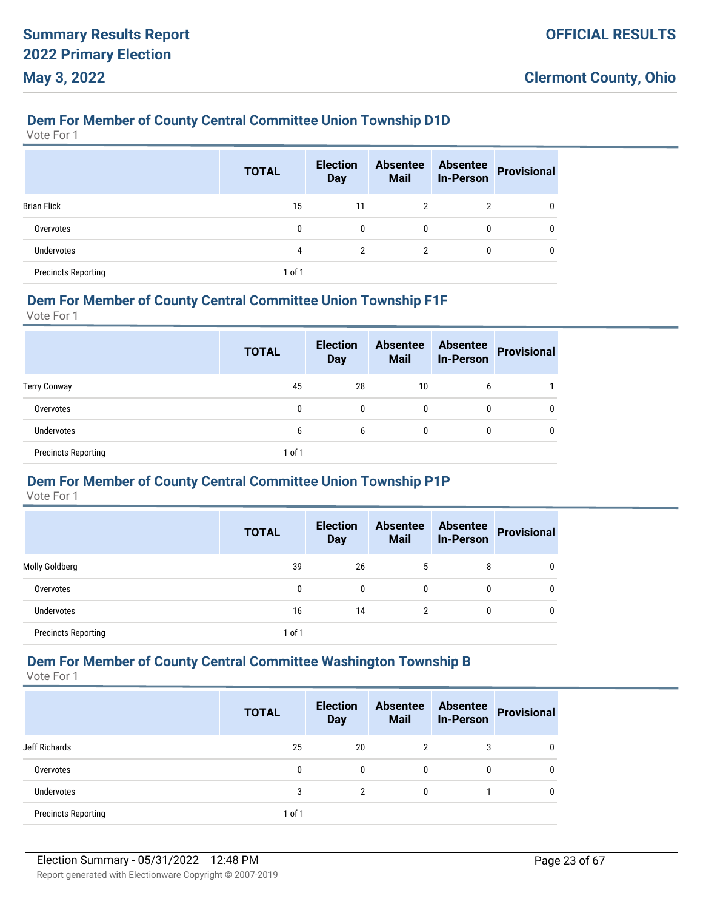#### **Dem For Member of County Central Committee Union Township D1D**

Vote For 1

|                            | <b>TOTAL</b> | <b>Election</b><br><b>Day</b> | <b>Absentee</b><br><b>Mail</b> | <b>Absentee</b><br><b>In-Person</b> | <b>Provisional</b> |
|----------------------------|--------------|-------------------------------|--------------------------------|-------------------------------------|--------------------|
| <b>Brian Flick</b>         | 15           | 11                            | $\overline{2}$                 | 2                                   | 0                  |
| Overvotes                  | 0            | 0                             | $\mathbf{0}$                   | 0                                   | 0                  |
| Undervotes                 | 4            | $\overline{2}$                | 2                              | 0                                   | 0                  |
| <b>Precincts Reporting</b> | $1$ of $1$   |                               |                                |                                     |                    |

#### **Dem For Member of County Central Committee Union Township F1F**

Vote For 1

|                            | <b>TOTAL</b> | <b>Election</b><br><b>Day</b> | <b>Absentee</b><br><b>Mail</b> | <b>Absentee</b><br><b>In-Person</b> | <b>Provisional</b> |
|----------------------------|--------------|-------------------------------|--------------------------------|-------------------------------------|--------------------|
| <b>Terry Conway</b>        | 45           | 28                            | 10                             | 6                                   |                    |
| Overvotes                  | 0            | 0                             | $\mathbf{0}$                   | 0                                   |                    |
| Undervotes                 | 6            | 6                             | $\mathbf{0}$                   | 0                                   |                    |
| <b>Precincts Reporting</b> | 1 of 1       |                               |                                |                                     |                    |

#### **Dem For Member of County Central Committee Union Township P1P**

Vote For 1

|                            | <b>TOTAL</b> | <b>Election</b><br><b>Day</b> | <b>Absentee</b><br><b>Mail</b> | <b>Absentee</b><br><b>In-Person</b> | Provisional |
|----------------------------|--------------|-------------------------------|--------------------------------|-------------------------------------|-------------|
| Molly Goldberg             | 39           | 26                            | 5                              | 8                                   | 0           |
| Overvotes                  | 0            | 0                             | $\mathbf{0}$                   | 0                                   | 0           |
| Undervotes                 | 16           | 14                            | າ                              | 0                                   | 0           |
| <b>Precincts Reporting</b> | $1$ of $1$   |                               |                                |                                     |             |

# **Dem For Member of County Central Committee Washington Township B**

Vote For 1

|                            | <b>TOTAL</b> | <b>Election</b><br><b>Day</b> | <b>Absentee</b><br><b>Mail</b> | <b>Absentee</b><br><b>In-Person</b> | <b>Provisional</b> |
|----------------------------|--------------|-------------------------------|--------------------------------|-------------------------------------|--------------------|
| Jeff Richards              | 25           | 20                            | 2                              | 3                                   |                    |
| Overvotes                  | 0            | 0                             | 0                              | 0                                   |                    |
| <b>Undervotes</b>          | 3            | 2                             | 0                              |                                     |                    |
| <b>Precincts Reporting</b> | 1 of 1       |                               |                                |                                     |                    |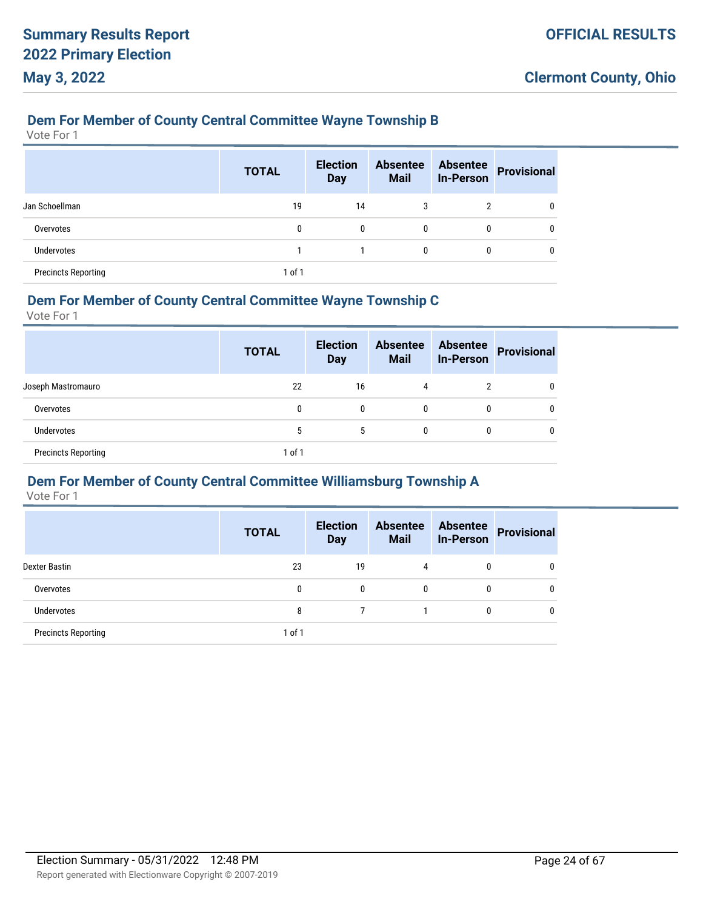### **Dem For Member of County Central Committee Wayne Township B**

Vote For 1

|                            | <b>TOTAL</b> | <b>Election</b><br><b>Day</b> | <b>Absentee</b><br><b>Mail</b> | <b>Absentee</b><br><b>In-Person</b> | <b>Provisional</b> |
|----------------------------|--------------|-------------------------------|--------------------------------|-------------------------------------|--------------------|
| Jan Schoellman             | 19           | 14                            | 3                              | 2                                   | 0                  |
| Overvotes                  | 0            | 0                             | $\mathbf{0}$                   | 0                                   | 0                  |
| Undervotes                 |              |                               | $\mathbf{0}$                   | 0                                   | 0                  |
| <b>Precincts Reporting</b> | $1$ of $1$   |                               |                                |                                     |                    |

#### **Dem For Member of County Central Committee Wayne Township C**

Vote For 1

|                            | <b>TOTAL</b> | <b>Election</b><br><b>Day</b> | <b>Absentee</b><br><b>Mail</b> | <b>Absentee</b><br><b>In-Person</b> | <b>Provisional</b> |
|----------------------------|--------------|-------------------------------|--------------------------------|-------------------------------------|--------------------|
| Joseph Mastromauro         | 22           | 16                            | 4                              | າ                                   |                    |
| Overvotes                  | 0            | 0                             | $\mathbf{0}$                   | 0                                   |                    |
| Undervotes                 | 5            | 5                             | $\mathbf{0}$                   | 0                                   |                    |
| <b>Precincts Reporting</b> | 1 of 1       |                               |                                |                                     |                    |

# **Dem For Member of County Central Committee Williamsburg Township A**

|                            | <b>TOTAL</b> | <b>Election</b><br><b>Day</b> | <b>Absentee</b><br><b>Mail</b> | <b>Absentee</b><br><b>In-Person</b> | <b>Provisional</b> |
|----------------------------|--------------|-------------------------------|--------------------------------|-------------------------------------|--------------------|
| Dexter Bastin              | 23           | 19                            | 4                              | $\mathbf{0}$                        | 0                  |
| Overvotes                  | 0            | 0                             | 0                              | 0                                   | 0                  |
| <b>Undervotes</b>          | 8            |                               |                                | 0                                   | 0                  |
| <b>Precincts Reporting</b> | $1$ of $1$   |                               |                                |                                     |                    |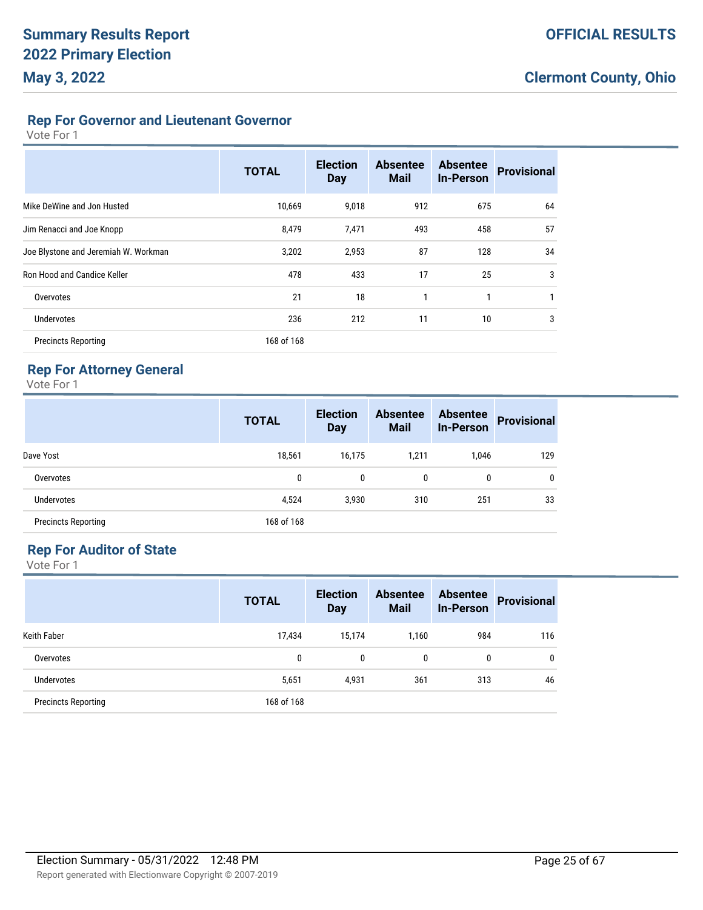#### **Rep For Governor and Lieutenant Governor**

Vote For 1

|                                      | <b>TOTAL</b> | <b>Election</b><br><b>Day</b> | <b>Absentee</b><br><b>Mail</b> | <b>Absentee</b><br><b>In-Person</b> | <b>Provisional</b> |
|--------------------------------------|--------------|-------------------------------|--------------------------------|-------------------------------------|--------------------|
| Mike DeWine and Jon Husted           | 10,669       | 9,018                         | 912                            | 675                                 | 64                 |
| Jim Renacci and Joe Knopp            | 8,479        | 7,471                         | 493                            | 458                                 | 57                 |
| Joe Blystone and Jeremiah W. Workman | 3,202        | 2,953                         | 87                             | 128                                 | 34                 |
| Ron Hood and Candice Keller          | 478          | 433                           | 17                             | 25                                  | 3                  |
| Overvotes                            | 21           | 18                            | 1                              | 1                                   |                    |
| Undervotes                           | 236          | 212                           | 11                             | 10                                  | 3                  |
| <b>Precincts Reporting</b>           | 168 of 168   |                               |                                |                                     |                    |

# **Rep For Attorney General**

Vote For 1

|                            | <b>TOTAL</b> | <b>Election</b><br><b>Day</b> | <b>Absentee</b><br><b>Mail</b> | <b>Absentee</b><br><b>In-Person</b> | <b>Provisional</b> |
|----------------------------|--------------|-------------------------------|--------------------------------|-------------------------------------|--------------------|
| Dave Yost                  | 18,561       | 16,175                        | 1,211                          | 1,046                               | 129                |
| Overvotes                  | 0            | 0                             | 0                              | 0                                   | 0                  |
| <b>Undervotes</b>          | 4,524        | 3,930                         | 310                            | 251                                 | 33                 |
| <b>Precincts Reporting</b> | 168 of 168   |                               |                                |                                     |                    |

#### **Rep For Auditor of State**

|                            | <b>TOTAL</b> | <b>Election</b><br><b>Day</b> | <b>Absentee</b><br><b>Mail</b> | <b>Absentee</b><br><b>In-Person</b> | <b>Provisional</b> |
|----------------------------|--------------|-------------------------------|--------------------------------|-------------------------------------|--------------------|
| <b>Keith Faber</b>         | 17,434       | 15,174                        | 1,160                          | 984                                 | 116                |
| Overvotes                  | 0            | 0                             | 0                              | 0                                   | 0                  |
| <b>Undervotes</b>          | 5,651        | 4,931                         | 361                            | 313                                 | 46                 |
| <b>Precincts Reporting</b> | 168 of 168   |                               |                                |                                     |                    |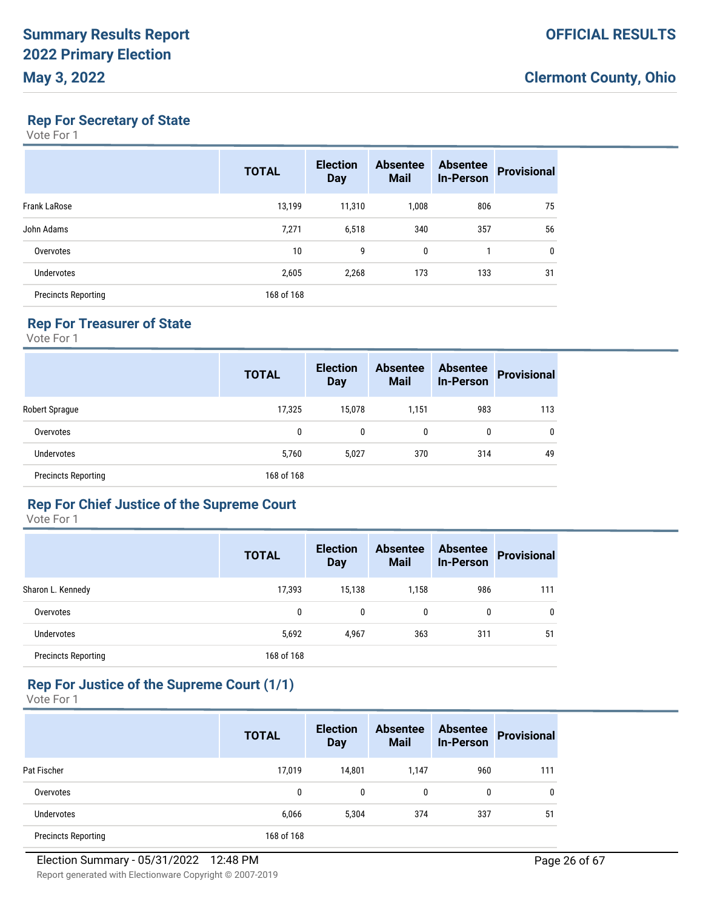# **Rep For Secretary of State**

Vote For 1

|                            | <b>TOTAL</b> | <b>Election</b><br><b>Day</b> | <b>Absentee</b><br><b>Mail</b> | <b>Absentee</b><br><b>In-Person</b> | <b>Provisional</b> |
|----------------------------|--------------|-------------------------------|--------------------------------|-------------------------------------|--------------------|
| Frank LaRose               | 13,199       | 11,310                        | 1,008                          | 806                                 | 75                 |
| John Adams                 | 7,271        | 6,518                         | 340                            | 357                                 | 56                 |
| Overvotes                  | 10           | 9                             | $\mathbf{0}$                   |                                     | 0                  |
| <b>Undervotes</b>          | 2,605        | 2,268                         | 173                            | 133                                 | 31                 |
| <b>Precincts Reporting</b> | 168 of 168   |                               |                                |                                     |                    |

# **Rep For Treasurer of State**

Vote For 1

|                            | <b>TOTAL</b> | <b>Election</b><br><b>Day</b> | <b>Absentee</b><br><b>Mail</b> | <b>Absentee</b><br><b>In-Person</b> | <b>Provisional</b> |
|----------------------------|--------------|-------------------------------|--------------------------------|-------------------------------------|--------------------|
| Robert Sprague             | 17,325       | 15.078                        | 1,151                          | 983                                 | 113                |
| Overvotes                  | 0            | $\mathbf{0}$                  | 0                              | 0                                   | $\mathbf{0}$       |
| <b>Undervotes</b>          | 5,760        | 5,027                         | 370                            | 314                                 | 49                 |
| <b>Precincts Reporting</b> | 168 of 168   |                               |                                |                                     |                    |

#### **Rep For Chief Justice of the Supreme Court**

Vote For 1

|                            | <b>TOTAL</b> | <b>Election</b><br><b>Day</b> | <b>Absentee</b><br><b>Mail</b> | <b>Absentee</b><br><b>In-Person</b> | <b>Provisional</b> |
|----------------------------|--------------|-------------------------------|--------------------------------|-------------------------------------|--------------------|
| Sharon L. Kennedy          | 17,393       | 15,138                        | 1,158                          | 986                                 | 111                |
| Overvotes                  | 0            | $\mathbf{0}$                  | 0                              | 0                                   | 0                  |
| Undervotes                 | 5,692        | 4.967                         | 363                            | 311                                 | 51                 |
| <b>Precincts Reporting</b> | 168 of 168   |                               |                                |                                     |                    |

# **Rep For Justice of the Supreme Court (1/1)**

|                            | <b>TOTAL</b> | <b>Election</b><br><b>Day</b> | <b>Absentee</b><br><b>Mail</b> | <b>Absentee</b><br><b>In-Person</b> | <b>Provisional</b> |
|----------------------------|--------------|-------------------------------|--------------------------------|-------------------------------------|--------------------|
| Pat Fischer                | 17,019       | 14,801                        | 1,147                          | 960                                 | 111                |
| Overvotes                  | 0            | 0                             | 0                              | 0                                   | 0                  |
| <b>Undervotes</b>          | 6,066        | 5.304                         | 374                            | 337                                 | 51                 |
| <b>Precincts Reporting</b> | 168 of 168   |                               |                                |                                     |                    |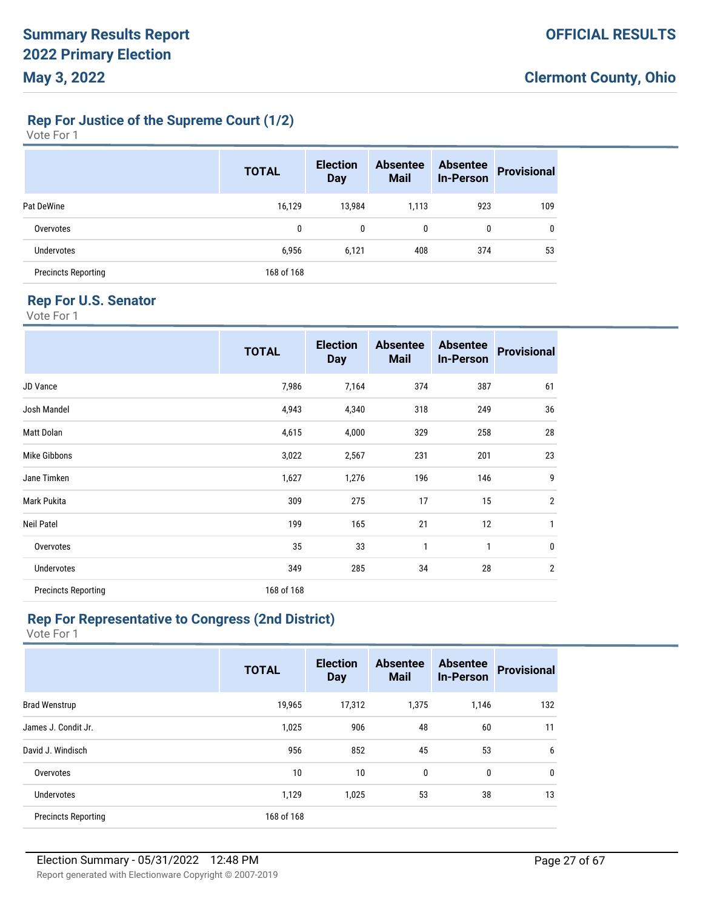# **Rep For Justice of the Supreme Court (1/2)**

| Vote For |  |  |
|----------|--|--|
|----------|--|--|

|                            | <b>TOTAL</b> | <b>Election</b><br><b>Day</b> | <b>Absentee</b><br><b>Mail</b> | <b>Absentee</b><br><b>In-Person</b> | <b>Provisional</b> |
|----------------------------|--------------|-------------------------------|--------------------------------|-------------------------------------|--------------------|
| Pat DeWine                 | 16,129       | 13,984                        | 1,113                          | 923                                 | 109                |
| Overvotes                  | 0            | 0                             | 0                              | 0                                   | 0                  |
| <b>Undervotes</b>          | 6,956        | 6,121                         | 408                            | 374                                 | 53                 |
| <b>Precincts Reporting</b> | 168 of 168   |                               |                                |                                     |                    |

# **Rep For U.S. Senator**

Vote For 1

|                            | <b>TOTAL</b> | <b>Election</b><br><b>Day</b> | <b>Absentee</b><br><b>Mail</b> | <b>Absentee</b><br><b>In-Person</b> | <b>Provisional</b> |
|----------------------------|--------------|-------------------------------|--------------------------------|-------------------------------------|--------------------|
| JD Vance                   | 7,986        | 7,164                         | 374                            | 387                                 | 61                 |
| Josh Mandel                | 4,943        | 4,340                         | 318                            | 249                                 | 36                 |
| Matt Dolan                 | 4,615        | 4,000                         | 329                            | 258                                 | 28                 |
| Mike Gibbons               | 3,022        | 2,567                         | 231                            | 201                                 | 23                 |
| Jane Timken                | 1,627        | 1,276                         | 196                            | 146                                 | 9                  |
| Mark Pukita                | 309          | 275                           | 17                             | 15                                  | $\overline{2}$     |
| <b>Neil Patel</b>          | 199          | 165                           | 21                             | 12                                  | 1                  |
| Overvotes                  | 35           | 33                            | 1                              | 1                                   | $\mathbf 0$        |
| Undervotes                 | 349          | 285                           | 34                             | 28                                  | $\overline{2}$     |
| <b>Precincts Reporting</b> | 168 of 168   |                               |                                |                                     |                    |

# **Rep For Representative to Congress (2nd District)**

|                            | <b>TOTAL</b> | <b>Election</b><br><b>Day</b> | <b>Absentee</b><br><b>Mail</b> | <b>Absentee</b><br><b>In-Person</b> | <b>Provisional</b> |
|----------------------------|--------------|-------------------------------|--------------------------------|-------------------------------------|--------------------|
| <b>Brad Wenstrup</b>       | 19,965       | 17,312                        | 1,375                          | 1,146                               | 132                |
| James J. Condit Jr.        | 1,025        | 906                           | 48                             | 60                                  | 11                 |
| David J. Windisch          | 956          | 852                           | 45                             | 53                                  | 6                  |
| Overvotes                  | 10           | 10                            | $\mathbf{0}$                   | 0                                   | $\mathbf{0}$       |
| <b>Undervotes</b>          | 1,129        | 1,025                         | 53                             | 38                                  | 13                 |
| <b>Precincts Reporting</b> | 168 of 168   |                               |                                |                                     |                    |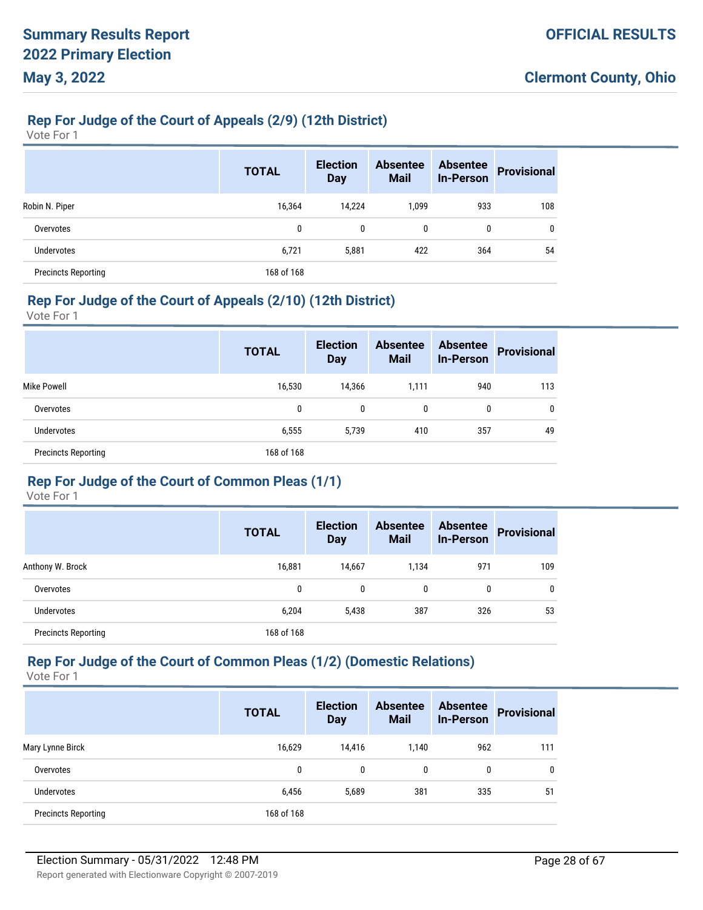#### **Rep For Judge of the Court of Appeals (2/9) (12th District)**

Vote For 1

|                            | <b>TOTAL</b> | <b>Election</b><br><b>Day</b> | <b>Absentee</b><br><b>Mail</b> | <b>Absentee</b><br><b>In-Person</b> | <b>Provisional</b> |
|----------------------------|--------------|-------------------------------|--------------------------------|-------------------------------------|--------------------|
| Robin N. Piper             | 16,364       | 14.224                        | 1,099                          | 933                                 | 108                |
| Overvotes                  | 0            | $\mathbf{0}$                  | 0                              | 0                                   | 0                  |
| Undervotes                 | 6,721        | 5,881                         | 422                            | 364                                 | 54                 |
| <b>Precincts Reporting</b> | 168 of 168   |                               |                                |                                     |                    |

#### **Rep For Judge of the Court of Appeals (2/10) (12th District)**

Vote For 1

|                            | <b>TOTAL</b> | <b>Election</b><br><b>Day</b> | <b>Absentee</b><br><b>Mail</b> | <b>Absentee</b><br><b>In-Person</b> | <b>Provisional</b> |
|----------------------------|--------------|-------------------------------|--------------------------------|-------------------------------------|--------------------|
| <b>Mike Powell</b>         | 16,530       | 14,366                        | 1,111                          | 940                                 | 113                |
| Overvotes                  | 0            | 0                             | 0                              | 0                                   | 0                  |
| Undervotes                 | 6,555        | 5.739                         | 410                            | 357                                 | 49                 |
| <b>Precincts Reporting</b> | 168 of 168   |                               |                                |                                     |                    |

# **Rep For Judge of the Court of Common Pleas (1/1)**

Vote For 1

|                            | <b>TOTAL</b> | <b>Election</b><br><b>Day</b> | <b>Absentee</b><br><b>Mail</b> | <b>Absentee</b><br><b>In-Person</b> | <b>Provisional</b> |
|----------------------------|--------------|-------------------------------|--------------------------------|-------------------------------------|--------------------|
| Anthony W. Brock           | 16,881       | 14,667                        | 1,134                          | 971                                 | 109                |
| Overvotes                  | 0            | 0                             | 0                              | 0                                   | $\mathbf{0}$       |
| <b>Undervotes</b>          | 6,204        | 5,438                         | 387                            | 326                                 | 53                 |
| <b>Precincts Reporting</b> | 168 of 168   |                               |                                |                                     |                    |

# **Rep For Judge of the Court of Common Pleas (1/2) (Domestic Relations)**

|                            | <b>TOTAL</b> | <b>Election</b><br><b>Day</b> | <b>Absentee</b><br><b>Mail</b> | <b>Absentee</b><br><b>In-Person</b> | <b>Provisional</b> |
|----------------------------|--------------|-------------------------------|--------------------------------|-------------------------------------|--------------------|
| Mary Lynne Birck           | 16,629       | 14.416                        | 1.140                          | 962                                 | 111                |
| Overvotes                  | 0            | 0                             | 0                              | 0                                   | 0                  |
| <b>Undervotes</b>          | 6,456        | 5,689                         | 381                            | 335                                 | 51                 |
| <b>Precincts Reporting</b> | 168 of 168   |                               |                                |                                     |                    |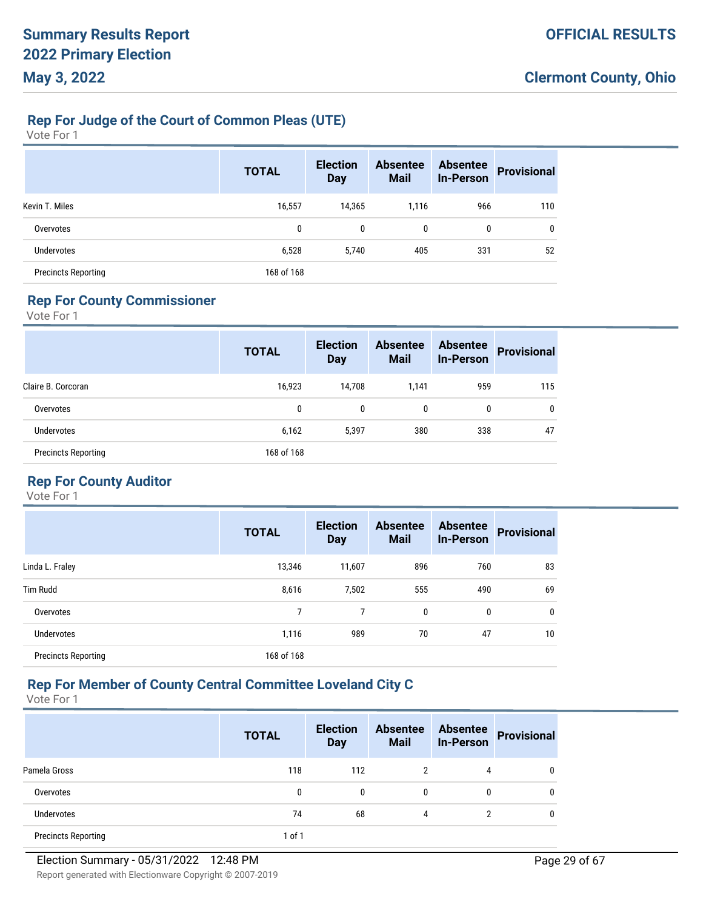# **Rep For Judge of the Court of Common Pleas (UTE)**

Vote For 1

|                            | <b>TOTAL</b> | <b>Election</b><br><b>Day</b> | <b>Absentee</b><br><b>Mail</b> | <b>Absentee</b><br><b>In-Person</b> | <b>Provisional</b> |
|----------------------------|--------------|-------------------------------|--------------------------------|-------------------------------------|--------------------|
| Kevin T. Miles             | 16,557       | 14,365                        | 1,116                          | 966                                 | 110                |
| Overvotes                  | 0            | $\mathbf{0}$                  | 0                              | 0                                   | 0                  |
| <b>Undervotes</b>          | 6,528        | 5,740                         | 405                            | 331                                 | 52                 |
| <b>Precincts Reporting</b> | 168 of 168   |                               |                                |                                     |                    |

# **Rep For County Commissioner**

Vote For 1

|                            | <b>TOTAL</b> | <b>Election</b><br><b>Day</b> | <b>Absentee</b><br><b>Mail</b> | <b>Absentee</b><br><b>In-Person</b> | <b>Provisional</b> |
|----------------------------|--------------|-------------------------------|--------------------------------|-------------------------------------|--------------------|
| Claire B. Corcoran         | 16,923       | 14,708                        | 1,141                          | 959                                 | 115                |
| Overvotes                  | 0            | $\mathbf{0}$                  | 0                              | 0                                   | 0                  |
| <b>Undervotes</b>          | 6,162        | 5,397                         | 380                            | 338                                 | 47                 |
| <b>Precincts Reporting</b> | 168 of 168   |                               |                                |                                     |                    |

# **Rep For County Auditor**

Vote For 1

|                            | <b>TOTAL</b> | <b>Election</b><br><b>Day</b> | <b>Absentee</b><br><b>Mail</b> | <b>Absentee</b><br><b>In-Person</b> | <b>Provisional</b> |
|----------------------------|--------------|-------------------------------|--------------------------------|-------------------------------------|--------------------|
| Linda L. Fraley            | 13,346       | 11,607                        | 896                            | 760                                 | 83                 |
| <b>Tim Rudd</b>            | 8,616        | 7,502                         | 555                            | 490                                 | 69                 |
| Overvotes                  |              |                               | 0                              | $\mathbf{0}$                        | $\mathbf 0$        |
| <b>Undervotes</b>          | 1,116        | 989                           | 70                             | 47                                  | 10                 |
| <b>Precincts Reporting</b> | 168 of 168   |                               |                                |                                     |                    |

# **Rep For Member of County Central Committee Loveland City C**

|                            | <b>TOTAL</b> | <b>Election</b><br><b>Day</b> | <b>Absentee</b><br><b>Mail</b> | <b>Absentee</b><br><b>In-Person</b> | <b>Provisional</b> |
|----------------------------|--------------|-------------------------------|--------------------------------|-------------------------------------|--------------------|
| Pamela Gross               | 118          | 112                           | 2                              | 4                                   | 0                  |
| Overvotes                  | 0            | $\mathbf{0}$                  | 0                              | 0                                   | 0                  |
| Undervotes                 | 74           | 68                            | 4                              | っ                                   | 0                  |
| <b>Precincts Reporting</b> | 1 of 1       |                               |                                |                                     |                    |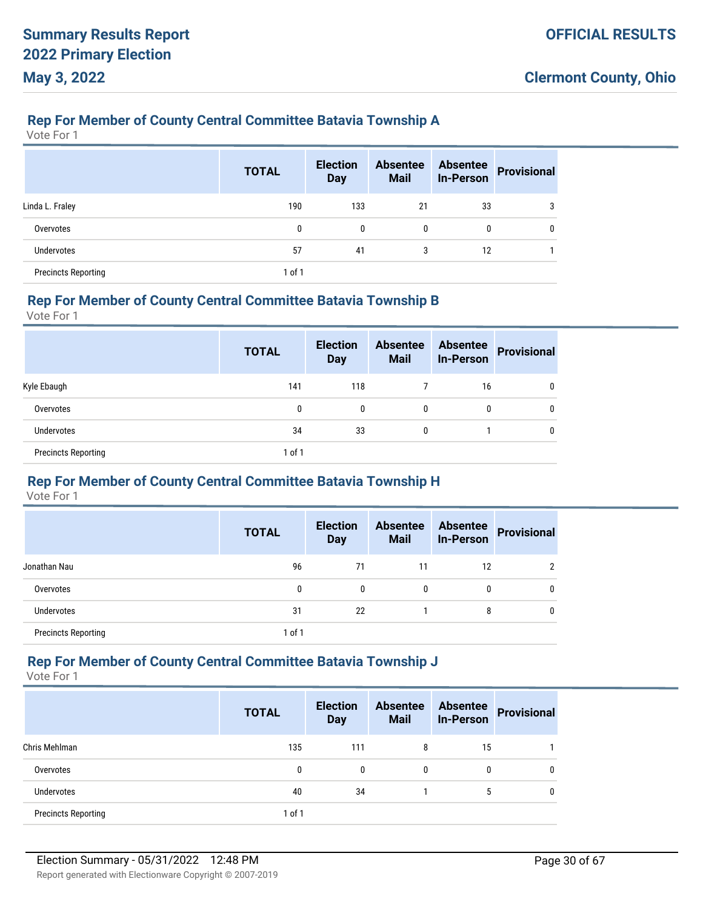#### **Rep For Member of County Central Committee Batavia Township A**

Vote For 1

|                            | <b>TOTAL</b> | <b>Election</b><br><b>Day</b> | <b>Absentee</b><br><b>Mail</b> | <b>Absentee</b><br><b>In-Person</b> | Provisional |
|----------------------------|--------------|-------------------------------|--------------------------------|-------------------------------------|-------------|
| Linda L. Fraley            | 190          | 133                           | 21                             | 33                                  | 3           |
| Overvotes                  | 0            | $\mathbf{0}$                  | 0                              | 0                                   | 0           |
| <b>Undervotes</b>          | 57           | 41                            | 3                              | 12                                  |             |
| <b>Precincts Reporting</b> | 1 of 1       |                               |                                |                                     |             |

#### **Rep For Member of County Central Committee Batavia Township B**

Vote For 1

|                            | <b>TOTAL</b> | <b>Election</b><br><b>Day</b> | <b>Absentee</b><br><b>Mail</b> | <b>Absentee</b><br><b>In-Person</b> | <b>Provisional</b> |
|----------------------------|--------------|-------------------------------|--------------------------------|-------------------------------------|--------------------|
| Kyle Ebaugh                | 141          | 118                           |                                | 16                                  | 0                  |
| Overvotes                  | 0            | 0                             | $\mathbf{0}$                   | 0                                   | 0                  |
| Undervotes                 | 34           | 33                            | $\mathbf{0}$                   |                                     | 0                  |
| <b>Precincts Reporting</b> | 1 of 1       |                               |                                |                                     |                    |

#### **Rep For Member of County Central Committee Batavia Township H**

Vote For 1

|                            | <b>TOTAL</b> | <b>Election</b><br><b>Day</b> | <b>Absentee</b><br><b>Mail</b> | <b>Absentee</b><br><b>In-Person</b> | <b>Provisional</b> |
|----------------------------|--------------|-------------------------------|--------------------------------|-------------------------------------|--------------------|
| Jonathan Nau               | 96           | 71                            | 11                             | 12                                  |                    |
| Overvotes                  | 0            | $\mathbf{0}$                  | 0                              | 0                                   |                    |
| <b>Undervotes</b>          | 31           | 22                            |                                | 8                                   |                    |
| <b>Precincts Reporting</b> | 1 of 1       |                               |                                |                                     |                    |

#### **Rep For Member of County Central Committee Batavia Township J**

|                            | <b>TOTAL</b> | <b>Election</b><br><b>Day</b> | <b>Absentee</b><br><b>Mail</b> | <b>Absentee</b><br><b>In-Person</b> | <b>Provisional</b> |
|----------------------------|--------------|-------------------------------|--------------------------------|-------------------------------------|--------------------|
| Chris Mehlman              | 135          | 111                           | 8                              | 15                                  |                    |
| Overvotes                  | 0            | 0                             | $\mathbf{0}$                   | 0                                   | 0                  |
| Undervotes                 | 40           | 34                            |                                | 5                                   | 0                  |
| <b>Precincts Reporting</b> | $1$ of $1$   |                               |                                |                                     |                    |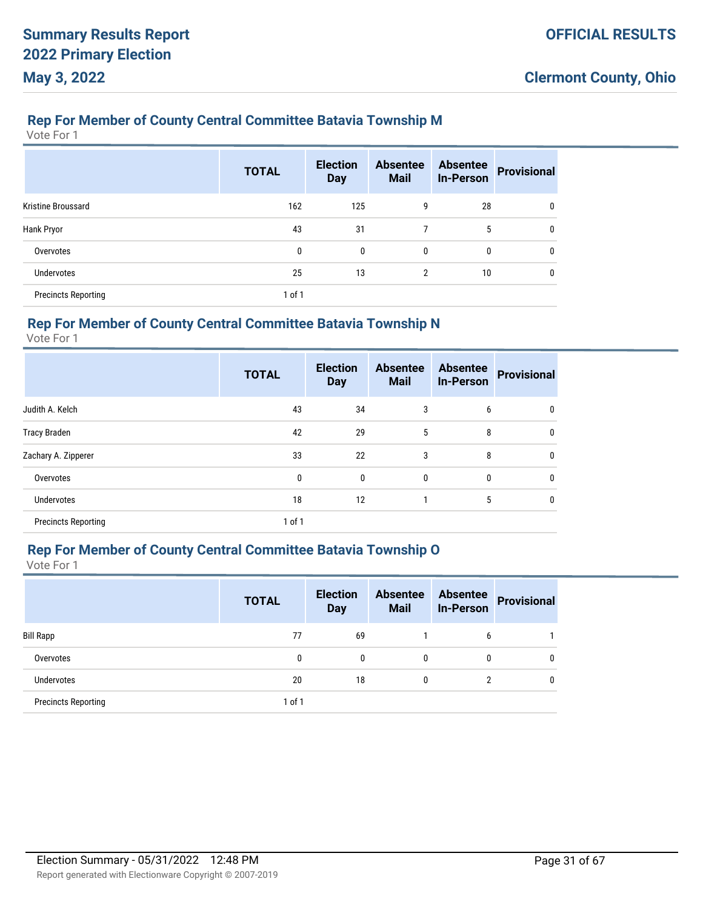### **Rep For Member of County Central Committee Batavia Township M**

Vote For 1

|                            | <b>TOTAL</b> | <b>Election</b><br><b>Day</b> | <b>Absentee</b><br><b>Mail</b> | <b>Absentee</b><br><b>In-Person</b> | <b>Provisional</b> |
|----------------------------|--------------|-------------------------------|--------------------------------|-------------------------------------|--------------------|
| Kristine Broussard         | 162          | 125                           | 9                              | 28                                  | 0                  |
| Hank Pryor                 | 43           | 31                            | 7                              | 5                                   | 0                  |
| Overvotes                  | 0            | $\mathbf{0}$                  | 0                              | 0                                   | 0                  |
| <b>Undervotes</b>          | 25           | 13                            | $\overline{2}$                 | 10                                  | 0                  |
| <b>Precincts Reporting</b> | $1$ of $1$   |                               |                                |                                     |                    |

### **Rep For Member of County Central Committee Batavia Township N**

Vote For 1

|                            | <b>TOTAL</b> | <b>Election</b><br><b>Day</b> | <b>Absentee</b><br><b>Mail</b> | <b>Absentee</b><br><b>In-Person</b> | <b>Provisional</b> |
|----------------------------|--------------|-------------------------------|--------------------------------|-------------------------------------|--------------------|
| Judith A. Kelch            | 43           | 34                            | 3                              | 6                                   | 0                  |
| <b>Tracy Braden</b>        | 42           | 29                            | 5                              | 8                                   | $\mathbf{0}$       |
| Zachary A. Zipperer        | 33           | 22                            | 3                              | 8                                   | $\mathbf{0}$       |
| Overvotes                  | 0            | 0                             | 0                              | 0                                   | $\mathbf{0}$       |
| <b>Undervotes</b>          | 18           | 12                            | 1                              | 5                                   | $\mathbf{0}$       |
| <b>Precincts Reporting</b> | 1 of 1       |                               |                                |                                     |                    |

#### **Rep For Member of County Central Committee Batavia Township O**

|                            | <b>TOTAL</b> | <b>Election</b><br><b>Day</b> | <b>Absentee</b><br><b>Mail</b> | <b>Absentee</b><br><b>In-Person</b> | <b>Provisional</b> |
|----------------------------|--------------|-------------------------------|--------------------------------|-------------------------------------|--------------------|
| <b>Bill Rapp</b>           | 77           | 69                            |                                | 6                                   |                    |
| Overvotes                  | 0            | 0                             | 0                              | 0                                   | $\mathbf{0}$       |
| <b>Undervotes</b>          | 20           | 18                            | 0                              |                                     | $\mathbf{0}$       |
| <b>Precincts Reporting</b> | $1$ of $1$   |                               |                                |                                     |                    |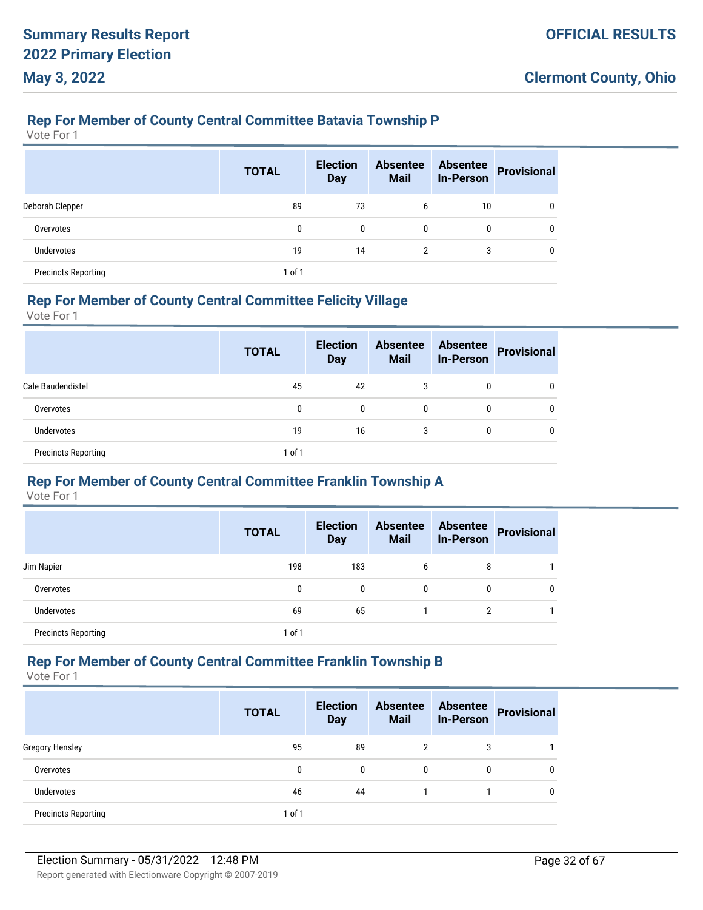### **Rep For Member of County Central Committee Batavia Township P**

Vote For 1

|                            | <b>TOTAL</b> | <b>Election</b><br><b>Day</b> | <b>Absentee</b><br><b>Mail</b> | <b>Absentee</b><br><b>In-Person</b> | <b>Provisional</b> |
|----------------------------|--------------|-------------------------------|--------------------------------|-------------------------------------|--------------------|
| Deborah Clepper            | 89           | 73                            | 6                              | 10                                  | 0                  |
| Overvotes                  | 0            | $\mathbf{0}$                  | 0                              | 0                                   | 0                  |
| <b>Undervotes</b>          | 19           | 14                            | $\overline{2}$                 | 3                                   | 0                  |
| <b>Precincts Reporting</b> | 1 of 1       |                               |                                |                                     |                    |

#### **Rep For Member of County Central Committee Felicity Village**

Vote For 1

|                            | <b>TOTAL</b> | <b>Election</b><br><b>Day</b> | <b>Absentee</b><br><b>Mail</b> | <b>Absentee</b><br><b>In-Person</b> | <b>Provisional</b> |
|----------------------------|--------------|-------------------------------|--------------------------------|-------------------------------------|--------------------|
| Cale Baudendistel          | 45           | 42                            | 3                              | 0                                   |                    |
| Overvotes                  | 0            | 0                             | 0                              | 0                                   | 0                  |
| <b>Undervotes</b>          | 19           | 16                            | 3                              | 0                                   | 0                  |
| <b>Precincts Reporting</b> | 1 of 1       |                               |                                |                                     |                    |

#### **Rep For Member of County Central Committee Franklin Township A**

Vote For 1

|                            | <b>TOTAL</b> | <b>Election</b><br><b>Day</b> | <b>Absentee</b><br><b>Mail</b> | <b>Absentee</b><br><b>In-Person</b> | <b>Provisional</b> |
|----------------------------|--------------|-------------------------------|--------------------------------|-------------------------------------|--------------------|
| Jim Napier                 | 198          | 183                           | 6                              | 8                                   |                    |
| Overvotes                  | 0            | 0                             | $\mathbf{0}$                   | 0                                   | Ω                  |
| Undervotes                 | 69           | 65                            |                                |                                     |                    |
| <b>Precincts Reporting</b> | $1$ of $1$   |                               |                                |                                     |                    |

#### **Rep For Member of County Central Committee Franklin Township B**

|                            | <b>TOTAL</b> | <b>Election</b><br><b>Day</b> | <b>Absentee</b><br><b>Mail</b> | <b>Absentee</b><br><b>In-Person</b> | <b>Provisional</b> |
|----------------------------|--------------|-------------------------------|--------------------------------|-------------------------------------|--------------------|
| <b>Gregory Hensley</b>     | 95           | 89                            | 2                              | 3                                   |                    |
| Overvotes                  | 0            | 0                             | $\mathbf{0}$                   | 0                                   |                    |
| <b>Undervotes</b>          | 46           | 44                            |                                |                                     |                    |
| <b>Precincts Reporting</b> | $1$ of $1$   |                               |                                |                                     |                    |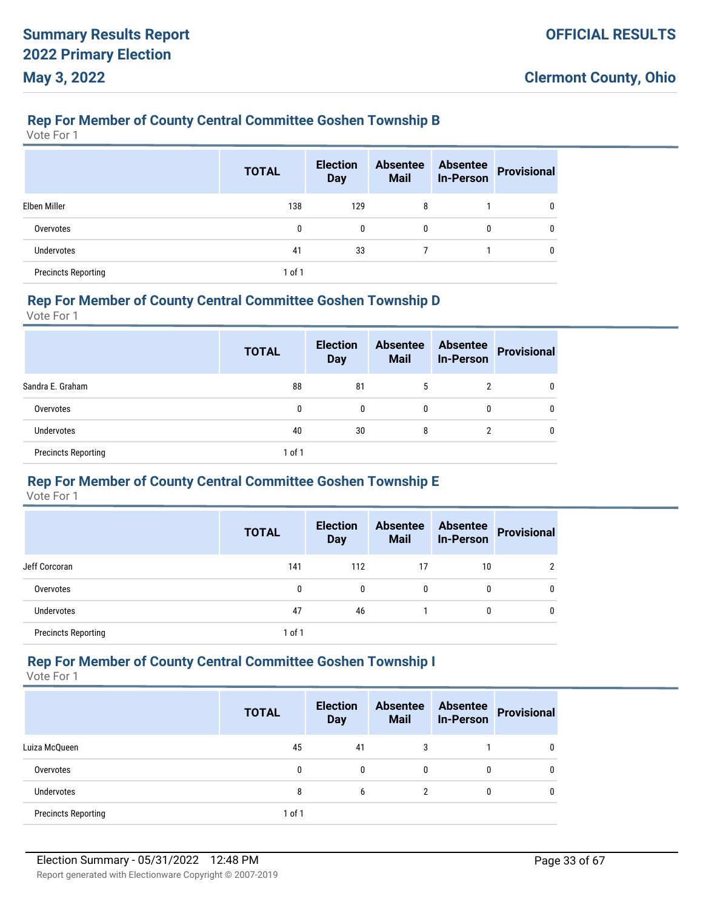### **Rep For Member of County Central Committee Goshen Township B**

Vote For 1

|                            | <b>TOTAL</b> | <b>Election</b><br><b>Day</b> | <b>Absentee</b><br><b>Mail</b> | <b>Absentee</b><br><b>In-Person</b> | <b>Provisional</b> |
|----------------------------|--------------|-------------------------------|--------------------------------|-------------------------------------|--------------------|
| Elben Miller               | 138          | 129                           | 8                              |                                     | 0                  |
| Overvotes                  | 0            | $\mathbf{0}$                  | $\mathbf{0}$                   | 0                                   | 0                  |
| Undervotes                 | 41           | 33                            |                                |                                     | $\Omega$           |
| <b>Precincts Reporting</b> | 1 of 1       |                               |                                |                                     |                    |

#### **Rep For Member of County Central Committee Goshen Township D**

Vote For 1

|                            | <b>TOTAL</b> | <b>Election</b><br><b>Day</b> | <b>Absentee</b><br><b>Mail</b> | <b>Absentee</b><br><b>In-Person</b> | <b>Provisional</b> |
|----------------------------|--------------|-------------------------------|--------------------------------|-------------------------------------|--------------------|
| Sandra E. Graham           | 88           | 81                            | 5                              | 2                                   | 0                  |
| Overvotes                  | 0            | 0                             | 0                              | 0                                   | 0                  |
| <b>Undervotes</b>          | 40           | 30                            | 8                              | 2                                   | 0                  |
| <b>Precincts Reporting</b> | 1 of 1       |                               |                                |                                     |                    |

## **Rep For Member of County Central Committee Goshen Township E**

Vote For 1

|                            | <b>TOTAL</b> | <b>Election</b><br><b>Day</b> | <b>Absentee</b><br><b>Mail</b> | <b>Absentee</b><br><b>In-Person</b> | <b>Provisional</b> |
|----------------------------|--------------|-------------------------------|--------------------------------|-------------------------------------|--------------------|
| Jeff Corcoran              | 141          | 112                           | 17                             | 10                                  | ∩                  |
| Overvotes                  | 0            | 0                             | 0                              | 0                                   | 0                  |
| <b>Undervotes</b>          | 47           | 46                            |                                | 0                                   | Ω                  |
| <b>Precincts Reporting</b> | 1 of 1       |                               |                                |                                     |                    |

#### **Rep For Member of County Central Committee Goshen Township I**

|                            | <b>TOTAL</b> | <b>Election</b><br><b>Day</b> | <b>Absentee</b><br><b>Mail</b> | <b>Absentee</b><br><b>In-Person</b> | <b>Provisional</b> |
|----------------------------|--------------|-------------------------------|--------------------------------|-------------------------------------|--------------------|
| Luiza McQueen              | 45           | 41                            | 3                              |                                     |                    |
| Overvotes                  | 0            | $\mathbf{0}$                  | $\mathbf{0}$                   | 0                                   |                    |
| Undervotes                 | 8            | 6                             | 2                              | 0                                   |                    |
| <b>Precincts Reporting</b> | $1$ of $1$   |                               |                                |                                     |                    |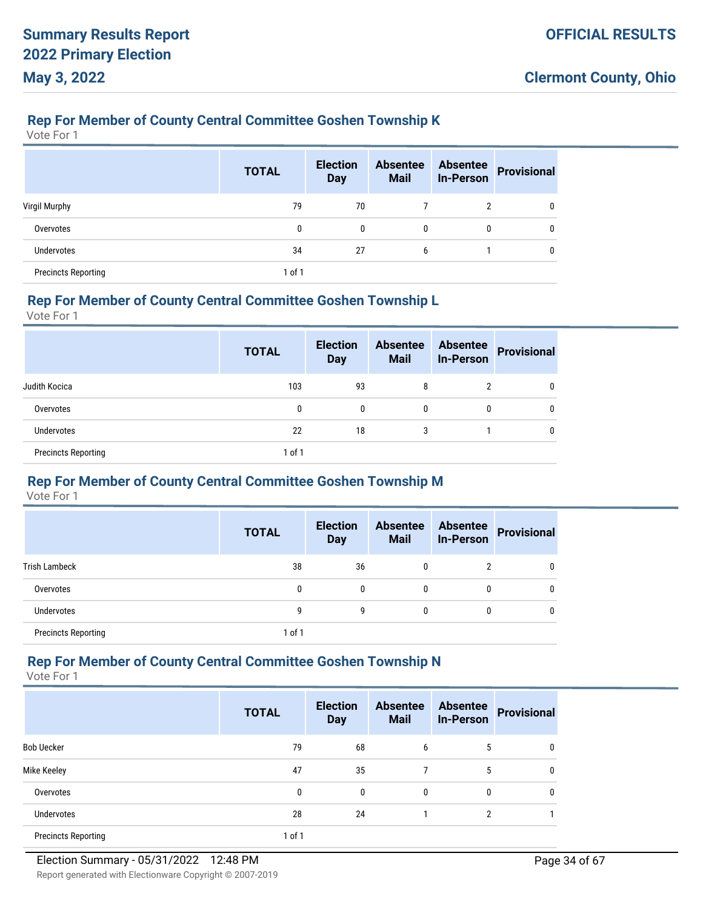#### **Rep For Member of County Central Committee Goshen Township K**

Vote For 1

|                            | <b>TOTAL</b> | <b>Election</b><br><b>Day</b> | <b>Absentee</b><br><b>Mail</b> | <b>Absentee</b><br><b>In-Person</b> | <b>Provisional</b> |
|----------------------------|--------------|-------------------------------|--------------------------------|-------------------------------------|--------------------|
| Virgil Murphy              | 79           | 70                            |                                | 2                                   | 0                  |
| Overvotes                  | 0            | 0                             | $\mathbf{0}$                   | 0                                   | 0                  |
| <b>Undervotes</b>          | 34           | 27                            | 6                              |                                     | 0                  |
| <b>Precincts Reporting</b> | 1 of 1       |                               |                                |                                     |                    |

#### **Rep For Member of County Central Committee Goshen Township L**

Vote For 1

|                            | <b>TOTAL</b> | <b>Election</b><br><b>Day</b> | <b>Absentee</b><br><b>Mail</b> | <b>Absentee</b><br><b>In-Person</b> | <b>Provisional</b> |
|----------------------------|--------------|-------------------------------|--------------------------------|-------------------------------------|--------------------|
| Judith Kocica              | 103          | 93                            | 8                              | າ                                   | 0                  |
| Overvotes                  | 0            | 0                             | 0                              | 0                                   | 0                  |
| Undervotes                 | 22           | 18                            | 3                              |                                     | 0                  |
| <b>Precincts Reporting</b> | 1 of 1       |                               |                                |                                     |                    |

# **Rep For Member of County Central Committee Goshen Township M**

Vote For 1

|                            | <b>TOTAL</b> | <b>Election</b><br><b>Day</b> | <b>Absentee</b><br><b>Mail</b> | <b>Absentee</b><br><b>In-Person</b> | <b>Provisional</b> |
|----------------------------|--------------|-------------------------------|--------------------------------|-------------------------------------|--------------------|
| <b>Trish Lambeck</b>       | 38           | 36                            | 0                              | 2                                   |                    |
| Overvotes                  | 0            | $\mathbf{0}$                  | 0                              | 0                                   |                    |
| <b>Undervotes</b>          | g            | g                             | 0                              | 0                                   |                    |
| <b>Precincts Reporting</b> | 1 of 1       |                               |                                |                                     |                    |

#### **Rep For Member of County Central Committee Goshen Township N**

|                            | <b>TOTAL</b> | <b>Election</b><br><b>Day</b> | <b>Absentee</b><br><b>Mail</b> | <b>Absentee</b><br><b>In-Person</b> | <b>Provisional</b> |
|----------------------------|--------------|-------------------------------|--------------------------------|-------------------------------------|--------------------|
| <b>Bob Uecker</b>          | 79           | 68                            | 6                              | 5                                   |                    |
| Mike Keeley                | 47           | 35                            | 7                              | 5                                   | 0                  |
| Overvotes                  | 0            | $\mathbf{0}$                  | $\mathbf{0}$                   | 0                                   |                    |
| <b>Undervotes</b>          | 28           | 24                            |                                | $\overline{2}$                      |                    |
| <b>Precincts Reporting</b> | 1 of 1       |                               |                                |                                     |                    |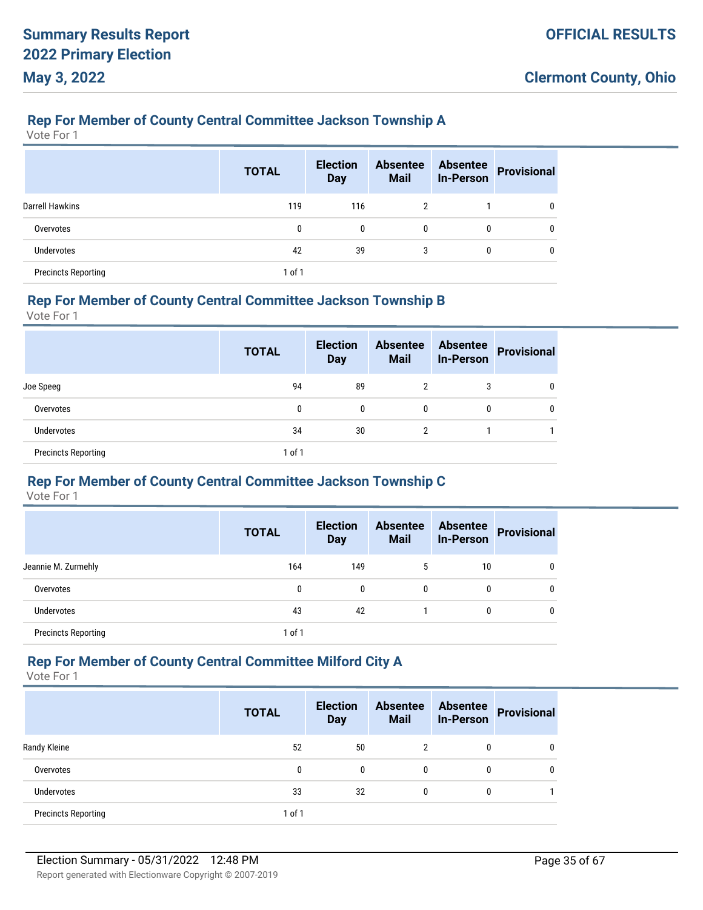### **Rep For Member of County Central Committee Jackson Township A**

Vote For 1

|                            | <b>TOTAL</b> | <b>Election</b><br><b>Day</b> | <b>Absentee</b><br><b>Mail</b> | <b>Absentee</b><br><b>In-Person</b> | <b>Provisional</b> |
|----------------------------|--------------|-------------------------------|--------------------------------|-------------------------------------|--------------------|
| <b>Darrell Hawkins</b>     | 119          | 116                           | $\overline{2}$                 |                                     | 0                  |
| Overvotes                  | 0            | $\mathbf{0}$                  | 0                              | 0                                   | 0                  |
| <b>Undervotes</b>          | 42           | 39                            | 3                              | 0                                   | $\Omega$           |
| <b>Precincts Reporting</b> | 1 of 1       |                               |                                |                                     |                    |

#### **Rep For Member of County Central Committee Jackson Township B**

Vote For 1

|                            | <b>TOTAL</b> | <b>Election</b><br><b>Day</b> | <b>Absentee</b><br><b>Mail</b> | <b>Absentee</b><br><b>In-Person</b> | <b>Provisional</b> |
|----------------------------|--------------|-------------------------------|--------------------------------|-------------------------------------|--------------------|
| Joe Speeg                  | 94           | 89                            | 2                              | 3                                   |                    |
| Overvotes                  | 0            | 0                             | $\mathbf{0}$                   | 0                                   | 0                  |
| Undervotes                 | 34           | 30                            | 2                              |                                     |                    |
| <b>Precincts Reporting</b> | 1 of 1       |                               |                                |                                     |                    |

#### **Rep For Member of County Central Committee Jackson Township C**

Vote For 1

|                            | <b>TOTAL</b> | <b>Election</b><br><b>Day</b> | <b>Absentee</b><br><b>Mail</b> | <b>Absentee</b><br><b>In-Person</b> | <b>Provisional</b> |
|----------------------------|--------------|-------------------------------|--------------------------------|-------------------------------------|--------------------|
| Jeannie M. Zurmehly        | 164          | 149                           | 5                              | 10                                  | 0                  |
| Overvotes                  | 0            | $\mathbf{0}$                  | 0                              | 0                                   | 0                  |
| <b>Undervotes</b>          | 43           | 42                            |                                | 0                                   | 0                  |
| <b>Precincts Reporting</b> | 1 of 1       |                               |                                |                                     |                    |

### **Rep For Member of County Central Committee Milford City A**

|                            | <b>TOTAL</b> | <b>Election</b><br><b>Day</b> | <b>Absentee</b><br><b>Mail</b> | <b>Absentee</b><br><b>In-Person</b> | <b>Provisional</b> |
|----------------------------|--------------|-------------------------------|--------------------------------|-------------------------------------|--------------------|
| Randy Kleine               | 52           | 50                            |                                | 0                                   |                    |
| Overvotes                  | 0            | $\mathbf{0}$                  | 0                              | 0                                   |                    |
| Undervotes                 | 33           | 32                            | 0                              | 0                                   |                    |
| <b>Precincts Reporting</b> | 1 of 1       |                               |                                |                                     |                    |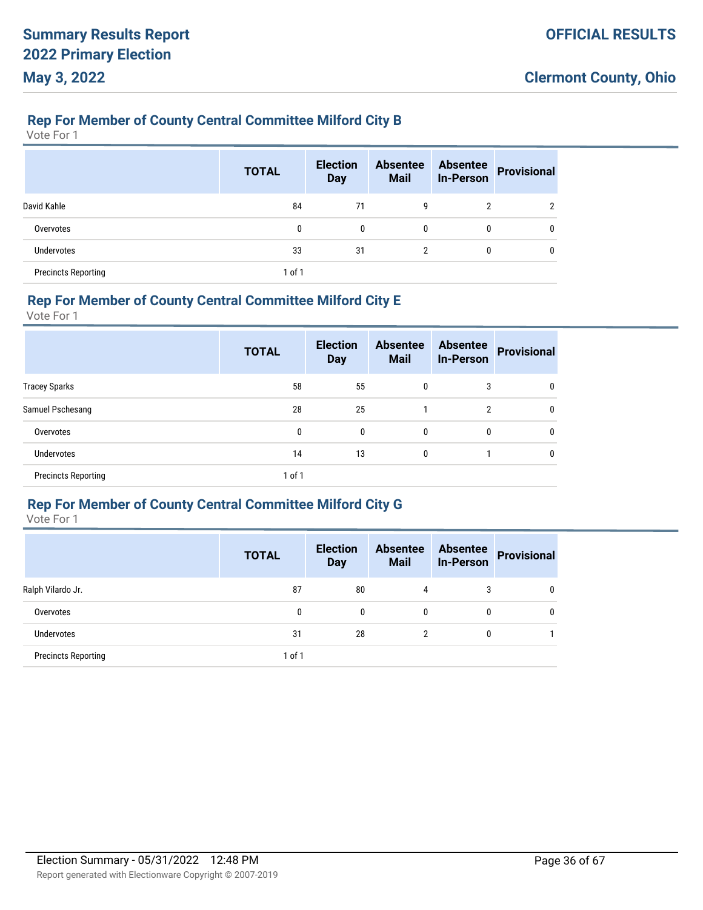### **Rep For Member of County Central Committee Milford City B**

Vote For 1

|                            | <b>TOTAL</b> | <b>Election</b><br><b>Day</b> | <b>Absentee</b><br><b>Mail</b> | <b>Absentee</b><br><b>In-Person</b> | <b>Provisional</b> |
|----------------------------|--------------|-------------------------------|--------------------------------|-------------------------------------|--------------------|
| David Kahle                | 84           | 71                            | 9                              | 2                                   | າ                  |
| Overvotes                  | 0            | 0                             | 0                              | 0                                   | 0                  |
| <b>Undervotes</b>          | 33           | 31                            | $\overline{2}$                 | 0                                   | 0                  |
| <b>Precincts Reporting</b> | $1$ of $1$   |                               |                                |                                     |                    |

#### **Rep For Member of County Central Committee Milford City E**

Vote For 1

|                            | <b>TOTAL</b> | <b>Election</b><br><b>Day</b> | <b>Absentee</b><br><b>Mail</b> | <b>Absentee</b><br><b>In-Person</b> | <b>Provisional</b> |
|----------------------------|--------------|-------------------------------|--------------------------------|-------------------------------------|--------------------|
| <b>Tracey Sparks</b>       | 58           | 55                            | $\mathbf{0}$                   | 3                                   |                    |
| Samuel Pschesang           | 28           | 25                            |                                | $\overline{2}$                      | 0                  |
| Overvotes                  | 0            | $\mathbf{0}$                  | $\mathbf{0}$                   | 0                                   | 0                  |
| <b>Undervotes</b>          | 14           | 13                            | $\mathbf{0}$                   |                                     |                    |
| <b>Precincts Reporting</b> | $1$ of $1$   |                               |                                |                                     |                    |

# **Rep For Member of County Central Committee Milford City G**

|                            | <b>TOTAL</b> | <b>Election</b><br><b>Day</b> | <b>Absentee</b><br><b>Mail</b> | <b>Absentee</b><br><b>In-Person</b> | <b>Provisional</b> |
|----------------------------|--------------|-------------------------------|--------------------------------|-------------------------------------|--------------------|
| Ralph Vilardo Jr.          | 87           | 80                            | 4                              | 3                                   | $\mathbf{0}$       |
| Overvotes                  | 0            | 0                             | 0                              | 0                                   | 0                  |
| <b>Undervotes</b>          | 31           | 28                            | $\overline{2}$                 | 0                                   |                    |
| <b>Precincts Reporting</b> | 1 of 1       |                               |                                |                                     |                    |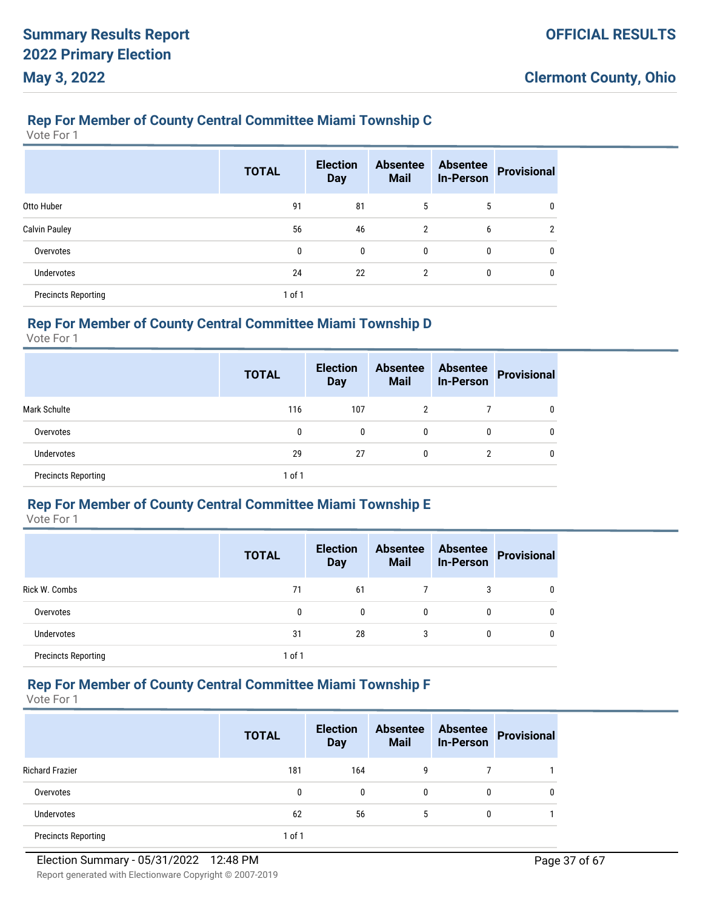### **Rep For Member of County Central Committee Miami Township C**

Vote For 1

|                            | <b>TOTAL</b> | <b>Election</b><br><b>Day</b> | <b>Absentee</b><br><b>Mail</b> | <b>Absentee</b><br><b>In-Person</b> | <b>Provisional</b> |
|----------------------------|--------------|-------------------------------|--------------------------------|-------------------------------------|--------------------|
| Otto Huber                 | 91           | 81                            | 5                              | 5                                   | 0                  |
| <b>Calvin Pauley</b>       | 56           | 46                            | 2                              | 6                                   | າ                  |
| Overvotes                  | 0            | $\mathbf{0}$                  | 0                              | 0                                   | 0                  |
| <b>Undervotes</b>          | 24           | 22                            | 2                              | 0                                   | 0                  |
| <b>Precincts Reporting</b> | 1 of 1       |                               |                                |                                     |                    |

# **Rep For Member of County Central Committee Miami Township D**

Vote For 1

|                            | <b>TOTAL</b> | <b>Election</b><br><b>Day</b> | <b>Absentee</b><br><b>Mail</b> | <b>Absentee</b><br><b>In-Person</b> | <b>Provisional</b> |
|----------------------------|--------------|-------------------------------|--------------------------------|-------------------------------------|--------------------|
| <b>Mark Schulte</b>        | 116          | 107                           | 2                              |                                     | 0                  |
| Overvotes                  | 0            | 0                             | 0                              | 0                                   | 0                  |
| <b>Undervotes</b>          | 29           | 27                            | 0                              | 2                                   | 0                  |
| <b>Precincts Reporting</b> | $1$ of $1$   |                               |                                |                                     |                    |

### **Rep For Member of County Central Committee Miami Township E**

Vote For 1

|                            | <b>TOTAL</b> | <b>Election</b><br><b>Day</b> | <b>Absentee</b><br><b>Mail</b> | <b>Absentee</b><br><b>In-Person</b> | <b>Provisional</b> |
|----------------------------|--------------|-------------------------------|--------------------------------|-------------------------------------|--------------------|
| Rick W. Combs              | 71           | 61                            |                                | 3                                   | 0                  |
| Overvotes                  | 0            | 0                             | 0                              | 0                                   | 0                  |
| <b>Undervotes</b>          | 31           | 28                            | 3                              | 0                                   | 0                  |
| <b>Precincts Reporting</b> | 1 of 1       |                               |                                |                                     |                    |

# **Rep For Member of County Central Committee Miami Township F**

|                            | <b>TOTAL</b> | <b>Election</b><br><b>Day</b> | <b>Absentee</b><br><b>Mail</b> | <b>Absentee</b><br><b>In-Person</b> | Provisional |
|----------------------------|--------------|-------------------------------|--------------------------------|-------------------------------------|-------------|
| <b>Richard Frazier</b>     | 181          | 164                           | g                              |                                     |             |
| Overvotes                  | 0            | $\mathbf{0}$                  | 0                              | 0                                   | 0           |
| <b>Undervotes</b>          | 62           | 56                            | 5                              | 0                                   |             |
| <b>Precincts Reporting</b> | 1 of 1       |                               |                                |                                     |             |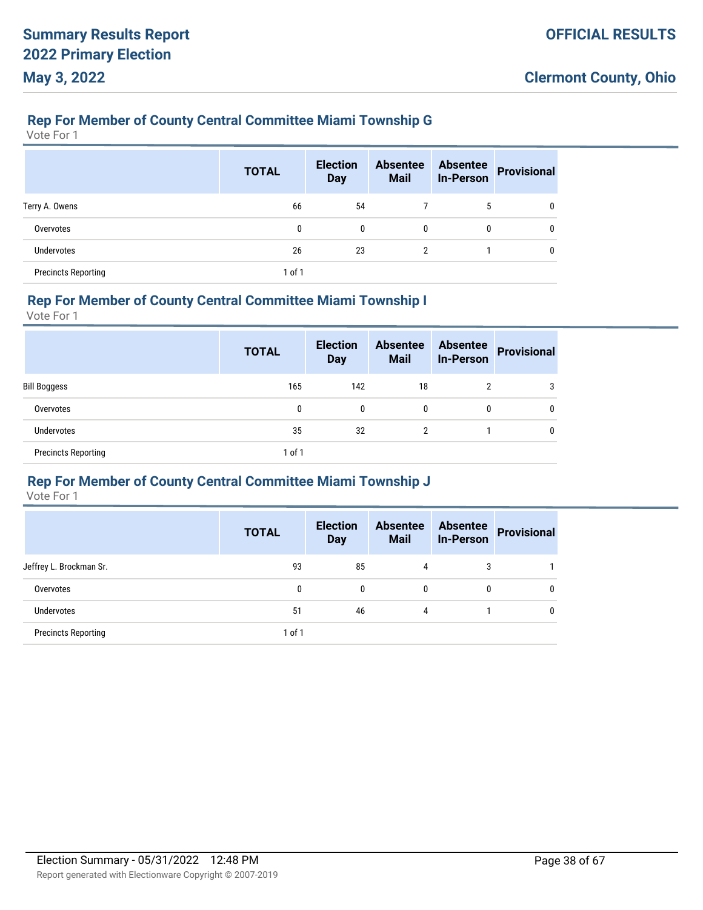# **Rep For Member of County Central Committee Miami Township G**

Vote For 1

|                            | <b>TOTAL</b> | <b>Election</b><br><b>Day</b> | <b>Absentee</b><br><b>Mail</b> | <b>Absentee</b><br><b>In-Person</b> | Provisional  |
|----------------------------|--------------|-------------------------------|--------------------------------|-------------------------------------|--------------|
| Terry A. Owens             | 66           | 54                            |                                | 5                                   | 0            |
| Overvotes                  | 0            | 0                             | $\mathbf{0}$                   | 0                                   | $\mathbf{0}$ |
| <b>Undervotes</b>          | 26           | 23                            | 2                              |                                     | 0            |
| <b>Precincts Reporting</b> | $1$ of $1$   |                               |                                |                                     |              |

#### **Rep For Member of County Central Committee Miami Township I**

Vote For 1

|                            | <b>TOTAL</b> | <b>Election</b><br><b>Day</b> | <b>Absentee</b><br><b>Mail</b> | <b>Absentee</b><br><b>In-Person</b> | <b>Provisional</b> |
|----------------------------|--------------|-------------------------------|--------------------------------|-------------------------------------|--------------------|
| Bill Boggess               | 165          | 142                           | 18                             | 2                                   | 3                  |
| Overvotes                  | 0            | 0                             | $\mathbf{0}$                   | 0                                   | 0                  |
| <b>Undervotes</b>          | 35           | 32                            | $\mathfrak{p}$                 |                                     | 0                  |
| <b>Precincts Reporting</b> | $1$ of $1$   |                               |                                |                                     |                    |

#### **Rep For Member of County Central Committee Miami Township J**

|                            | <b>TOTAL</b> | <b>Election</b><br><b>Day</b> | <b>Absentee</b><br><b>Mail</b> | <b>Absentee</b><br><b>In-Person</b> | <b>Provisional</b> |
|----------------------------|--------------|-------------------------------|--------------------------------|-------------------------------------|--------------------|
| Jeffrey L. Brockman Sr.    | 93           | 85                            | 4                              | 3                                   |                    |
| Overvotes                  | 0            | $\mathbf{0}$                  | $\mathbf{0}$                   | 0                                   |                    |
| <b>Undervotes</b>          | 51           | 46                            | 4                              |                                     |                    |
| <b>Precincts Reporting</b> | $1$ of $1$   |                               |                                |                                     |                    |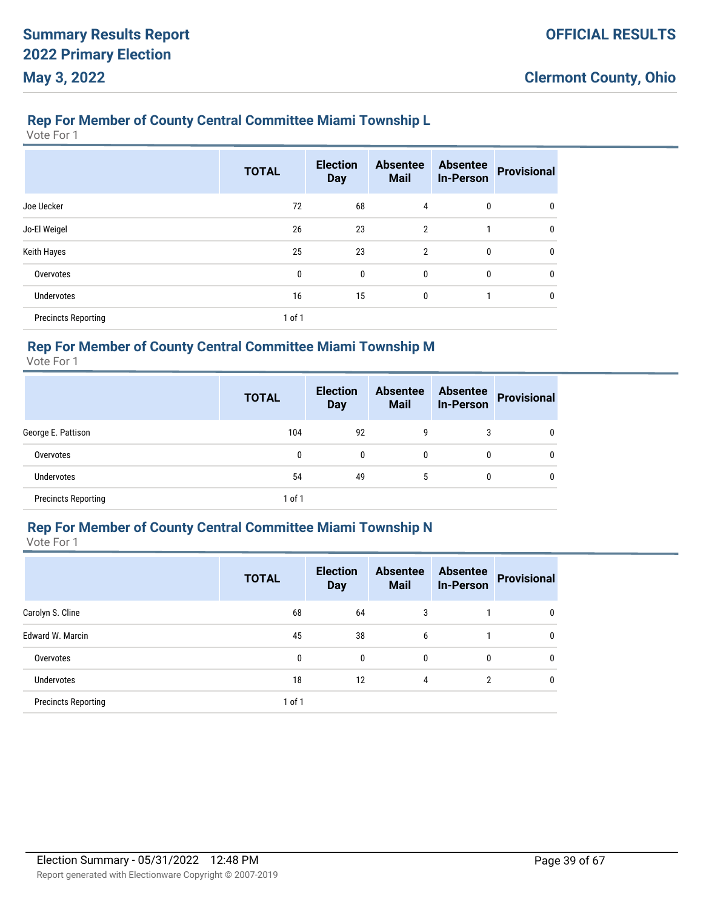# **Rep For Member of County Central Committee Miami Township L**

Vote For 1

|                            | <b>TOTAL</b> | <b>Election</b><br><b>Day</b> | <b>Absentee</b><br><b>Mail</b> | <b>Absentee</b><br><b>In-Person</b> | <b>Provisional</b> |
|----------------------------|--------------|-------------------------------|--------------------------------|-------------------------------------|--------------------|
| Joe Uecker                 | 72           | 68                            | 4                              | 0                                   | 0                  |
| Jo-El Weigel               | 26           | 23                            | $\overline{2}$                 | 1                                   | 0                  |
| Keith Hayes                | 25           | 23                            | $\overline{2}$                 | 0                                   | 0                  |
| Overvotes                  | 0            | 0                             | $\mathbf{0}$                   | $\mathbf 0$                         | 0                  |
| <b>Undervotes</b>          | 16           | 15                            | 0                              |                                     | 0                  |
| <b>Precincts Reporting</b> | 1 of 1       |                               |                                |                                     |                    |

### **Rep For Member of County Central Committee Miami Township M**

Vote For 1

|                            | <b>TOTAL</b> | <b>Election</b><br><b>Day</b> | <b>Absentee</b><br><b>Mail</b> | <b>Absentee</b><br><b>In-Person</b> | <b>Provisional</b> |
|----------------------------|--------------|-------------------------------|--------------------------------|-------------------------------------|--------------------|
| George E. Pattison         | 104          | 92                            | 9                              | 3                                   | $\mathbf{0}$       |
| Overvotes                  | 0            | 0                             | 0                              | 0                                   | $\mathbf{0}$       |
| <b>Undervotes</b>          | 54           | 49                            | 5                              | 0                                   | $\mathbf{0}$       |
| <b>Precincts Reporting</b> | 1 of 1       |                               |                                |                                     |                    |

# **Rep For Member of County Central Committee Miami Township N**

|                            | <b>TOTAL</b> | <b>Election</b><br><b>Day</b> | <b>Absentee</b><br><b>Mail</b> | <b>Absentee</b><br><b>In-Person</b> | <b>Provisional</b> |
|----------------------------|--------------|-------------------------------|--------------------------------|-------------------------------------|--------------------|
| Carolyn S. Cline           | 68           | 64                            | 3                              |                                     | 0                  |
| Edward W. Marcin           | 45           | 38                            | 6                              |                                     | 0                  |
| Overvotes                  | 0            | 0                             | 0                              | 0                                   | 0                  |
| <b>Undervotes</b>          | 18           | 12                            | 4                              | 2                                   | 0                  |
| <b>Precincts Reporting</b> | 1 of 1       |                               |                                |                                     |                    |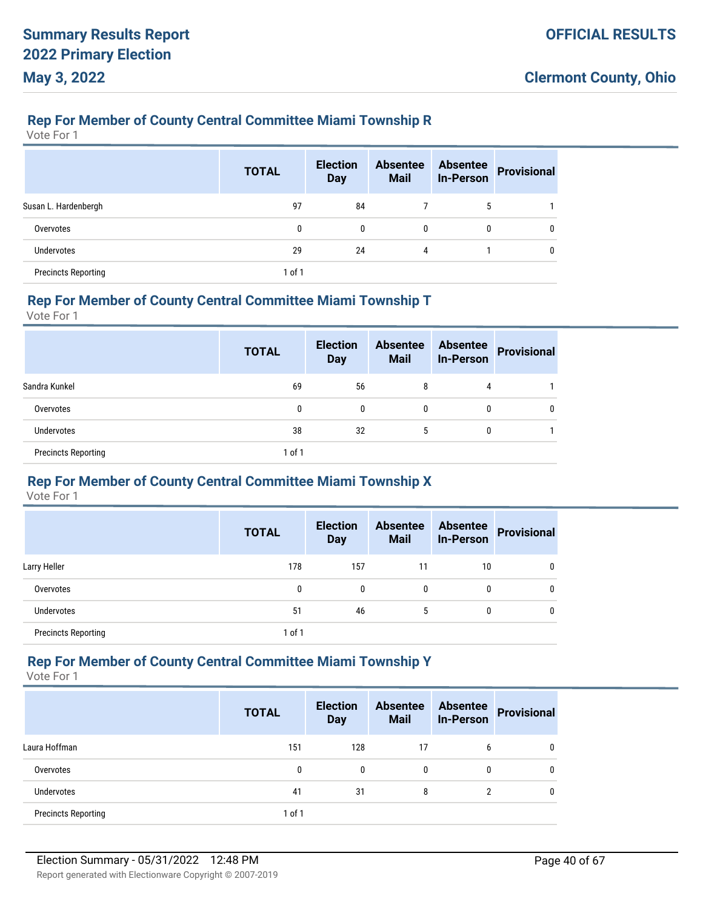### **Rep For Member of County Central Committee Miami Township R**

Vote For 1

|                            | <b>TOTAL</b> | <b>Election</b><br><b>Day</b> | <b>Absentee</b><br><b>Mail</b> | <b>Absentee</b><br><b>In-Person</b> | <b>Provisional</b> |
|----------------------------|--------------|-------------------------------|--------------------------------|-------------------------------------|--------------------|
| Susan L. Hardenbergh       | 97           | 84                            |                                | 5                                   |                    |
| Overvotes                  | 0            | 0                             | $\Omega$                       | 0                                   | 0                  |
| <b>Undervotes</b>          | 29           | 24                            | 4                              |                                     | 0                  |
| <b>Precincts Reporting</b> | $1$ of $1$   |                               |                                |                                     |                    |

#### **Rep For Member of County Central Committee Miami Township T**

Vote For 1

|                            | <b>TOTAL</b> | <b>Election</b><br><b>Day</b> | <b>Absentee</b><br><b>Mail</b> | <b>Absentee</b><br><b>In-Person</b> | <b>Provisional</b> |
|----------------------------|--------------|-------------------------------|--------------------------------|-------------------------------------|--------------------|
| Sandra Kunkel              | 69           | 56                            | 8                              | 4                                   |                    |
| Overvotes                  | 0            | 0                             | 0                              | 0                                   |                    |
| <b>Undervotes</b>          | 38           | 32                            | 5                              | 0                                   |                    |
| <b>Precincts Reporting</b> | 1 of 1       |                               |                                |                                     |                    |

#### **Rep For Member of County Central Committee Miami Township X**

Vote For 1

|                            | <b>TOTAL</b> | <b>Election</b><br><b>Day</b> | <b>Absentee</b><br><b>Mail</b> | <b>Absentee</b><br><b>In-Person</b> | <b>Provisional</b> |
|----------------------------|--------------|-------------------------------|--------------------------------|-------------------------------------|--------------------|
| Larry Heller               | 178          | 157                           | 11                             | 10                                  |                    |
| Overvotes                  | 0            | $\mathbf{0}$                  | 0                              | 0                                   | 0                  |
| <b>Undervotes</b>          | 51           | 46                            | 5                              | 0                                   | 0                  |
| <b>Precincts Reporting</b> | 1 of 1       |                               |                                |                                     |                    |

#### **Rep For Member of County Central Committee Miami Township Y**

|                            | <b>TOTAL</b> | <b>Election</b><br><b>Day</b> | <b>Absentee</b><br><b>Mail</b> | <b>Absentee</b><br><b>In-Person</b> | <b>Provisional</b> |
|----------------------------|--------------|-------------------------------|--------------------------------|-------------------------------------|--------------------|
| Laura Hoffman              | 151          | 128                           | 17                             | 6                                   | 0                  |
| Overvotes                  | 0            | 0                             | $\mathbf{0}$                   | 0                                   | 0                  |
| <b>Undervotes</b>          | 41           | 31                            | 8                              |                                     | 0                  |
| <b>Precincts Reporting</b> | 1 of 1       |                               |                                |                                     |                    |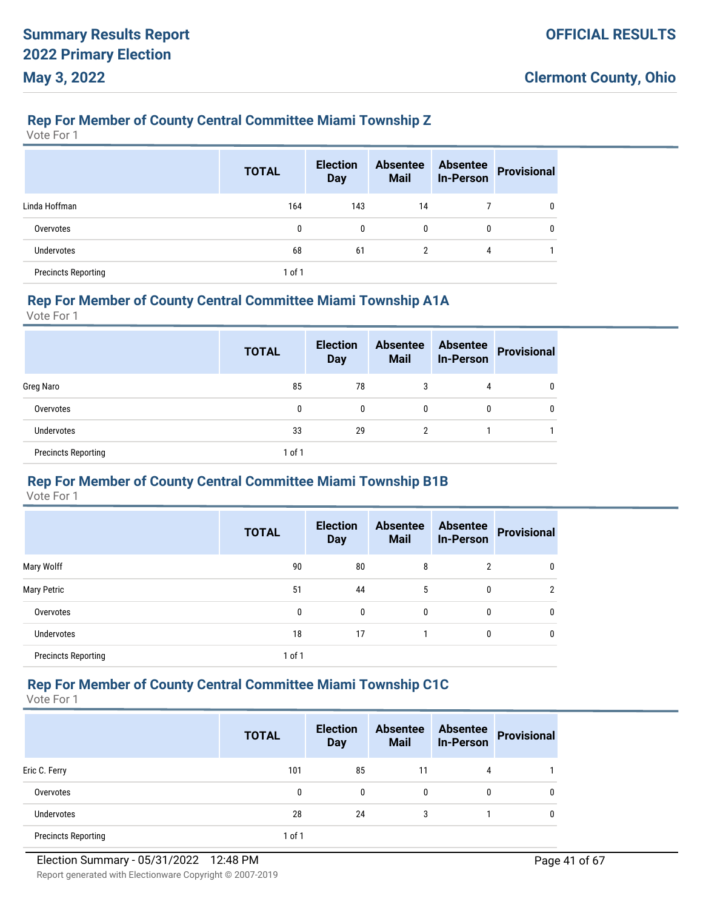### **Rep For Member of County Central Committee Miami Township Z**

Vote For 1

|                            | <b>TOTAL</b> | <b>Election</b><br><b>Day</b> | <b>Absentee</b><br><b>Mail</b> | <b>Absentee</b><br><b>In-Person</b> | <b>Provisional</b> |
|----------------------------|--------------|-------------------------------|--------------------------------|-------------------------------------|--------------------|
| Linda Hoffman              | 164          | 143                           | 14                             |                                     | 0                  |
| Overvotes                  | 0            | 0                             | 0                              | 0                                   | 0                  |
| <b>Undervotes</b>          | 68           | 61                            | 2                              | 4                                   |                    |
| <b>Precincts Reporting</b> | $1$ of $1$   |                               |                                |                                     |                    |

#### **Rep For Member of County Central Committee Miami Township A1A**

Vote For 1

|                            | <b>TOTAL</b> | <b>Election</b><br><b>Day</b> | <b>Absentee</b><br><b>Mail</b> | <b>Absentee</b><br><b>In-Person</b> | <b>Provisional</b> |
|----------------------------|--------------|-------------------------------|--------------------------------|-------------------------------------|--------------------|
| Greg Naro                  | 85           | 78                            | 3                              | 4                                   |                    |
| Overvotes                  | 0            | 0                             | 0                              | 0                                   |                    |
| <b>Undervotes</b>          | 33           | 29                            | 2                              |                                     |                    |
| <b>Precincts Reporting</b> | $1$ of $1$   |                               |                                |                                     |                    |

# **Rep For Member of County Central Committee Miami Township B1B**

Vote For 1

|                            | <b>TOTAL</b> | <b>Election</b><br><b>Day</b> | <b>Absentee</b><br><b>Mail</b> | <b>Absentee</b><br><b>In-Person</b> | <b>Provisional</b> |
|----------------------------|--------------|-------------------------------|--------------------------------|-------------------------------------|--------------------|
| Mary Wolff                 | 90           | 80                            | 8                              | $\overline{2}$                      | 0                  |
| <b>Mary Petric</b>         | 51           | 44                            | 5                              | 0                                   | 2                  |
| Overvotes                  | 0            | 0                             | 0                              | 0                                   | 0                  |
| <b>Undervotes</b>          | 18           | 17                            |                                | 0                                   | $\mathbf{0}$       |
| <b>Precincts Reporting</b> | 1 of 1       |                               |                                |                                     |                    |

# **Rep For Member of County Central Committee Miami Township C1C**

|                            | <b>TOTAL</b> | <b>Election</b><br><b>Day</b> | <b>Absentee</b><br><b>Mail</b> | <b>Absentee</b><br><b>In-Person</b> | <b>Provisional</b> |
|----------------------------|--------------|-------------------------------|--------------------------------|-------------------------------------|--------------------|
| Eric C. Ferry              | 101          | 85                            | 11                             | 4                                   |                    |
| Overvotes                  | 0            | 0                             | $\mathbf{0}$                   | 0                                   |                    |
| <b>Undervotes</b>          | 28           | 24                            | 3                              |                                     |                    |
| <b>Precincts Reporting</b> | 1 of 1       |                               |                                |                                     |                    |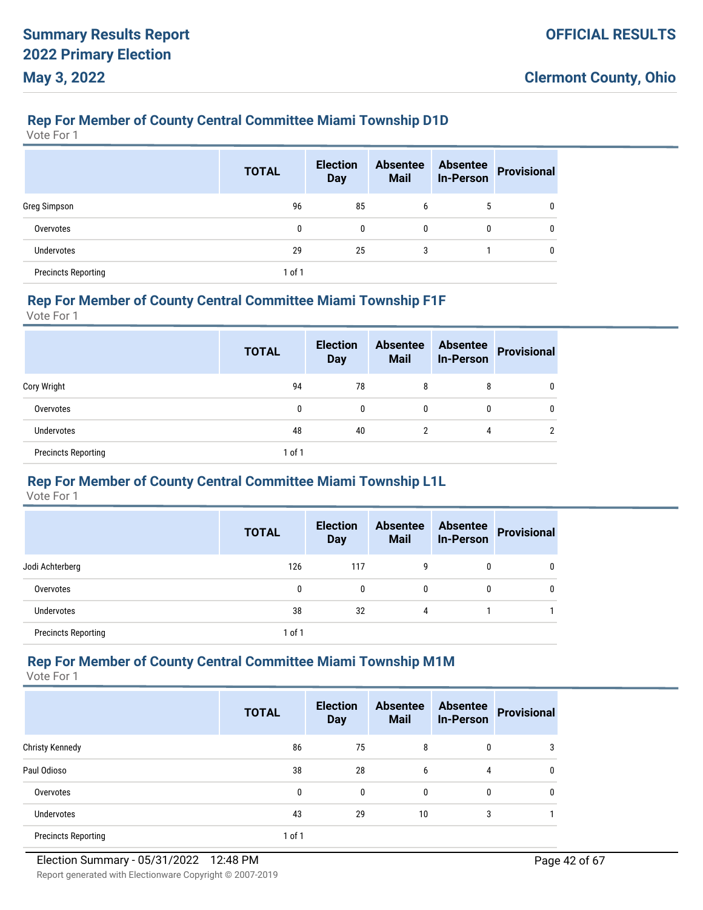### **Rep For Member of County Central Committee Miami Township D1D**

Vote For 1

|                            | <b>TOTAL</b> | <b>Election</b><br><b>Day</b> | <b>Absentee</b><br><b>Mail</b> | <b>Absentee</b><br><b>In-Person</b> | <b>Provisional</b> |
|----------------------------|--------------|-------------------------------|--------------------------------|-------------------------------------|--------------------|
| Greg Simpson               | 96           | 85                            | 6                              | 5                                   | 0                  |
| Overvotes                  | 0            | 0                             | $\mathbf{0}$                   | 0                                   | 0                  |
| <b>Undervotes</b>          | 29           | 25                            | 3                              |                                     | 0                  |
| <b>Precincts Reporting</b> | 1 of 1       |                               |                                |                                     |                    |

#### **Rep For Member of County Central Committee Miami Township F1F**

Vote For 1

|                            | <b>TOTAL</b> | <b>Election</b><br><b>Day</b> | <b>Absentee</b><br><b>Mail</b> | <b>Absentee</b><br><b>In-Person</b> | <b>Provisional</b> |
|----------------------------|--------------|-------------------------------|--------------------------------|-------------------------------------|--------------------|
| Cory Wright                | 94           | 78                            | 8                              | 8                                   | 0                  |
| Overvotes                  | 0            | 0                             | 0                              | 0                                   | 0                  |
| Undervotes                 | 48           | 40                            | 2                              | 4                                   | ∩                  |
| <b>Precincts Reporting</b> | $1$ of $1$   |                               |                                |                                     |                    |

#### **Rep For Member of County Central Committee Miami Township L1L**

Vote For 1

|                            | <b>TOTAL</b> | <b>Election</b><br><b>Day</b> | <b>Absentee</b><br><b>Mail</b> | <b>Absentee</b><br><b>In-Person</b> | <b>Provisional</b> |
|----------------------------|--------------|-------------------------------|--------------------------------|-------------------------------------|--------------------|
| Jodi Achterberg            | 126          | 117                           | 9                              | 0                                   | 0                  |
| Overvotes                  | 0            | 0                             | $\mathbf{0}$                   | 0                                   | 0                  |
| <b>Undervotes</b>          | 38           | 32                            | 4                              |                                     |                    |
| <b>Precincts Reporting</b> | $1$ of $1$   |                               |                                |                                     |                    |

#### **Rep For Member of County Central Committee Miami Township M1M**

|                            | <b>TOTAL</b> | <b>Election</b><br><b>Day</b> | <b>Absentee</b><br><b>Mail</b> | <b>Absentee</b><br><b>In-Person</b> | <b>Provisional</b> |
|----------------------------|--------------|-------------------------------|--------------------------------|-------------------------------------|--------------------|
| <b>Christy Kennedy</b>     | 86           | 75                            | 8                              | 0                                   | 3                  |
| Paul Odioso                | 38           | 28                            | 6                              | 4                                   | 0                  |
| Overvotes                  | 0            | 0                             | 0                              | 0                                   | 0                  |
| Undervotes                 | 43           | 29                            | 10                             | 3                                   |                    |
| <b>Precincts Reporting</b> | 1 of 1       |                               |                                |                                     |                    |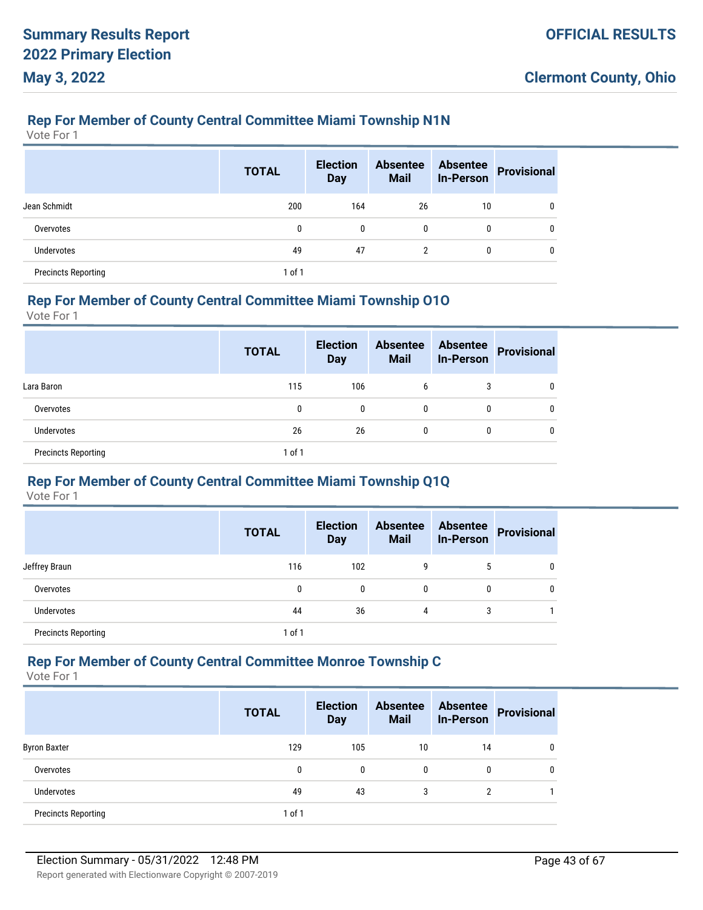### **Rep For Member of County Central Committee Miami Township N1N**

Vote For 1

|                            | <b>TOTAL</b> | <b>Election</b><br><b>Day</b> | <b>Absentee</b><br><b>Mail</b> | <b>Absentee</b><br><b>In-Person</b> | <b>Provisional</b> |
|----------------------------|--------------|-------------------------------|--------------------------------|-------------------------------------|--------------------|
| Jean Schmidt               | 200          | 164                           | 26                             | 10                                  | 0                  |
| Overvotes                  | 0            | 0                             | 0                              | 0                                   | 0                  |
| <b>Undervotes</b>          | 49           | 47                            | 2                              | 0                                   | 0                  |
| <b>Precincts Reporting</b> | $1$ of $1$   |                               |                                |                                     |                    |

#### **Rep For Member of County Central Committee Miami Township O1O**

Vote For 1

|                            | <b>TOTAL</b> | <b>Election</b><br><b>Day</b> | <b>Absentee</b><br><b>Mail</b> | <b>Absentee</b><br><b>In-Person</b> | Provisional |
|----------------------------|--------------|-------------------------------|--------------------------------|-------------------------------------|-------------|
| Lara Baron                 | 115          | 106                           | 6                              | 3                                   | 0           |
| Overvotes                  | 0            | 0                             | $\mathbf{0}$                   | 0                                   | 0           |
| <b>Undervotes</b>          | 26           | 26                            | $\mathbf{0}$                   | 0                                   | 0           |
| <b>Precincts Reporting</b> | $1$ of $1$   |                               |                                |                                     |             |

#### **Rep For Member of County Central Committee Miami Township Q1Q**

Vote For 1

|                            | <b>TOTAL</b> | <b>Election</b><br><b>Day</b> | <b>Absentee</b><br><b>Mail</b> | <b>Absentee</b><br><b>In-Person</b> | <b>Provisional</b> |
|----------------------------|--------------|-------------------------------|--------------------------------|-------------------------------------|--------------------|
| Jeffrey Braun              | 116          | 102                           | 9                              | 5                                   |                    |
| Overvotes                  | 0            | $\mathbf{0}$                  | 0                              | 0                                   |                    |
| <b>Undervotes</b>          | 44           | 36                            | 4                              | 3                                   |                    |
| <b>Precincts Reporting</b> | 1 of 1       |                               |                                |                                     |                    |

#### **Rep For Member of County Central Committee Monroe Township C**

|                            | <b>TOTAL</b> | <b>Election</b><br><b>Day</b> | <b>Absentee</b><br><b>Mail</b> | <b>Absentee</b><br><b>In-Person</b> | <b>Provisional</b> |
|----------------------------|--------------|-------------------------------|--------------------------------|-------------------------------------|--------------------|
| <b>Byron Baxter</b>        | 129          | 105                           | 10                             | 14                                  |                    |
| Overvotes                  | 0            | 0                             | $\mathbf{0}$                   | 0                                   |                    |
| <b>Undervotes</b>          | 49           | 43                            | 3                              | っ                                   |                    |
| <b>Precincts Reporting</b> | $1$ of $1$   |                               |                                |                                     |                    |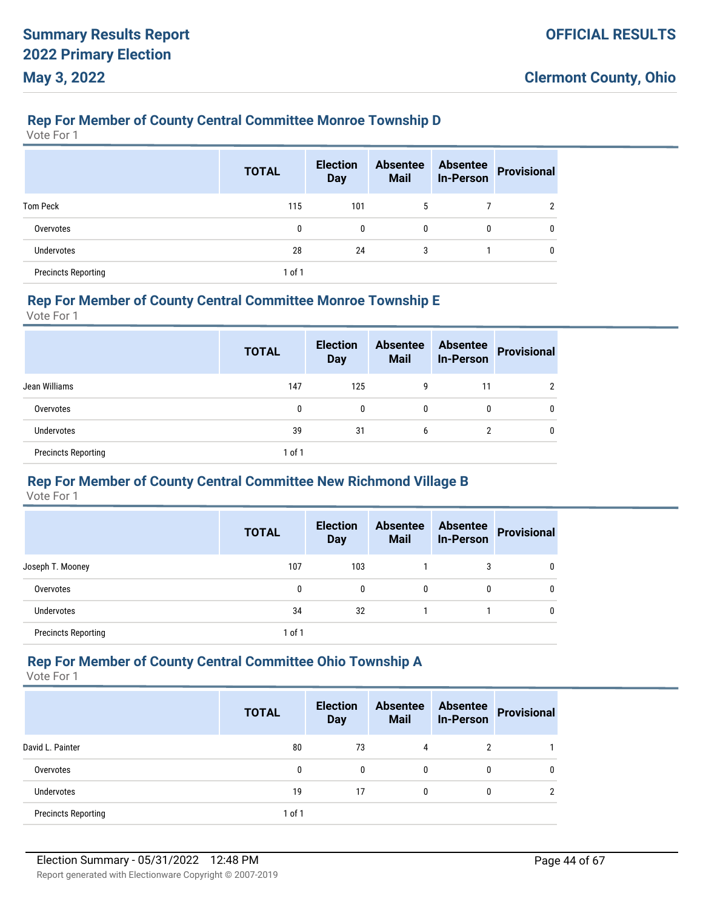### **Rep For Member of County Central Committee Monroe Township D**

Vote For 1

|                            | <b>TOTAL</b> | <b>Election</b><br><b>Day</b> | <b>Absentee</b><br><b>Mail</b> | <b>Absentee</b><br><b>In-Person</b> | <b>Provisional</b> |
|----------------------------|--------------|-------------------------------|--------------------------------|-------------------------------------|--------------------|
| <b>Tom Peck</b>            | 115          | 101                           | 5                              |                                     | າ                  |
| Overvotes                  | 0            | 0                             | 0                              | 0                                   | 0                  |
| <b>Undervotes</b>          | 28           | 24                            | 3                              |                                     | $\mathbf{0}$       |
| <b>Precincts Reporting</b> | $1$ of $1$   |                               |                                |                                     |                    |

#### **Rep For Member of County Central Committee Monroe Township E**

Vote For 1

|                            | <b>TOTAL</b> | <b>Election</b><br><b>Day</b> | <b>Absentee</b><br><b>Mail</b> | <b>Absentee</b><br><b>In-Person</b> | <b>Provisional</b> |
|----------------------------|--------------|-------------------------------|--------------------------------|-------------------------------------|--------------------|
| Jean Williams              | 147          | 125                           | g                              | 11                                  |                    |
| Overvotes                  | 0            | 0                             | 0                              | 0                                   | 0                  |
| Undervotes                 | 39           | 31                            | 6                              | 2                                   | 0                  |
| <b>Precincts Reporting</b> | $1$ of $1$   |                               |                                |                                     |                    |

#### **Rep For Member of County Central Committee New Richmond Village B**

Vote For 1

|                            | <b>TOTAL</b> | <b>Election</b><br><b>Day</b> | <b>Absentee</b><br><b>Mail</b> | <b>Absentee</b><br><b>In-Person</b> | <b>Provisional</b> |
|----------------------------|--------------|-------------------------------|--------------------------------|-------------------------------------|--------------------|
| Joseph T. Mooney           | 107          | 103                           |                                | 3                                   | 0                  |
| Overvotes                  | 0            | 0                             | 0                              | 0                                   |                    |
| <b>Undervotes</b>          | 34           | 32                            |                                |                                     |                    |
| <b>Precincts Reporting</b> | 1 of 1       |                               |                                |                                     |                    |

#### **Rep For Member of County Central Committee Ohio Township A**

|                            | <b>TOTAL</b> | <b>Election</b><br><b>Day</b> | <b>Absentee</b><br><b>Mail</b> | <b>Absentee</b><br><b>In-Person</b> | Provisional |
|----------------------------|--------------|-------------------------------|--------------------------------|-------------------------------------|-------------|
| David L. Painter           | 80           | 73                            | 4                              | ົ                                   |             |
| Overvotes                  | 0            | 0                             | $\mathbf{0}$                   | 0                                   |             |
| Undervotes                 | 19           | 17                            | $\mathbf{0}$                   | 0                                   |             |
| <b>Precincts Reporting</b> | 1 of 1       |                               |                                |                                     |             |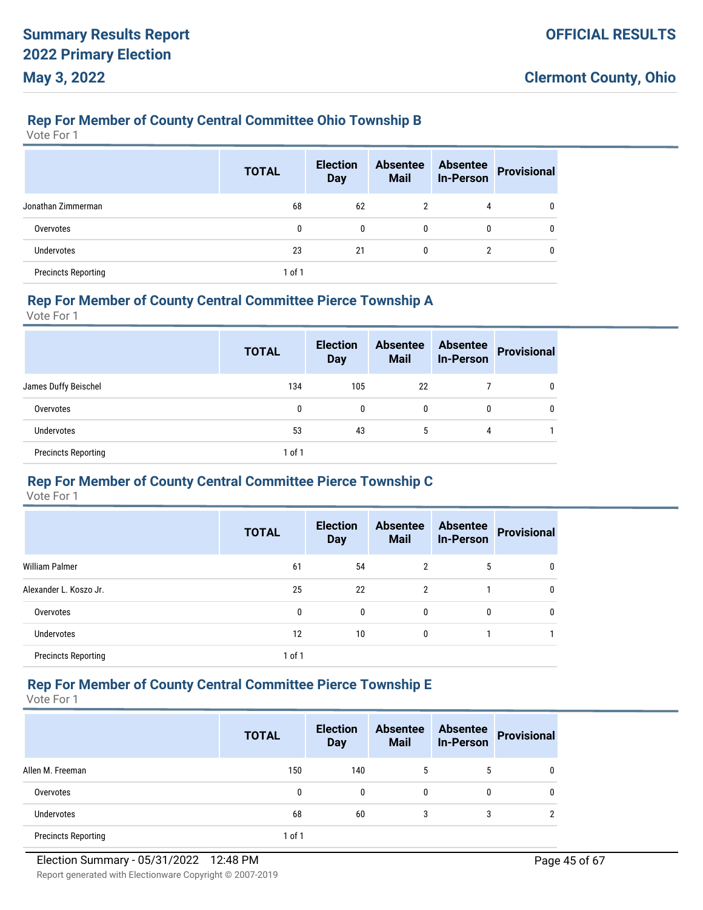#### **Rep For Member of County Central Committee Ohio Township B**

Vote For 1

|                            | <b>TOTAL</b> | <b>Election</b><br><b>Day</b> | <b>Absentee</b><br><b>Mail</b> | <b>Absentee</b><br><b>In-Person</b> | <b>Provisional</b> |
|----------------------------|--------------|-------------------------------|--------------------------------|-------------------------------------|--------------------|
| Jonathan Zimmerman         | 68           | 62                            | $\overline{2}$                 | 4                                   | 0                  |
| Overvotes                  | 0            | $\mathbf{0}$                  | $\mathbf{0}$                   | 0                                   | 0                  |
| Undervotes                 | 23           | 21                            | $\mathbf{0}$                   | າ                                   |                    |
| <b>Precincts Reporting</b> | 1 of 1       |                               |                                |                                     |                    |

#### **Rep For Member of County Central Committee Pierce Township A**

Vote For 1

|                            | <b>TOTAL</b> | <b>Election</b><br><b>Day</b> | <b>Absentee</b><br><b>Mail</b> | <b>Absentee</b><br><b>In-Person</b> | <b>Provisional</b> |
|----------------------------|--------------|-------------------------------|--------------------------------|-------------------------------------|--------------------|
| James Duffy Beischel       | 134          | 105                           | 22                             |                                     |                    |
| Overvotes                  | 0            | 0                             | $\mathbf{0}$                   | 0                                   | 0                  |
| <b>Undervotes</b>          | 53           | 43                            | 5                              | 4                                   |                    |
| <b>Precincts Reporting</b> | 1 of 1       |                               |                                |                                     |                    |

#### **Rep For Member of County Central Committee Pierce Township C**

Vote For 1

|                            | <b>TOTAL</b> | <b>Election</b><br><b>Day</b> | <b>Absentee</b><br><b>Mail</b> | <b>Absentee</b><br><b>In-Person</b> | <b>Provisional</b> |
|----------------------------|--------------|-------------------------------|--------------------------------|-------------------------------------|--------------------|
| <b>William Palmer</b>      | 61           | 54                            | 2                              | 5                                   | 0                  |
| Alexander L. Koszo Jr.     | 25           | 22                            | 2                              |                                     | $\mathbf{0}$       |
| Overvotes                  | 0            | 0                             | 0                              | 0                                   | 0                  |
| <b>Undervotes</b>          | 12           | 10                            | 0                              |                                     |                    |
| <b>Precincts Reporting</b> | 1 of 1       |                               |                                |                                     |                    |

# **Rep For Member of County Central Committee Pierce Township E**

|                            | <b>TOTAL</b> | <b>Election</b><br><b>Day</b> | <b>Absentee</b><br><b>Mail</b> | <b>Absentee</b><br><b>In-Person</b> | <b>Provisional</b> |
|----------------------------|--------------|-------------------------------|--------------------------------|-------------------------------------|--------------------|
| Allen M. Freeman           | 150          | 140                           | 5                              | 5                                   |                    |
| Overvotes                  | 0            | 0                             | 0                              | 0                                   |                    |
| <b>Undervotes</b>          | 68           | 60                            | 3                              | 3                                   |                    |
| <b>Precincts Reporting</b> | 1 of 1       |                               |                                |                                     |                    |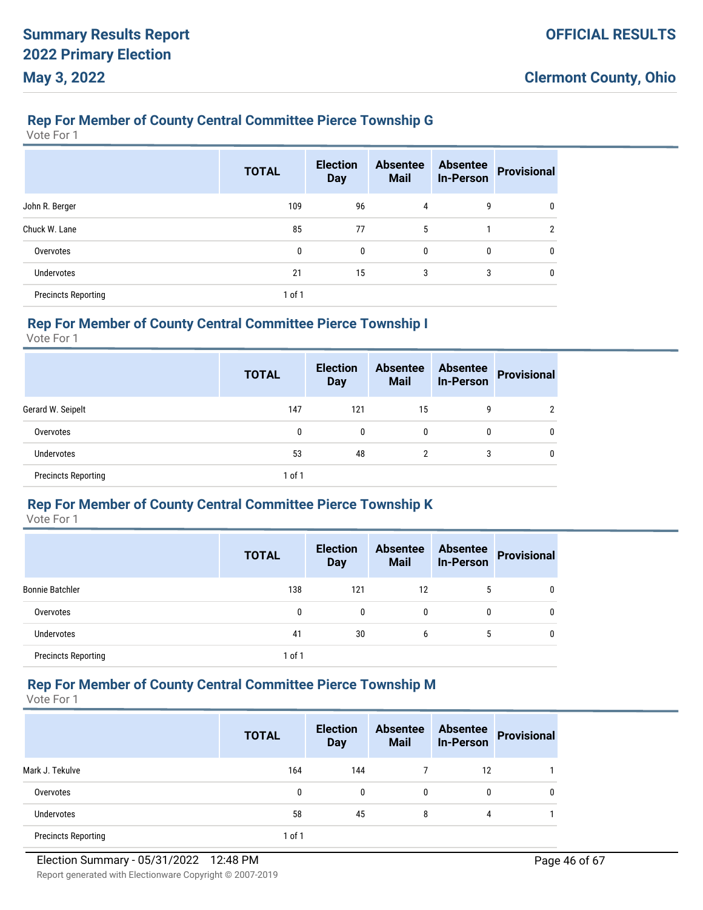### **Rep For Member of County Central Committee Pierce Township G**

Vote For 1

|                            | <b>TOTAL</b> | <b>Election</b><br><b>Day</b> | <b>Absentee</b><br><b>Mail</b> | <b>Absentee</b><br><b>In-Person</b> | Provisional |
|----------------------------|--------------|-------------------------------|--------------------------------|-------------------------------------|-------------|
| John R. Berger             | 109          | 96                            | 4                              | 9                                   |             |
| Chuck W. Lane              | 85           | 77                            | 5                              |                                     | າ           |
| Overvotes                  | 0            | $\mathbf{0}$                  | 0                              | $\mathbf{0}$                        | 0           |
| Undervotes                 | 21           | 15                            | 3                              | 3                                   |             |
| <b>Precincts Reporting</b> | $1$ of $1$   |                               |                                |                                     |             |

# **Rep For Member of County Central Committee Pierce Township I**

Vote For 1

|                            | <b>TOTAL</b> | <b>Election</b><br><b>Day</b> | <b>Absentee</b><br><b>Mail</b> | <b>Absentee</b><br><b>In-Person</b> | <b>Provisional</b> |
|----------------------------|--------------|-------------------------------|--------------------------------|-------------------------------------|--------------------|
| Gerard W. Seipelt          | 147          | 121                           | 15                             | 9                                   | າ                  |
| Overvotes                  | 0            | $\mathbf{0}$                  | 0                              | $\mathbf{0}$                        | 0                  |
| Undervotes                 | 53           | 48                            | 2                              | 3                                   | 0                  |
| <b>Precincts Reporting</b> | $1$ of $1$   |                               |                                |                                     |                    |

#### **Rep For Member of County Central Committee Pierce Township K**

Vote For 1

|                            | <b>TOTAL</b> | <b>Election</b><br><b>Day</b> | <b>Absentee</b><br><b>Mail</b> | <b>Absentee</b><br><b>In-Person</b> | <b>Provisional</b> |
|----------------------------|--------------|-------------------------------|--------------------------------|-------------------------------------|--------------------|
| <b>Bonnie Batchler</b>     | 138          | 121                           | 12                             | 5                                   | 0                  |
| Overvotes                  | 0            | 0                             | 0                              | 0                                   | 0                  |
| <b>Undervotes</b>          | 41           | 30                            | 6                              | 5                                   | 0                  |
| <b>Precincts Reporting</b> | 1 of 1       |                               |                                |                                     |                    |

# **Rep For Member of County Central Committee Pierce Township M**

|                            | <b>TOTAL</b> | <b>Election</b><br><b>Day</b> | <b>Absentee</b><br><b>Mail</b> | <b>Absentee</b><br><b>In-Person</b> | <b>Provisional</b> |
|----------------------------|--------------|-------------------------------|--------------------------------|-------------------------------------|--------------------|
| Mark J. Tekulve            | 164          | 144                           |                                | 12                                  |                    |
| Overvotes                  | 0            | $\mathbf{0}$                  | $\mathbf{0}$                   | 0                                   |                    |
| <b>Undervotes</b>          | 58           | 45                            | 8                              | 4                                   |                    |
| <b>Precincts Reporting</b> | 1 of 1       |                               |                                |                                     |                    |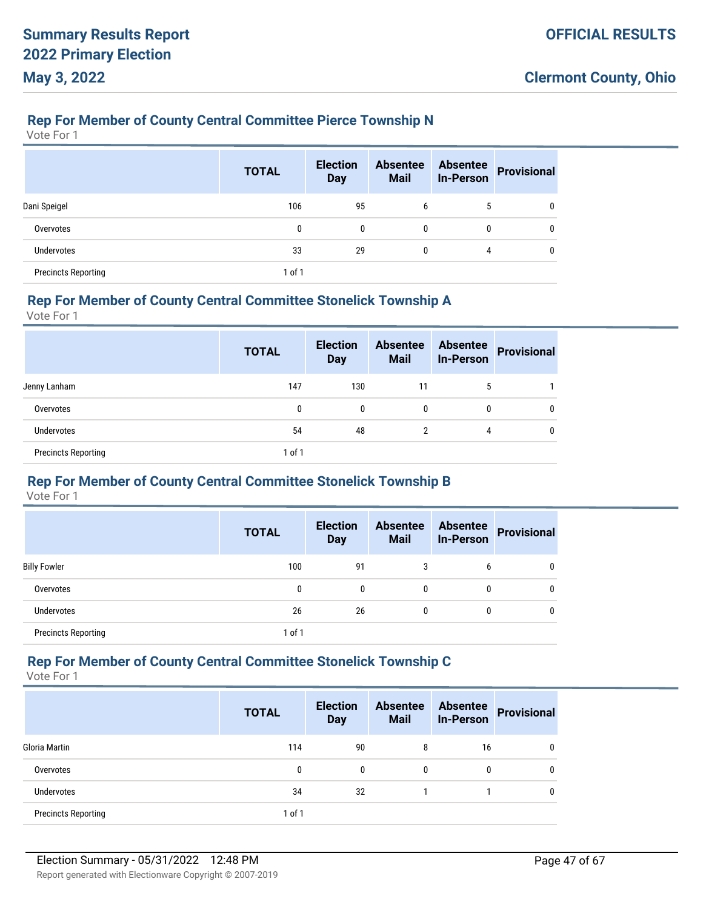#### **Rep For Member of County Central Committee Pierce Township N**

Vote For 1

|                            | <b>TOTAL</b> | <b>Election</b><br><b>Day</b> | <b>Absentee</b><br><b>Mail</b> | <b>Absentee</b><br><b>In-Person</b> | <b>Provisional</b> |
|----------------------------|--------------|-------------------------------|--------------------------------|-------------------------------------|--------------------|
| Dani Speigel               | 106          | 95                            | 6                              | 5                                   | 0                  |
| Overvotes                  | 0            | 0                             | $\mathbf{0}$                   | 0                                   | 0                  |
| <b>Undervotes</b>          | 33           | 29                            | 0                              | 4                                   | 0                  |
| <b>Precincts Reporting</b> | 1 of 1       |                               |                                |                                     |                    |

#### **Rep For Member of County Central Committee Stonelick Township A**

Vote For 1

|                            | <b>TOTAL</b> | <b>Election</b><br><b>Day</b> | <b>Absentee</b><br><b>Mail</b> | <b>Absentee</b><br><b>In-Person</b> | <b>Provisional</b> |
|----------------------------|--------------|-------------------------------|--------------------------------|-------------------------------------|--------------------|
| Jenny Lanham               | 147          | 130                           | 11                             | 5                                   |                    |
| Overvotes                  | 0            | 0                             | $\mathbf{0}$                   | 0                                   | 0                  |
| <b>Undervotes</b>          | 54           | 48                            | 2                              | 4                                   | 0                  |
| <b>Precincts Reporting</b> | $1$ of $1$   |                               |                                |                                     |                    |

#### **Rep For Member of County Central Committee Stonelick Township B**

Vote For 1

|                            | <b>TOTAL</b> | <b>Election</b><br><b>Day</b> | <b>Absentee</b><br><b>Mail</b> | <b>Absentee</b><br><b>In-Person</b> | <b>Provisional</b> |
|----------------------------|--------------|-------------------------------|--------------------------------|-------------------------------------|--------------------|
| <b>Billy Fowler</b>        | 100          | 91                            | 3                              | 6                                   | 0                  |
| Overvotes                  | 0            | 0                             | 0                              | 0                                   |                    |
| Undervotes                 | 26           | 26                            | 0                              | 0                                   |                    |
| <b>Precincts Reporting</b> | $1$ of $1$   |                               |                                |                                     |                    |

#### **Rep For Member of County Central Committee Stonelick Township C**

|                            | <b>TOTAL</b> | <b>Election</b><br><b>Day</b> | <b>Absentee</b><br><b>Mail</b> | <b>Absentee</b><br><b>In-Person</b> | <b>Provisional</b> |
|----------------------------|--------------|-------------------------------|--------------------------------|-------------------------------------|--------------------|
| Gloria Martin              | 114          | 90                            | 8                              | 16                                  |                    |
| Overvotes                  | 0            | 0                             | $\mathbf{0}$                   | 0                                   |                    |
| <b>Undervotes</b>          | 34           | 32                            |                                |                                     |                    |
| <b>Precincts Reporting</b> | $1$ of $1$   |                               |                                |                                     |                    |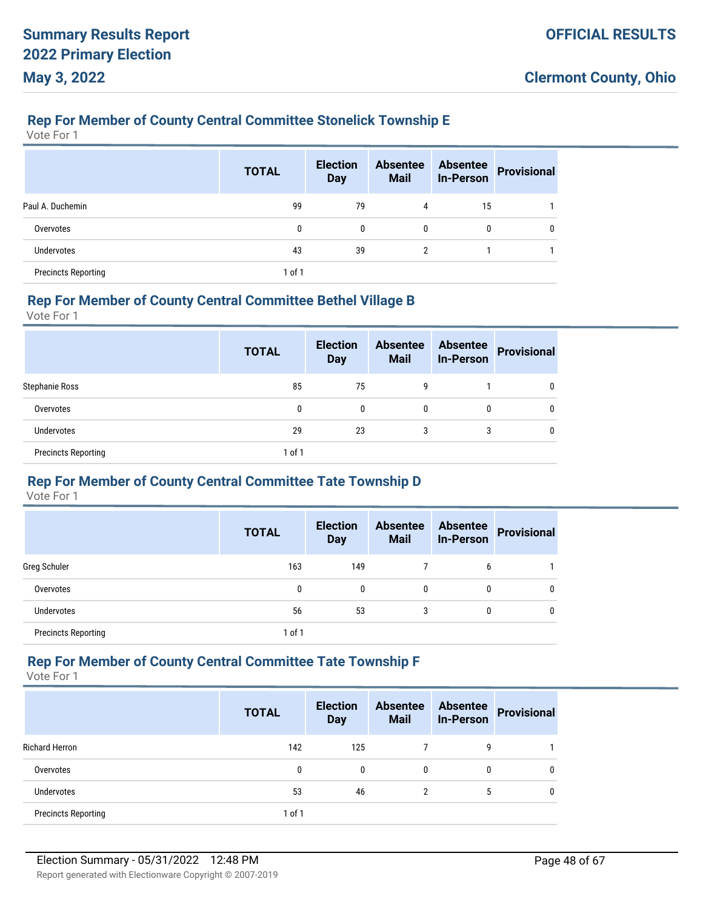### **Rep For Member of County Central Committee Stonelick Township E**

Vote For 1

|                            | <b>TOTAL</b> | <b>Election</b><br><b>Day</b> | <b>Absentee</b><br><b>Mail</b> | <b>Absentee</b><br><b>In-Person</b> | Provisional |
|----------------------------|--------------|-------------------------------|--------------------------------|-------------------------------------|-------------|
| Paul A. Duchemin           | 99           | 79                            | 4                              | 15                                  |             |
| Overvotes                  | 0            | $\mathbf{0}$                  | $\mathbf{0}$                   | 0                                   | 0           |
| Undervotes                 | 43           | 39                            | 2                              |                                     |             |
| <b>Precincts Reporting</b> | 1 of 1       |                               |                                |                                     |             |

#### **Rep For Member of County Central Committee Bethel Village B**

Vote For 1

|                            | <b>TOTAL</b> | <b>Election</b><br><b>Day</b> | <b>Absentee</b><br><b>Mail</b> | <b>Absentee</b><br><b>In-Person</b> | <b>Provisional</b> |
|----------------------------|--------------|-------------------------------|--------------------------------|-------------------------------------|--------------------|
| Stephanie Ross             | 85           | 75                            | g                              |                                     | 0                  |
| Overvotes                  | 0            | 0                             | $\mathbf{0}$                   | 0                                   | 0                  |
| <b>Undervotes</b>          | 29           | 23                            | 3                              | 3                                   | 0                  |
| <b>Precincts Reporting</b> | 1 of 1       |                               |                                |                                     |                    |

#### **Rep For Member of County Central Committee Tate Township D**

Vote For 1

|                            | <b>TOTAL</b> | <b>Election</b><br><b>Day</b> | <b>Absentee</b><br><b>Mail</b> | <b>Absentee</b><br><b>In-Person</b> | <b>Provisional</b> |
|----------------------------|--------------|-------------------------------|--------------------------------|-------------------------------------|--------------------|
| Greg Schuler               | 163          | 149                           |                                | 6                                   |                    |
| Overvotes                  | 0            | $\mathbf{0}$                  | 0                              | 0                                   |                    |
| <b>Undervotes</b>          | 56           | 53                            | 3                              | 0                                   |                    |
| <b>Precincts Reporting</b> | $1$ of $1$   |                               |                                |                                     |                    |

#### **Rep For Member of County Central Committee Tate Township F**

|                            | <b>TOTAL</b> | <b>Election</b><br><b>Day</b> | <b>Absentee</b><br><b>Mail</b> | <b>Absentee</b><br><b>In-Person</b> | <b>Provisional</b> |
|----------------------------|--------------|-------------------------------|--------------------------------|-------------------------------------|--------------------|
| <b>Richard Herron</b>      | 142          | 125                           |                                | 9                                   |                    |
| Overvotes                  | 0            | 0                             | $\mathbf{0}$                   | 0                                   |                    |
| Undervotes                 | 53           | 46                            | 2                              | 5                                   |                    |
| <b>Precincts Reporting</b> | $1$ of $1$   |                               |                                |                                     |                    |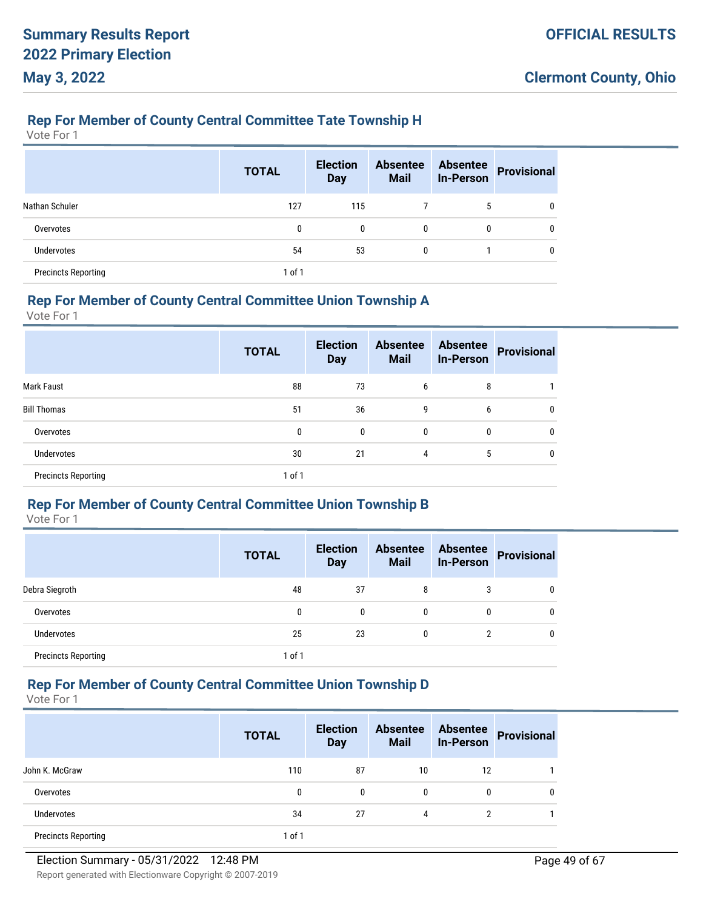### **Rep For Member of County Central Committee Tate Township H**

Vote For 1

|                            | <b>TOTAL</b> | <b>Election</b><br><b>Day</b> | <b>Absentee</b><br><b>Mail</b> | <b>Absentee</b><br><b>In-Person</b> | <b>Provisional</b> |
|----------------------------|--------------|-------------------------------|--------------------------------|-------------------------------------|--------------------|
| Nathan Schuler             | 127          | 115                           |                                | 5                                   | 0                  |
| Overvotes                  | 0            | $\mathbf{0}$                  | 0                              | 0                                   | 0                  |
| <b>Undervotes</b>          | 54           | 53                            | 0                              |                                     | $\Omega$           |
| <b>Precincts Reporting</b> | 1 of 1       |                               |                                |                                     |                    |

#### **Rep For Member of County Central Committee Union Township A**

Vote For 1

|                            | <b>TOTAL</b> | <b>Election</b><br><b>Day</b> | <b>Absentee</b><br><b>Mail</b> | <b>Absentee</b><br><b>In-Person</b> | <b>Provisional</b> |
|----------------------------|--------------|-------------------------------|--------------------------------|-------------------------------------|--------------------|
| <b>Mark Faust</b>          | 88           | 73                            | 6                              | 8                                   |                    |
| <b>Bill Thomas</b>         | 51           | 36                            | 9                              | 6                                   | 0                  |
| Overvotes                  | 0            | 0                             | $\mathbf{0}$                   | 0                                   | 0                  |
| <b>Undervotes</b>          | 30           | 21                            | 4                              | 5                                   |                    |
| <b>Precincts Reporting</b> | 1 of 1       |                               |                                |                                     |                    |

### **Rep For Member of County Central Committee Union Township B**

Vote For 1

|                            | <b>TOTAL</b> | <b>Election</b><br><b>Day</b> | <b>Absentee</b><br><b>Mail</b> | <b>Absentee</b><br><b>In-Person</b> | <b>Provisional</b> |
|----------------------------|--------------|-------------------------------|--------------------------------|-------------------------------------|--------------------|
| Debra Siegroth             | 48           | 37                            | 8                              | 3                                   | 0                  |
| Overvotes                  | 0            | 0                             | 0                              | 0                                   | 0                  |
| <b>Undervotes</b>          | 25           | 23                            | 0                              | 2                                   | 0                  |
| <b>Precincts Reporting</b> | 1 of 1       |                               |                                |                                     |                    |

# **Rep For Member of County Central Committee Union Township D**

|                            | <b>TOTAL</b> | <b>Election</b><br><b>Day</b> | <b>Absentee</b><br><b>Mail</b> | <b>Absentee</b><br><b>In-Person</b> | <b>Provisional</b> |
|----------------------------|--------------|-------------------------------|--------------------------------|-------------------------------------|--------------------|
| John K. McGraw             | 110          | 87                            | 10                             | 12                                  |                    |
| Overvotes                  | 0            | $\mathbf{0}$                  | 0                              | 0                                   | 0                  |
| <b>Undervotes</b>          | 34           | 27                            | 4                              | 2                                   |                    |
| <b>Precincts Reporting</b> | 1 of 1       |                               |                                |                                     |                    |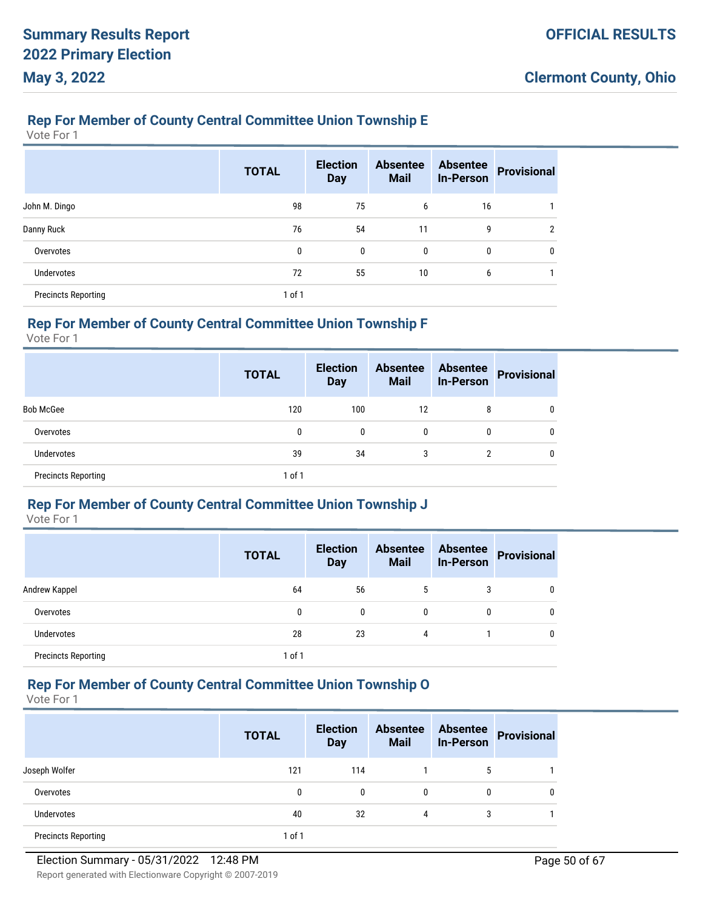### **Rep For Member of County Central Committee Union Township E**

Vote For 1

|                            | <b>TOTAL</b> | <b>Election</b><br><b>Day</b> | <b>Absentee</b><br><b>Mail</b> | <b>Absentee</b><br><b>In-Person</b> | <b>Provisional</b> |
|----------------------------|--------------|-------------------------------|--------------------------------|-------------------------------------|--------------------|
| John M. Dingo              | 98           | 75                            | 6                              | 16                                  |                    |
| Danny Ruck                 | 76           | 54                            | 11                             | 9                                   | າ                  |
| Overvotes                  | 0            | $\mathbf{0}$                  | 0                              | 0                                   | 0                  |
| <b>Undervotes</b>          | 72           | 55                            | 10                             | 6                                   |                    |
| <b>Precincts Reporting</b> | $1$ of $1$   |                               |                                |                                     |                    |

# **Rep For Member of County Central Committee Union Township F**

Vote For 1

|                            | <b>TOTAL</b> | <b>Election</b><br><b>Day</b> | <b>Absentee</b><br><b>Mail</b> | <b>Absentee</b><br><b>In-Person</b> | <b>Provisional</b> |
|----------------------------|--------------|-------------------------------|--------------------------------|-------------------------------------|--------------------|
| <b>Bob McGee</b>           | 120          | 100                           | 12                             | 8                                   | 0                  |
| Overvotes                  | 0            | 0                             | 0                              | 0                                   | 0                  |
| Undervotes                 | 39           | 34                            | 3                              | າ                                   | 0                  |
| <b>Precincts Reporting</b> | $1$ of $1$   |                               |                                |                                     |                    |

### **Rep For Member of County Central Committee Union Township J**

Vote For 1

|                            | <b>TOTAL</b> | <b>Election</b><br><b>Day</b> | <b>Absentee</b><br><b>Mail</b> | <b>Absentee</b><br><b>In-Person</b> | <b>Provisional</b> |
|----------------------------|--------------|-------------------------------|--------------------------------|-------------------------------------|--------------------|
| Andrew Kappel              | 64           | 56                            | 5                              | 3                                   | 0                  |
| Overvotes                  | 0            | 0                             | 0                              | 0                                   | 0                  |
| <b>Undervotes</b>          | 28           | 23                            | 4                              |                                     | 0                  |
| <b>Precincts Reporting</b> | 1 of 1       |                               |                                |                                     |                    |

# **Rep For Member of County Central Committee Union Township O**

|                            | <b>TOTAL</b> | <b>Election</b><br><b>Day</b> | <b>Absentee</b><br><b>Mail</b> | <b>Absentee</b><br><b>In-Person</b> | <b>Provisional</b> |
|----------------------------|--------------|-------------------------------|--------------------------------|-------------------------------------|--------------------|
| Joseph Wolfer              | 121          | 114                           |                                | 5                                   |                    |
| Overvotes                  | 0            | 0                             | $\mathbf{0}$                   | 0                                   |                    |
| <b>Undervotes</b>          | 40           | 32                            | 4                              | 3                                   |                    |
| <b>Precincts Reporting</b> | 1 of 1       |                               |                                |                                     |                    |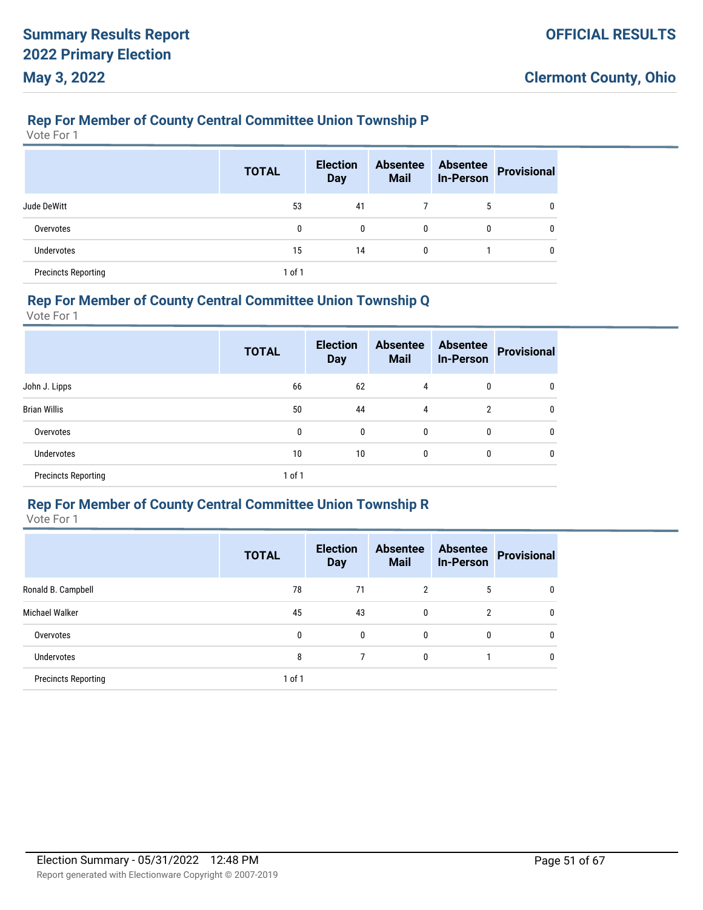### **Rep For Member of County Central Committee Union Township P**

Vote For 1

|                            | <b>TOTAL</b> | <b>Election</b><br><b>Day</b> | <b>Absentee</b><br><b>Mail</b> | <b>Absentee</b><br><b>In-Person</b> | <b>Provisional</b> |
|----------------------------|--------------|-------------------------------|--------------------------------|-------------------------------------|--------------------|
| Jude DeWitt                | 53           | 41                            |                                | 5                                   | 0                  |
| Overvotes                  | 0            | $\mathbf{0}$                  | $\mathbf{0}$                   | 0                                   | $\Omega$           |
| <b>Undervotes</b>          | 15           | 14                            | $\mathbf{0}$                   |                                     | 0                  |
| <b>Precincts Reporting</b> | 1 of 1       |                               |                                |                                     |                    |

#### **Rep For Member of County Central Committee Union Township Q**

Vote For 1

|                            | <b>TOTAL</b> | <b>Election</b><br><b>Day</b> | <b>Absentee</b><br><b>Mail</b> | <b>Absentee</b><br><b>In-Person</b> | <b>Provisional</b> |
|----------------------------|--------------|-------------------------------|--------------------------------|-------------------------------------|--------------------|
| John J. Lipps              | 66           | 62                            | 4                              | 0                                   |                    |
| <b>Brian Willis</b>        | 50           | 44                            | 4                              | $\overline{2}$                      | 0                  |
| Overvotes                  | 0            | $\mathbf{0}$                  | $\mathbf{0}$                   | 0                                   | 0                  |
| <b>Undervotes</b>          | 10           | 10                            | $\mathbf{0}$                   | 0                                   | 0                  |
| <b>Precincts Reporting</b> | 1 of 1       |                               |                                |                                     |                    |

#### **Rep For Member of County Central Committee Union Township R**

|                            | <b>TOTAL</b> | <b>Election</b><br><b>Day</b> | <b>Absentee</b><br><b>Mail</b> | <b>Absentee</b><br><b>In-Person</b> | <b>Provisional</b> |
|----------------------------|--------------|-------------------------------|--------------------------------|-------------------------------------|--------------------|
| Ronald B. Campbell         | 78           | 71                            | $\overline{2}$                 | 5                                   | 0                  |
| Michael Walker             | 45           | 43                            | 0                              | $\overline{2}$                      | $\mathbf{0}$       |
| Overvotes                  | 0            | 0                             | 0                              | 0                                   | $\mathbf{0}$       |
| <b>Undervotes</b>          | 8            | 7                             | 0                              |                                     | $\mathbf{0}$       |
| <b>Precincts Reporting</b> | $1$ of $1$   |                               |                                |                                     |                    |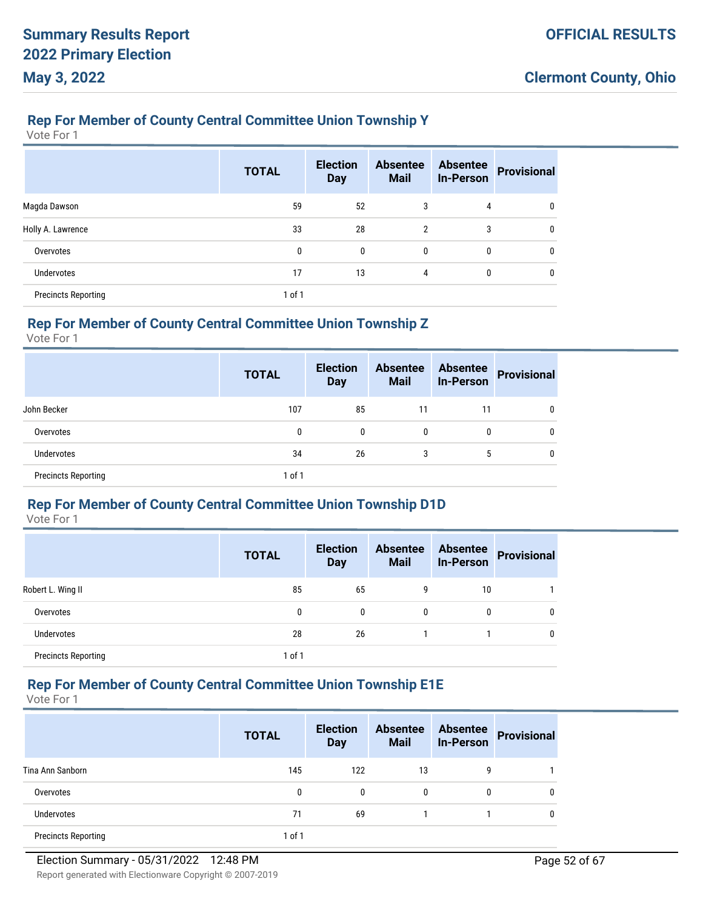### **Rep For Member of County Central Committee Union Township Y**

Vote For 1

|                            | <b>TOTAL</b> | <b>Election</b><br><b>Day</b> | <b>Absentee</b><br><b>Mail</b> | <b>Absentee</b><br><b>In-Person</b> | <b>Provisional</b> |
|----------------------------|--------------|-------------------------------|--------------------------------|-------------------------------------|--------------------|
| Magda Dawson               | 59           | 52                            | 3                              | 4                                   |                    |
| Holly A. Lawrence          | 33           | 28                            | $\overline{2}$                 | 3                                   | 0                  |
| Overvotes                  | 0            | $\mathbf{0}$                  | 0                              | 0                                   | 0                  |
| <b>Undervotes</b>          | 17           | 13                            | 4                              | $\mathbf{0}$                        |                    |
| <b>Precincts Reporting</b> | 1 of 1       |                               |                                |                                     |                    |

# **Rep For Member of County Central Committee Union Township Z**

Vote For 1

|                            | <b>TOTAL</b> | <b>Election</b><br><b>Day</b> | <b>Absentee</b><br><b>Mail</b> | <b>Absentee</b><br><b>In-Person</b> | <b>Provisional</b> |
|----------------------------|--------------|-------------------------------|--------------------------------|-------------------------------------|--------------------|
| John Becker                | 107          | 85                            | 11                             | 11                                  | 0                  |
| Overvotes                  | 0            | 0                             | 0                              | 0                                   | 0                  |
| <b>Undervotes</b>          | 34           | 26                            | 3                              | 5                                   | 0                  |
| <b>Precincts Reporting</b> | $1$ of $1$   |                               |                                |                                     |                    |

### **Rep For Member of County Central Committee Union Township D1D**

Vote For 1

|                            | <b>TOTAL</b> | <b>Election</b><br><b>Day</b> | <b>Absentee</b><br><b>Mail</b> | <b>Absentee</b><br><b>In-Person</b> | <b>Provisional</b> |
|----------------------------|--------------|-------------------------------|--------------------------------|-------------------------------------|--------------------|
| Robert L. Wing II          | 85           | 65                            | 9                              | 10                                  |                    |
| Overvotes                  | 0            | 0                             | 0                              | 0                                   | 0                  |
| <b>Undervotes</b>          | 28           | 26                            |                                |                                     | 0                  |
| <b>Precincts Reporting</b> | 1 of 1       |                               |                                |                                     |                    |

# **Rep For Member of County Central Committee Union Township E1E**

|                            | <b>TOTAL</b> | <b>Election</b><br><b>Day</b> | <b>Absentee</b><br><b>Mail</b> | <b>Absentee</b><br><b>In-Person</b> | <b>Provisional</b> |
|----------------------------|--------------|-------------------------------|--------------------------------|-------------------------------------|--------------------|
| Tina Ann Sanborn           | 145          | 122                           | 13                             | 9                                   |                    |
| Overvotes                  | 0            | 0                             | 0                              | 0                                   |                    |
| <b>Undervotes</b>          | 71           | 69                            |                                |                                     |                    |
| <b>Precincts Reporting</b> | 1 of 1       |                               |                                |                                     |                    |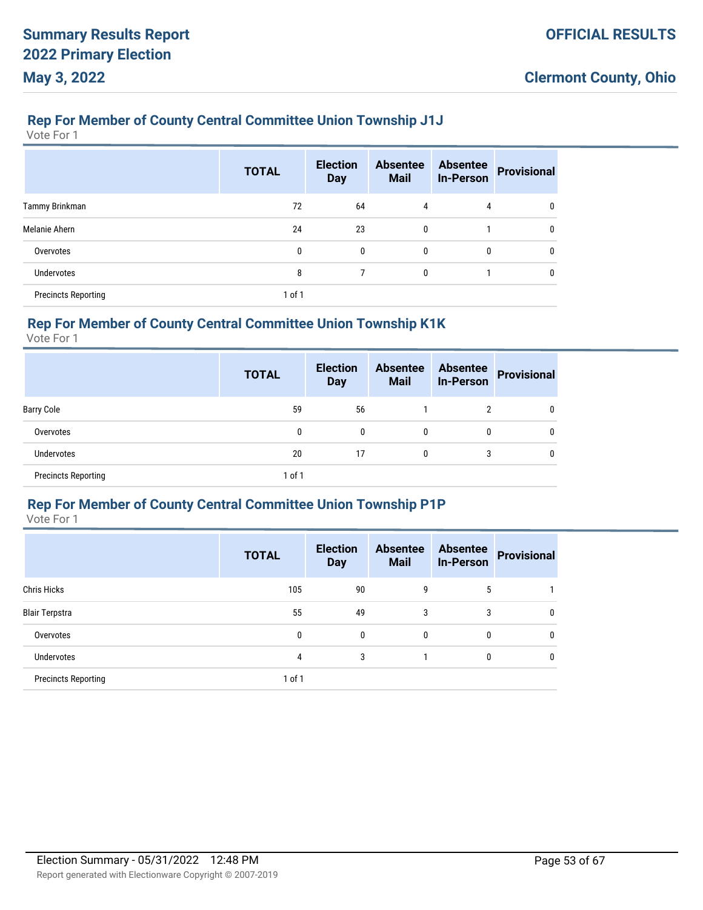#### **Rep For Member of County Central Committee Union Township J1J**

Vote For 1

|                            | <b>TOTAL</b> | <b>Election</b><br><b>Day</b> | <b>Absentee</b><br><b>Mail</b> | <b>Absentee</b><br><b>In-Person</b> | <b>Provisional</b> |
|----------------------------|--------------|-------------------------------|--------------------------------|-------------------------------------|--------------------|
| Tammy Brinkman             | 72           | 64                            | 4                              | 4                                   |                    |
| Melanie Ahern              | 24           | 23                            | 0                              |                                     | 0                  |
| Overvotes                  | 0            | $\mathbf{0}$                  | $\mathbf{0}$                   | $\mathbf{0}$                        | 0                  |
| <b>Undervotes</b>          | 8            |                               | 0                              |                                     |                    |
| <b>Precincts Reporting</b> | $1$ of $1$   |                               |                                |                                     |                    |

# **Rep For Member of County Central Committee Union Township K1K**

Vote For 1

|                            | <b>TOTAL</b> | <b>Election</b><br><b>Day</b> | <b>Absentee</b><br><b>Mail</b> | <b>Absentee</b><br><b>In-Person</b> | <b>Provisional</b> |
|----------------------------|--------------|-------------------------------|--------------------------------|-------------------------------------|--------------------|
| <b>Barry Cole</b>          | 59           | 56                            |                                | 2                                   | 0                  |
| Overvotes                  | 0            | 0                             | 0                              | 0                                   | 0                  |
| <b>Undervotes</b>          | 20           | 17                            | 0                              | 3                                   | 0                  |
| <b>Precincts Reporting</b> | $1$ of $1$   |                               |                                |                                     |                    |

#### **Rep For Member of County Central Committee Union Township P1P**

|                            | <b>TOTAL</b> | <b>Election</b><br><b>Day</b> | <b>Absentee</b><br><b>Mail</b> | <b>Absentee</b><br><b>In-Person</b> | <b>Provisional</b> |
|----------------------------|--------------|-------------------------------|--------------------------------|-------------------------------------|--------------------|
| <b>Chris Hicks</b>         | 105          | 90                            | 9                              | 5                                   |                    |
| <b>Blair Terpstra</b>      | 55           | 49                            | 3                              | 3                                   | $\mathbf 0$        |
| Overvotes                  | 0            | 0                             | 0                              | 0                                   | $\mathbf{0}$       |
| <b>Undervotes</b>          | 4            | 3                             |                                | 0                                   | $\mathbf{0}$       |
| <b>Precincts Reporting</b> | 1 of 1       |                               |                                |                                     |                    |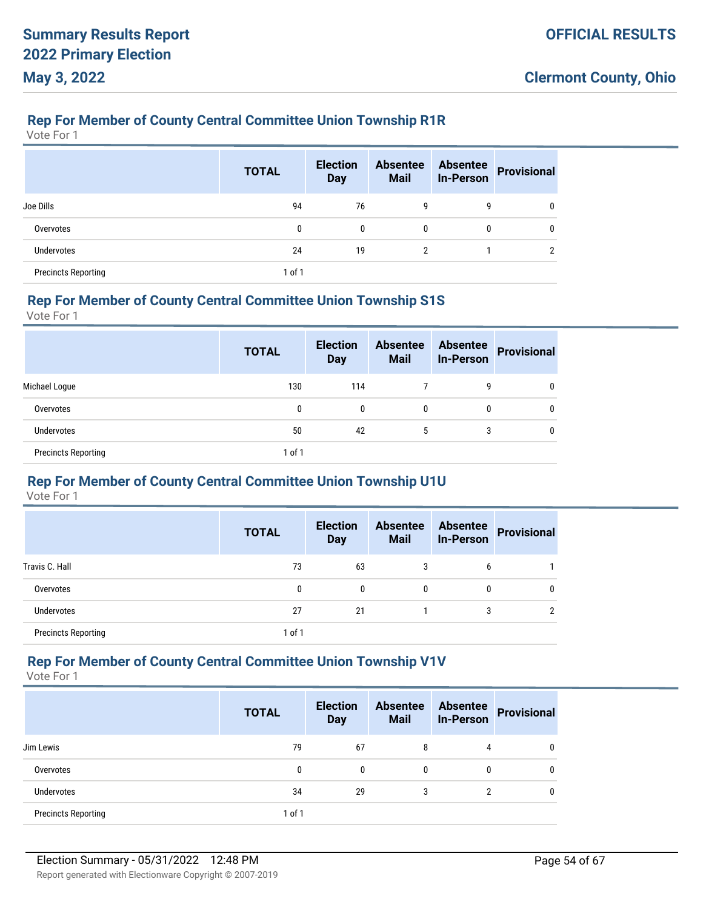#### **Rep For Member of County Central Committee Union Township R1R**

Vote For 1

|                            | <b>TOTAL</b> | <b>Election</b><br><b>Day</b> | <b>Absentee</b><br><b>Mail</b> | <b>Absentee</b><br><b>In-Person</b> | <b>Provisional</b> |
|----------------------------|--------------|-------------------------------|--------------------------------|-------------------------------------|--------------------|
| Joe Dills                  | 94           | 76                            | 9                              | 9                                   | 0                  |
| Overvotes                  | 0            | $\mathbf{0}$                  | $\mathbf{0}$                   | 0                                   | $\Omega$           |
| Undervotes                 | 24           | 19                            | $\overline{2}$                 |                                     | ↑                  |
| <b>Precincts Reporting</b> | 1 of 1       |                               |                                |                                     |                    |

#### **Rep For Member of County Central Committee Union Township S1S**

Vote For 1

|                            | <b>TOTAL</b> | <b>Election</b><br><b>Day</b> | <b>Absentee</b><br><b>Mail</b> | <b>Absentee</b><br><b>In-Person</b> | <b>Provisional</b> |
|----------------------------|--------------|-------------------------------|--------------------------------|-------------------------------------|--------------------|
| Michael Loque              | 130          | 114                           |                                | 9                                   |                    |
| Overvotes                  | 0            | 0                             | 0                              | 0                                   |                    |
| Undervotes                 | 50           | 42                            | 5                              | 3                                   |                    |
| <b>Precincts Reporting</b> | 1 of 1       |                               |                                |                                     |                    |

## **Rep For Member of County Central Committee Union Township U1U**

Vote For 1

|                            | <b>TOTAL</b> | <b>Election</b><br><b>Day</b> | <b>Absentee</b><br><b>Mail</b> | <b>Absentee</b><br><b>In-Person</b> | Provisional |
|----------------------------|--------------|-------------------------------|--------------------------------|-------------------------------------|-------------|
| Travis C. Hall             | 73           | 63                            | 3                              | 6                                   |             |
| Overvotes                  | 0            | 0                             | $\mathbf{0}$                   | 0                                   |             |
| <b>Undervotes</b>          | 27           | 21                            |                                |                                     |             |
| <b>Precincts Reporting</b> | 1 of 1       |                               |                                |                                     |             |

#### **Rep For Member of County Central Committee Union Township V1V**

|                            | <b>TOTAL</b> | <b>Election</b><br><b>Day</b> | <b>Absentee</b><br><b>Mail</b> | <b>Absentee</b><br><b>In-Person</b> | <b>Provisional</b> |
|----------------------------|--------------|-------------------------------|--------------------------------|-------------------------------------|--------------------|
| Jim Lewis                  | 79           | 67                            | 8                              | 4                                   |                    |
| Overvotes                  | 0            | 0                             | 0                              | 0                                   |                    |
| <b>Undervotes</b>          | 34           | 29                            | 3                              | ົ                                   |                    |
| <b>Precincts Reporting</b> | $1$ of $1$   |                               |                                |                                     |                    |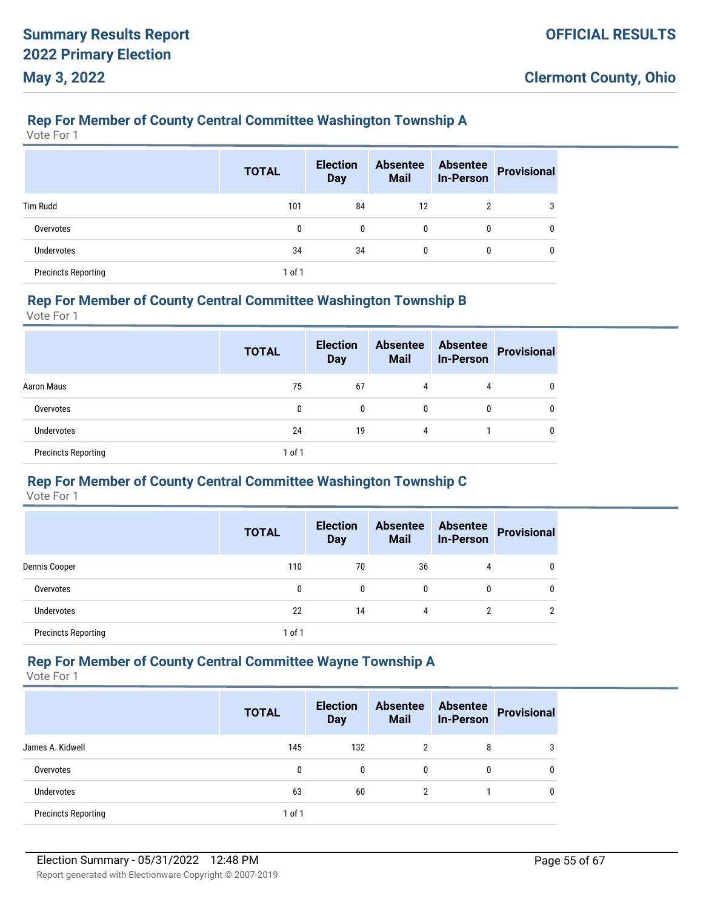# **Rep For Member of County Central Committee Washington Township A**

Vote For 1

|                            | <b>TOTAL</b> | <b>Election</b><br><b>Day</b> | <b>Absentee</b><br><b>Mail</b> | <b>Absentee</b><br><b>In-Person</b> | <b>Provisional</b> |
|----------------------------|--------------|-------------------------------|--------------------------------|-------------------------------------|--------------------|
| <b>Tim Rudd</b>            | 101          | 84                            | 12                             | 2                                   | 3                  |
| Overvotes                  | 0            | $\mathbf{0}$                  | 0                              | 0                                   |                    |
| <b>Undervotes</b>          | 34           | 34                            | 0                              | 0                                   |                    |
| <b>Precincts Reporting</b> | $1$ of $1$   |                               |                                |                                     |                    |

### **Rep For Member of County Central Committee Washington Township B**

Vote For 1

|                            | <b>TOTAL</b> | <b>Election</b><br><b>Day</b> | <b>Absentee</b><br><b>Mail</b> | <b>Absentee</b><br><b>In-Person</b> | <b>Provisional</b> |
|----------------------------|--------------|-------------------------------|--------------------------------|-------------------------------------|--------------------|
| Aaron Maus                 | 75           | 67                            | 4                              | 4                                   |                    |
| Overvotes                  | 0            | 0                             | $\mathbf{0}$                   | 0                                   |                    |
| <b>Undervotes</b>          | 24           | 19                            | 4                              |                                     |                    |
| <b>Precincts Reporting</b> | 1 of 1       |                               |                                |                                     |                    |

# **Rep For Member of County Central Committee Washington Township C**

Vote For 1

|                            | <b>TOTAL</b> | <b>Election</b><br><b>Day</b> | <b>Absentee</b><br><b>Mail</b> | <b>Absentee</b><br><b>In-Person</b> | <b>Provisional</b> |
|----------------------------|--------------|-------------------------------|--------------------------------|-------------------------------------|--------------------|
| Dennis Cooper              | 110          | 70                            | 36                             | 4                                   | 0                  |
| Overvotes                  | 0            | 0                             | 0                              | 0                                   | Ω                  |
| Undervotes                 | 22           | 14                            | 4                              |                                     | n                  |
| <b>Precincts Reporting</b> | $1$ of $1$   |                               |                                |                                     |                    |

#### **Rep For Member of County Central Committee Wayne Township A**

|                            | <b>TOTAL</b> | <b>Election</b><br><b>Day</b> | <b>Absentee</b><br><b>Mail</b> | <b>Absentee</b><br><b>In-Person</b> | <b>Provisional</b> |
|----------------------------|--------------|-------------------------------|--------------------------------|-------------------------------------|--------------------|
| James A. Kidwell           | 145          | 132                           |                                | 8                                   |                    |
| Overvotes                  | 0            | $\mathbf{0}$                  | $\mathbf{0}$                   | 0                                   |                    |
| Undervotes                 | 63           | 60                            | 2                              |                                     |                    |
| <b>Precincts Reporting</b> | $1$ of $1$   |                               |                                |                                     |                    |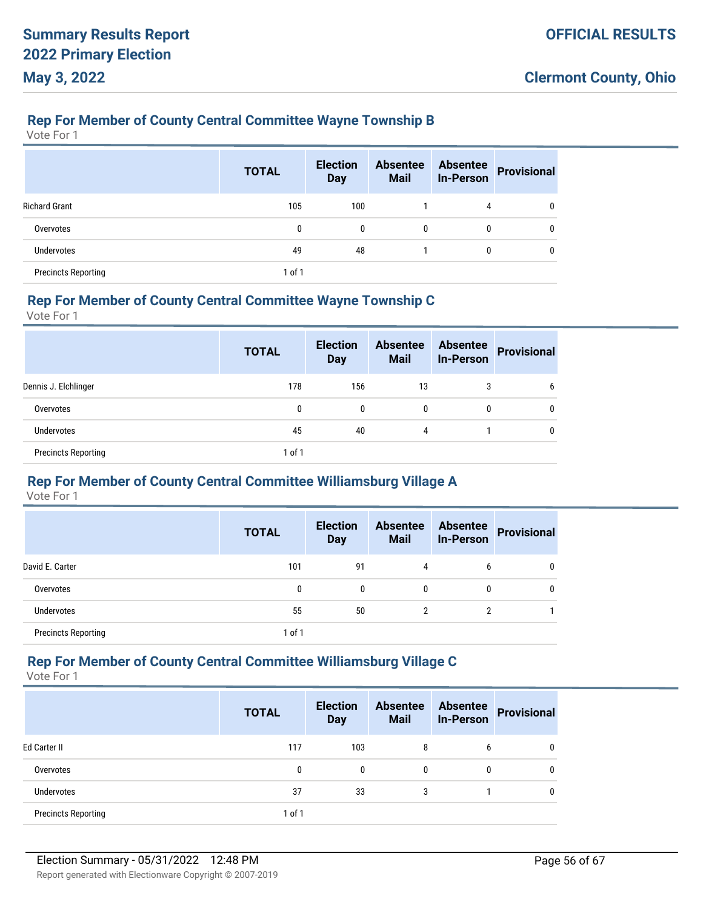### **Rep For Member of County Central Committee Wayne Township B**

Vote For 1

|                            | <b>TOTAL</b> | <b>Election</b><br><b>Day</b> | <b>Absentee</b><br><b>Mail</b> | <b>Absentee</b><br><b>In-Person</b> | <b>Provisional</b> |
|----------------------------|--------------|-------------------------------|--------------------------------|-------------------------------------|--------------------|
| <b>Richard Grant</b>       | 105          | 100                           |                                | 4                                   | 0                  |
| Overvotes                  | 0            | 0                             | $\mathbf{0}$                   | 0                                   | 0                  |
| <b>Undervotes</b>          | 49           | 48                            |                                | 0                                   | 0                  |
| <b>Precincts Reporting</b> | $1$ of $1$   |                               |                                |                                     |                    |

#### **Rep For Member of County Central Committee Wayne Township C**

Vote For 1

|                            | <b>TOTAL</b> | <b>Election</b><br><b>Day</b> | <b>Absentee</b><br><b>Mail</b> | <b>Absentee</b><br><b>In-Person</b> | <b>Provisional</b> |
|----------------------------|--------------|-------------------------------|--------------------------------|-------------------------------------|--------------------|
| Dennis J. Elchlinger       | 178          | 156                           | 13                             | 3                                   | 6                  |
| Overvotes                  | 0            | 0                             | 0                              | 0                                   | 0                  |
| <b>Undervotes</b>          | 45           | 40                            | 4                              |                                     | 0                  |
| <b>Precincts Reporting</b> | $1$ of $1$   |                               |                                |                                     |                    |

#### **Rep For Member of County Central Committee Williamsburg Village A**

Vote For 1

|                            | <b>TOTAL</b> | <b>Election</b><br><b>Day</b> | <b>Absentee</b><br><b>Mail</b> | <b>Absentee</b><br><b>In-Person</b> | <b>Provisional</b> |
|----------------------------|--------------|-------------------------------|--------------------------------|-------------------------------------|--------------------|
| David E. Carter            | 101          | 91                            | 4                              | 6                                   |                    |
| Overvotes                  | 0            | 0                             | $\mathbf{0}$                   | 0                                   |                    |
| Undervotes                 | 55           | 50                            | c                              |                                     |                    |
| <b>Precincts Reporting</b> | $1$ of $1$   |                               |                                |                                     |                    |

# **Rep For Member of County Central Committee Williamsburg Village C**

|                            | <b>TOTAL</b> | <b>Election</b><br><b>Day</b> | <b>Absentee</b><br><b>Mail</b> | <b>Absentee</b><br><b>In-Person</b> | <b>Provisional</b> |
|----------------------------|--------------|-------------------------------|--------------------------------|-------------------------------------|--------------------|
| Ed Carter II               | 117          | 103                           | 8                              | 6                                   |                    |
| Overvotes                  | 0            | 0                             | $\mathbf{0}$                   | 0                                   |                    |
| <b>Undervotes</b>          | 37           | 33                            | 3                              |                                     |                    |
| <b>Precincts Reporting</b> | $1$ of $1$   |                               |                                |                                     |                    |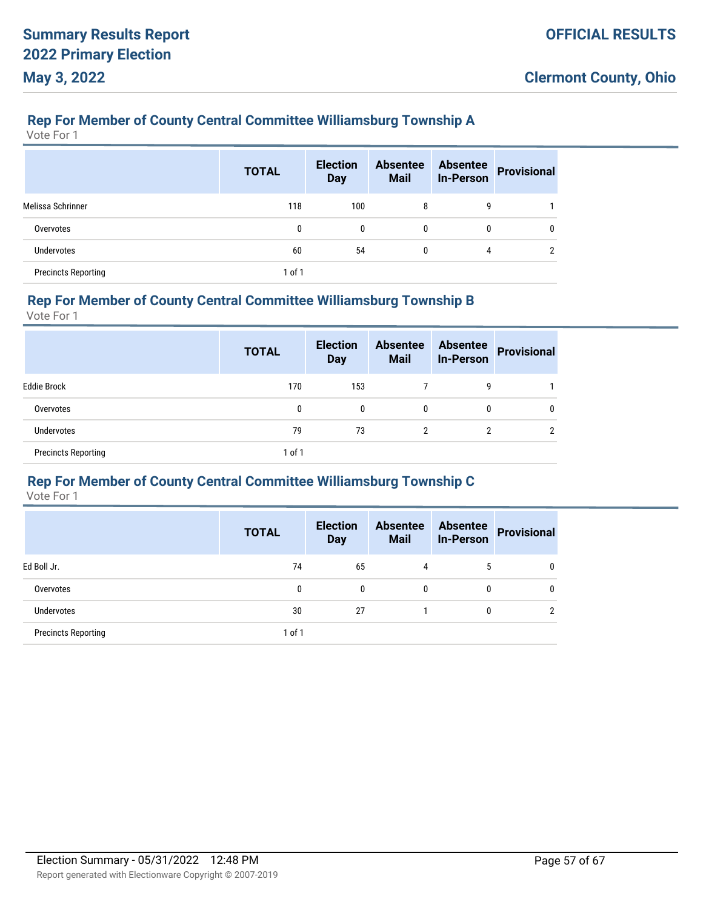# **Rep For Member of County Central Committee Williamsburg Township A**

Vote For 1

|                            | <b>TOTAL</b> | <b>Election</b><br><b>Day</b> | <b>Absentee</b><br><b>Mail</b> | <b>Absentee</b><br><b>In-Person</b> | <b>Provisional</b> |
|----------------------------|--------------|-------------------------------|--------------------------------|-------------------------------------|--------------------|
| Melissa Schrinner          | 118          | 100                           | 8                              | 9                                   |                    |
| Overvotes                  | 0            | $\mathbf{0}$                  | 0                              | 0                                   |                    |
| Undervotes                 | 60           | 54                            | 0                              | 4                                   | ∩                  |
| <b>Precincts Reporting</b> | 1 of 1       |                               |                                |                                     |                    |

# **Rep For Member of County Central Committee Williamsburg Township B**

Vote For 1

|                            | <b>TOTAL</b> | <b>Election</b><br><b>Day</b> | <b>Absentee</b><br><b>Mail</b> | <b>Absentee</b><br><b>In-Person</b> | <b>Provisional</b> |
|----------------------------|--------------|-------------------------------|--------------------------------|-------------------------------------|--------------------|
| <b>Eddie Brock</b>         | 170          | 153                           |                                | 9                                   |                    |
| Overvotes                  | 0            | 0                             | 0                              | 0                                   | 0                  |
| <b>Undervotes</b>          | 79           | 73                            | 2                              | 2                                   | ≘                  |
| <b>Precincts Reporting</b> | 1 of 1       |                               |                                |                                     |                    |

# **Rep For Member of County Central Committee Williamsburg Township C**

|                            | <b>TOTAL</b> | <b>Election</b><br><b>Day</b> | <b>Absentee</b><br><b>Mail</b> | <b>Absentee</b><br><b>In-Person</b> | <b>Provisional</b> |
|----------------------------|--------------|-------------------------------|--------------------------------|-------------------------------------|--------------------|
| Ed Boll Jr.                | 74           | 65                            | 4                              | 5                                   | 0                  |
| Overvotes                  | 0            | 0                             | 0                              | $\mathbf{0}$                        | 0                  |
| <b>Undervotes</b>          | 30           | 27                            |                                | 0                                   | റ                  |
| <b>Precincts Reporting</b> | $1$ of $1$   |                               |                                |                                     |                    |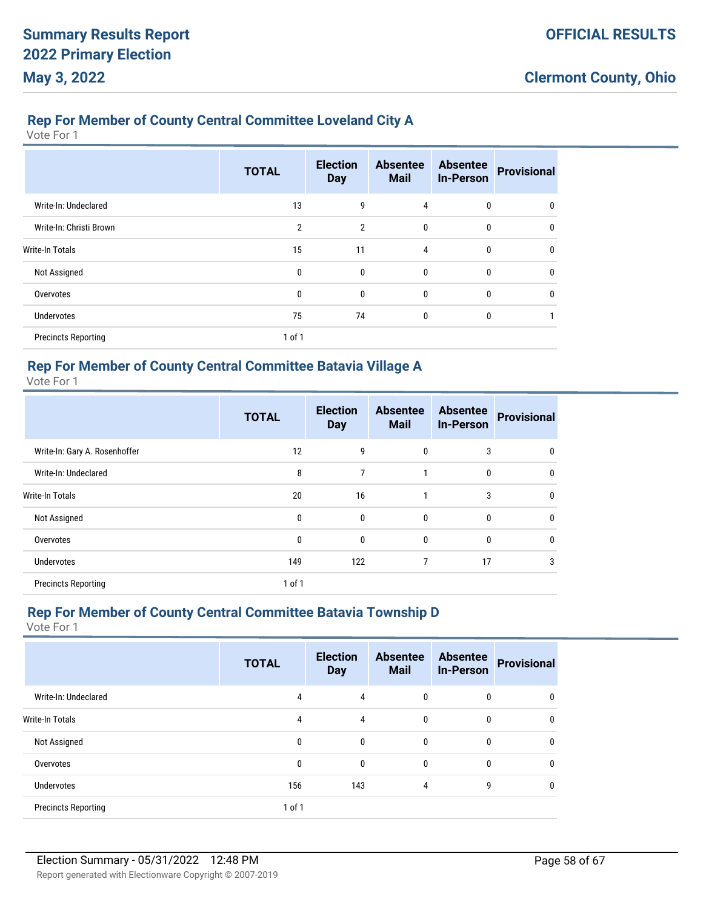# **Rep For Member of County Central Committee Loveland City A**

Vote For 1

|                            | <b>TOTAL</b>   | <b>Election</b><br><b>Day</b> | <b>Absentee</b><br><b>Mail</b> | <b>Absentee</b><br><b>In-Person</b> | <b>Provisional</b> |
|----------------------------|----------------|-------------------------------|--------------------------------|-------------------------------------|--------------------|
| Write-In: Undeclared       | 13             | 9                             | 4                              | 0                                   | $\Omega$           |
| Write-In: Christi Brown    | $\overline{2}$ | $\overline{2}$                | $\mathbf{0}$                   | $\mathbf{0}$                        | $\Omega$           |
| <b>Write-In Totals</b>     | 15             | 11                            | 4                              | 0                                   | $\Omega$           |
| Not Assigned               | 0              | 0                             | $\mathbf{0}$                   | 0                                   | 0                  |
| Overvotes                  | 0              | 0                             | $\mathbf{0}$                   | $\mathbf 0$                         | 0                  |
| <b>Undervotes</b>          | 75             | 74                            | $\mathbf{0}$                   | 0                                   |                    |
| <b>Precincts Reporting</b> | 1 of 1         |                               |                                |                                     |                    |

#### **Rep For Member of County Central Committee Batavia Village A**

Vote For 1

|                               | <b>TOTAL</b> | <b>Election</b><br><b>Day</b> | <b>Absentee</b><br><b>Mail</b> | <b>Absentee</b><br><b>In-Person</b> | <b>Provisional</b> |
|-------------------------------|--------------|-------------------------------|--------------------------------|-------------------------------------|--------------------|
| Write-In: Gary A. Rosenhoffer | 12           | 9                             | 0                              | 3                                   | $\mathbf 0$        |
| Write-In: Undeclared          | 8            | 7                             |                                | 0                                   | $\mathbf 0$        |
| <b>Write-In Totals</b>        | 20           | 16                            | 1                              | 3                                   | $\mathbf{0}$       |
| Not Assigned                  | 0            | 0                             | 0                              | $\mathbf{0}$                        | $\mathbf{0}$       |
| Overvotes                     | 0            | 0                             | 0                              | $\mathbf{0}$                        | $\mathbf{0}$       |
| <b>Undervotes</b>             | 149          | 122                           | 7                              | 17                                  | 3                  |
| <b>Precincts Reporting</b>    | 1 of 1       |                               |                                |                                     |                    |

#### **Rep For Member of County Central Committee Batavia Township D**

|                            | <b>TOTAL</b> | <b>Election</b><br><b>Day</b> | <b>Absentee</b><br><b>Mail</b> | <b>Absentee</b><br><b>In-Person</b> | <b>Provisional</b> |
|----------------------------|--------------|-------------------------------|--------------------------------|-------------------------------------|--------------------|
| Write-In: Undeclared       | 4            | 4                             | $\mathbf{0}$                   | 0                                   | 0                  |
| <b>Write-In Totals</b>     | 4            | 4                             | $\mathbf{0}$                   | 0                                   | 0                  |
| Not Assigned               | 0            | 0                             | $\mathbf{0}$                   | 0                                   | 0                  |
| Overvotes                  | 0            | 0                             | $\mathbf{0}$                   | 0                                   | 0                  |
| <b>Undervotes</b>          | 156          | 143                           | 4                              | 9                                   |                    |
| <b>Precincts Reporting</b> | 1 of 1       |                               |                                |                                     |                    |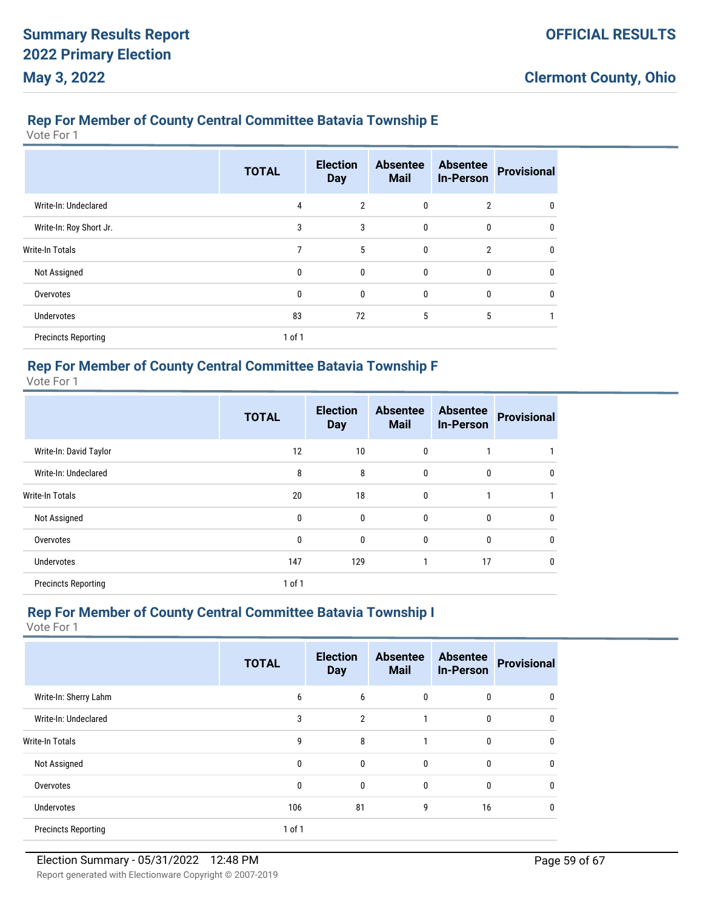# **Rep For Member of County Central Committee Batavia Township E**

Vote For 1

|                            | <b>TOTAL</b> | <b>Election</b><br><b>Day</b> | <b>Absentee</b><br><b>Mail</b> | <b>Absentee</b><br><b>In-Person</b> | <b>Provisional</b> |
|----------------------------|--------------|-------------------------------|--------------------------------|-------------------------------------|--------------------|
| Write-In: Undeclared       | 4            | $\overline{2}$                | 0                              | $\overline{2}$                      | $\mathbf{0}$       |
| Write-In: Roy Short Jr.    | 3            | 3                             | $\mathbf{0}$                   | $\mathbf{0}$                        | $\mathbf{0}$       |
| <b>Write-In Totals</b>     | 7            | 5                             | $\mathbf{0}$                   | $\overline{2}$                      | $\mathbf{0}$       |
| Not Assigned               | 0            | $\mathbf{0}$                  | $\mathbf{0}$                   | 0                                   | $\mathbf{0}$       |
| Overvotes                  | 0            | 0                             | $\mathbf{0}$                   | $\mathbf{0}$                        | 0                  |
| Undervotes                 | 83           | 72                            | 5                              | 5                                   |                    |
| <b>Precincts Reporting</b> | 1 of 1       |                               |                                |                                     |                    |

### **Rep For Member of County Central Committee Batavia Township F**

Vote For 1

|                            | <b>TOTAL</b> | <b>Election</b><br><b>Day</b> | <b>Absentee</b><br><b>Mail</b> | <b>Absentee</b><br><b>In-Person</b> | <b>Provisional</b> |
|----------------------------|--------------|-------------------------------|--------------------------------|-------------------------------------|--------------------|
| Write-In: David Taylor     | 12           | 10                            | 0                              |                                     |                    |
| Write-In: Undeclared       | 8            | 8                             | 0                              | $\mathbf 0$                         | $\mathbf 0$        |
| <b>Write-In Totals</b>     | 20           | 18                            | $\bf{0}$                       | 1                                   |                    |
| Not Assigned               | 0            | $\mathbf{0}$                  | 0                              | $\mathbf{0}$                        | $\mathbf{0}$       |
| Overvotes                  | 0            | 0                             | 0                              | $\mathbf{0}$                        | $\mathbf{0}$       |
| <b>Undervotes</b>          | 147          | 129                           |                                | 17                                  | $\mathbf{0}$       |
| <b>Precincts Reporting</b> | 1 of 1       |                               |                                |                                     |                    |

# **Rep For Member of County Central Committee Batavia Township I**

|                            | <b>TOTAL</b> | <b>Election</b><br><b>Day</b> | <b>Absentee</b><br><b>Mail</b> | <b>Absentee</b><br><b>In-Person</b> | <b>Provisional</b> |
|----------------------------|--------------|-------------------------------|--------------------------------|-------------------------------------|--------------------|
| Write-In: Sherry Lahm      | 6            | 6                             | $\bf{0}$                       | 0                                   | 0                  |
| Write-In: Undeclared       | 3            | $\overline{2}$                | 1                              | 0                                   | 0                  |
| <b>Write-In Totals</b>     | 9            | 8                             |                                | 0                                   | 0                  |
| Not Assigned               | 0            | $\mathbf{0}$                  | $\mathbf{0}$                   | 0                                   | 0                  |
| Overvotes                  | 0            | $\mathbf{0}$                  | 0                              | 0                                   | 0                  |
| <b>Undervotes</b>          | 106          | 81                            | 9                              | 16                                  | 0                  |
| <b>Precincts Reporting</b> | 1 of 1       |                               |                                |                                     |                    |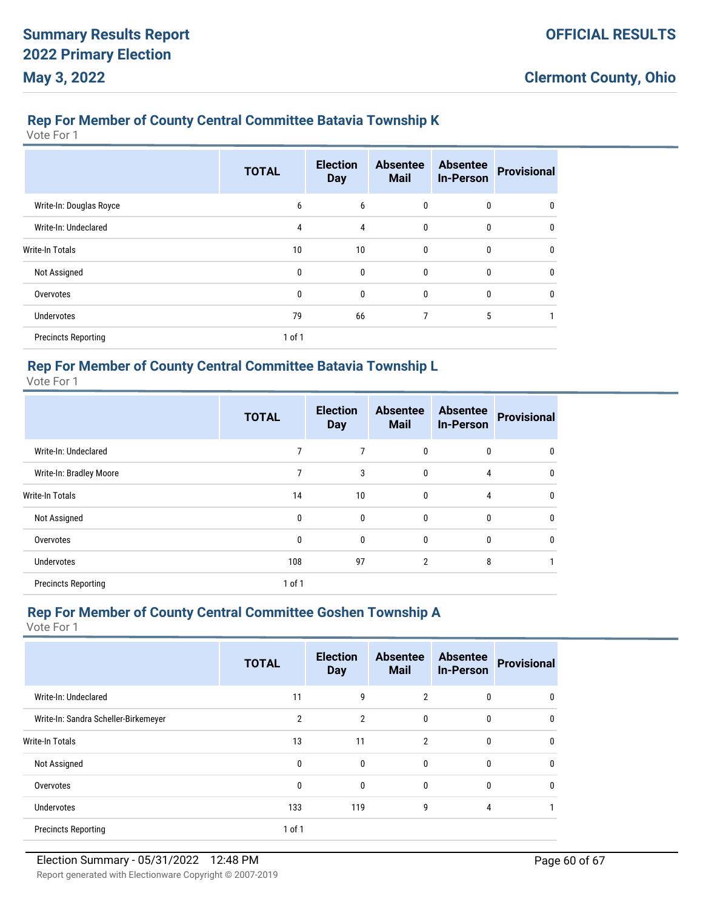# **Rep For Member of County Central Committee Batavia Township K**

Vote For 1

|                            | <b>TOTAL</b> | <b>Election</b><br><b>Day</b> | <b>Absentee</b><br><b>Mail</b> | <b>Absentee</b><br><b>In-Person</b> | <b>Provisional</b> |
|----------------------------|--------------|-------------------------------|--------------------------------|-------------------------------------|--------------------|
| Write-In: Douglas Royce    | 6            | 6                             | $\mathbf{0}$                   | 0                                   | 0                  |
| Write-In: Undeclared       | 4            | 4                             | $\mathbf{0}$                   | $\mathbf{0}$                        | $\Omega$           |
| <b>Write-In Totals</b>     | 10           | 10                            | $\mathbf{0}$                   | 0                                   | 0                  |
| Not Assigned               | 0            | $\mathbf{0}$                  | $\mathbf{0}$                   | $\mathbf{0}$                        | $\Omega$           |
| Overvotes                  | 0            | 0                             | $\mathbf{0}$                   | 0                                   | $\Omega$           |
| <b>Undervotes</b>          | 79           | 66                            | 7                              | 5                                   |                    |
| <b>Precincts Reporting</b> | $1$ of $1$   |                               |                                |                                     |                    |

### **Rep For Member of County Central Committee Batavia Township L**

Vote For 1

|                            | <b>TOTAL</b> | <b>Election</b><br><b>Day</b> | <b>Absentee</b><br><b>Mail</b> | <b>Absentee</b><br><b>In-Person</b> | <b>Provisional</b> |
|----------------------------|--------------|-------------------------------|--------------------------------|-------------------------------------|--------------------|
| Write-In: Undeclared       | 7            | 7                             | 0                              | 0                                   | 0                  |
| Write-In: Bradley Moore    | 7            | 3                             | 0                              | $\overline{4}$                      | $\mathbf 0$        |
| <b>Write-In Totals</b>     | 14           | 10                            | 0                              | 4                                   | $\mathbf{0}$       |
| Not Assigned               | 0            | 0                             | 0                              | $\mathbf{0}$                        | $\mathbf{0}$       |
| Overvotes                  | 0            | $\mathbf{0}$                  | 0                              | $\mathbf{0}$                        | $\mathbf{0}$       |
| <b>Undervotes</b>          | 108          | 97                            | $\overline{2}$                 | 8                                   |                    |
| <b>Precincts Reporting</b> | 1 of 1       |                               |                                |                                     |                    |

# **Rep For Member of County Central Committee Goshen Township A**

|                                      | <b>TOTAL</b>   | <b>Election</b><br><b>Day</b> | <b>Absentee</b><br><b>Mail</b> | <b>Absentee</b><br><b>In-Person</b> | <b>Provisional</b> |
|--------------------------------------|----------------|-------------------------------|--------------------------------|-------------------------------------|--------------------|
| Write-In: Undeclared                 | 11             | 9                             | $\overline{2}$                 | 0                                   | 0                  |
| Write-In: Sandra Scheller-Birkemeyer | $\overline{2}$ | $\overline{2}$                | 0                              | $\mathbf 0$                         | 0                  |
| Write-In Totals                      | 13             | 11                            | $\overline{2}$                 | $\mathbf 0$                         | 0                  |
| Not Assigned                         | 0              | 0                             | $\mathbf{0}$                   | 0                                   | 0                  |
| Overvotes                            | 0              | 0                             | $\mathbf{0}$                   | 0                                   | 0                  |
| Undervotes                           | 133            | 119                           | 9                              | 4                                   |                    |
| <b>Precincts Reporting</b>           | $1$ of $1$     |                               |                                |                                     |                    |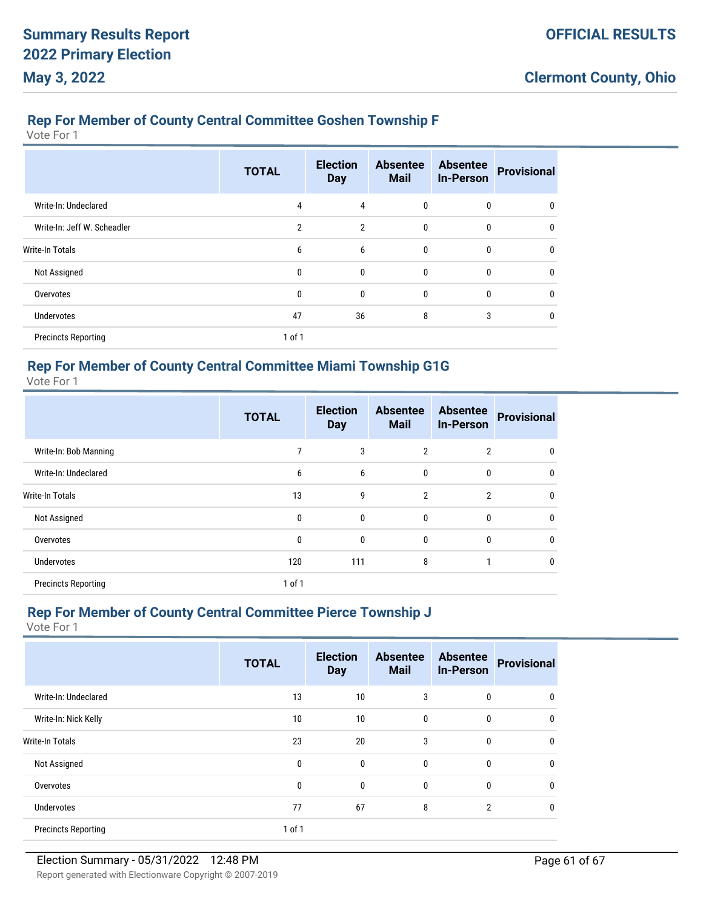# **Rep For Member of County Central Committee Goshen Township F**

Vote For 1

|                             | <b>TOTAL</b>   | <b>Election</b><br><b>Day</b> | <b>Absentee</b><br><b>Mail</b> | <b>Absentee</b><br><b>In-Person</b> | <b>Provisional</b> |
|-----------------------------|----------------|-------------------------------|--------------------------------|-------------------------------------|--------------------|
| Write-In: Undeclared        | 4              | 4                             | 0                              | 0                                   | 0                  |
| Write-In: Jeff W. Scheadler | $\overline{2}$ | $\overline{2}$                | 0                              | 0                                   | $\mathbf{0}$       |
| <b>Write-In Totals</b>      | 6              | 6                             | 0                              | 0                                   | $\mathbf{0}$       |
| Not Assigned                | 0              | $\mathbf{0}$                  | $\mathbf{0}$                   | $\mathbf{0}$                        | $\mathbf{0}$       |
| Overvotes                   | 0              | 0                             | 0                              | 0                                   | 0                  |
| <b>Undervotes</b>           | 47             | 36                            | 8                              | 3                                   | 0                  |
| <b>Precincts Reporting</b>  | 1 of 1         |                               |                                |                                     |                    |

### **Rep For Member of County Central Committee Miami Township G1G**

Vote For 1

|                            | <b>TOTAL</b> | <b>Election</b><br><b>Day</b> | <b>Absentee</b><br><b>Mail</b> | <b>Absentee</b><br><b>In-Person</b> | <b>Provisional</b> |
|----------------------------|--------------|-------------------------------|--------------------------------|-------------------------------------|--------------------|
| Write-In: Bob Manning      | 7            | 3                             | $\overline{2}$                 | $\overline{2}$                      | 0                  |
| Write-In: Undeclared       | 6            | 6                             | 0                              | $\mathbf{0}$                        | $\mathbf 0$        |
| <b>Write-In Totals</b>     | 13           | 9                             | $\overline{2}$                 | $\overline{2}$                      | $\mathbf{0}$       |
| Not Assigned               | 0            | $\mathbf{0}$                  | 0                              | $\mathbf{0}$                        | $\mathbf{0}$       |
| Overvotes                  | 0            | $\mathbf{0}$                  | 0                              | $\mathbf{0}$                        | $\mathbf{0}$       |
| <b>Undervotes</b>          | 120          | 111                           | 8                              |                                     | $\mathbf{0}$       |
| <b>Precincts Reporting</b> | 1 of 1       |                               |                                |                                     |                    |

# **Rep For Member of County Central Committee Pierce Township J**

|                            | <b>TOTAL</b> | <b>Election</b><br><b>Day</b> | <b>Absentee</b><br><b>Mail</b> | <b>Absentee</b><br><b>In-Person</b> | <b>Provisional</b> |
|----------------------------|--------------|-------------------------------|--------------------------------|-------------------------------------|--------------------|
| Write-In: Undeclared       | 13           | 10                            | 3                              | $\mathbf{0}$                        | 0                  |
| Write-In: Nick Kelly       | 10           | 10                            | 0                              | $\mathbf 0$                         | $\theta$           |
| <b>Write-In Totals</b>     | 23           | 20                            | 3                              | 0                                   | $\theta$           |
| Not Assigned               | 0            | $\mathbf{0}$                  | $\mathbf{0}$                   | 0                                   | 0                  |
| Overvotes                  | 0            | $\mathbf{0}$                  | $\mathbf{0}$                   | $\mathbf 0$                         | $\theta$           |
| <b>Undervotes</b>          | 77           | 67                            | 8                              | $\overline{2}$                      | 0                  |
| <b>Precincts Reporting</b> | 1 of 1       |                               |                                |                                     |                    |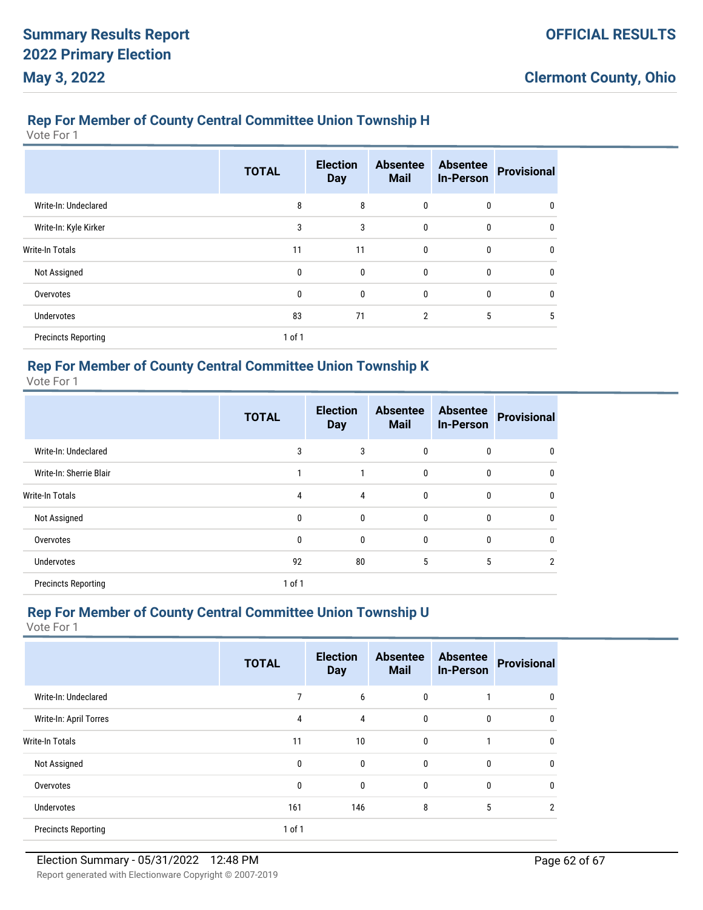# **Rep For Member of County Central Committee Union Township H**

Vote For 1

|                            | <b>TOTAL</b> | <b>Election</b><br><b>Day</b> | <b>Absentee</b><br><b>Mail</b> | <b>Absentee</b><br><b>In-Person</b> | <b>Provisional</b> |
|----------------------------|--------------|-------------------------------|--------------------------------|-------------------------------------|--------------------|
| Write-In: Undeclared       | 8            | 8                             | 0                              | 0                                   | 0                  |
| Write-In: Kyle Kirker      | 3            | 3                             | 0                              | 0                                   | $\Omega$           |
| <b>Write-In Totals</b>     | 11           | 11                            | 0                              | 0                                   | $\Omega$           |
| Not Assigned               | 0            | 0                             | $\mathbf{0}$                   | 0                                   | $\Omega$           |
| Overvotes                  | 0            | 0                             | $\mathbf{0}$                   | 0                                   | 0                  |
| <b>Undervotes</b>          | 83           | 71                            | 2                              | 5                                   | 5                  |
| <b>Precincts Reporting</b> | 1 of 1       |                               |                                |                                     |                    |

#### **Rep For Member of County Central Committee Union Township K**

Vote For 1

|                            | <b>TOTAL</b> | <b>Election</b><br><b>Day</b> | <b>Absentee</b><br><b>Mail</b> | <b>Absentee</b><br><b>In-Person</b> | <b>Provisional</b> |
|----------------------------|--------------|-------------------------------|--------------------------------|-------------------------------------|--------------------|
| Write-In: Undeclared       | 3            | 3                             | 0                              | 0                                   | 0                  |
| Write-In: Sherrie Blair    |              |                               | 0                              | $\mathbf{0}$                        | $\mathbf 0$        |
| <b>Write-In Totals</b>     | 4            | 4                             | 0                              | $\mathbf{0}$                        | $\mathbf{0}$       |
| Not Assigned               | 0            | $\mathbf{0}$                  | 0                              | $\mathbf{0}$                        | $\mathbf{0}$       |
| Overvotes                  | 0            | $\mathbf{0}$                  | 0                              | $\mathbf{0}$                        | $\mathbf{0}$       |
| <b>Undervotes</b>          | 92           | 80                            | 5                              | 5                                   | 2                  |
| <b>Precincts Reporting</b> | 1 of 1       |                               |                                |                                     |                    |

# **Rep For Member of County Central Committee Union Township U**

|                            | <b>TOTAL</b> | <b>Election</b><br><b>Day</b> | <b>Absentee</b><br><b>Mail</b> | <b>Absentee</b><br><b>In-Person</b> | <b>Provisional</b> |
|----------------------------|--------------|-------------------------------|--------------------------------|-------------------------------------|--------------------|
| Write-In: Undeclared       |              | 6                             | $\mathbf{0}$                   |                                     | 0                  |
| Write-In: April Torres     | 4            | $\overline{4}$                | 0                              | $\mathbf 0$                         | 0                  |
| <b>Write-In Totals</b>     | 11           | 10                            | $\bf{0}$                       |                                     | 0                  |
| Not Assigned               | 0            | $\mathbf{0}$                  | $\mathbf{0}$                   | 0                                   | 0                  |
| Overvotes                  | 0            | $\mathbf{0}$                  | $\mathbf{0}$                   | 0                                   | 0                  |
| <b>Undervotes</b>          | 161          | 146                           | 8                              | 5                                   | 2                  |
| <b>Precincts Reporting</b> | 1 of 1       |                               |                                |                                     |                    |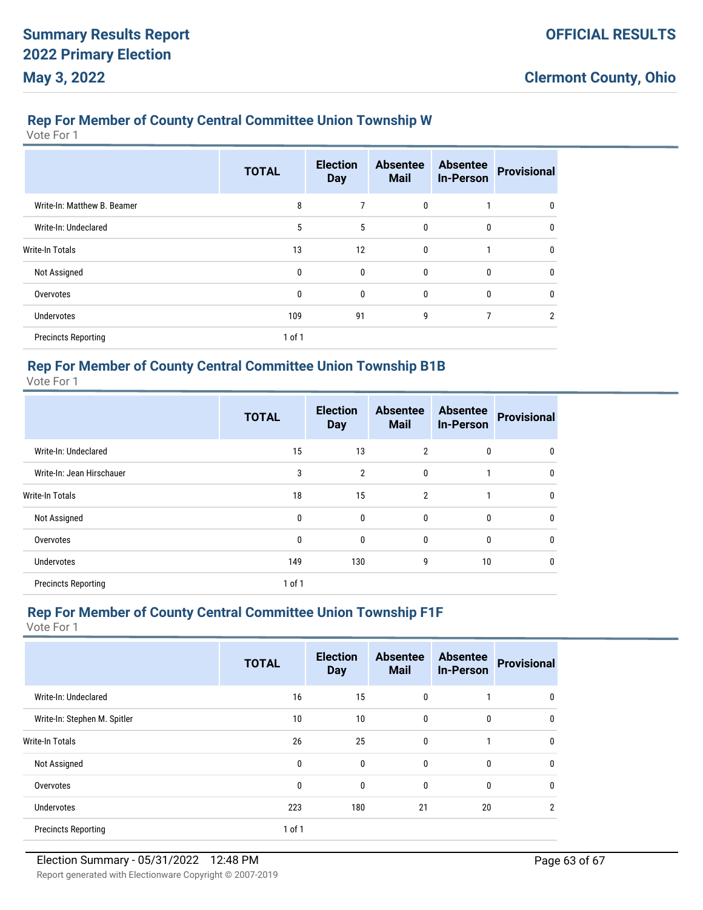#### **Rep For Member of County Central Committee Union Township W**

Vote For 1

|                             | <b>TOTAL</b> | <b>Election</b><br><b>Day</b> | <b>Absentee</b><br><b>Mail</b> | <b>Absentee</b><br><b>In-Person</b> | <b>Provisional</b> |
|-----------------------------|--------------|-------------------------------|--------------------------------|-------------------------------------|--------------------|
| Write-In: Matthew B. Beamer | 8            | 7                             | 0                              |                                     | 0                  |
| Write-In: Undeclared        | 5            | 5                             | $\bf{0}$                       | 0                                   | $\mathbf{0}$       |
| <b>Write-In Totals</b>      | 13           | 12                            | $\mathbf{0}$                   |                                     | $\mathbf{0}$       |
| Not Assigned                | 0            | $\mathbf{0}$                  | $\mathbf{0}$                   | 0                                   | $\mathbf{0}$       |
| Overvotes                   | $\mathbf{0}$ | $\mathbf{0}$                  | $\mathbf{0}$                   | $\mathbf{0}$                        | $\mathbf{0}$       |
| Undervotes                  | 109          | 91                            | 9                              | 7                                   | $\overline{2}$     |
| <b>Precincts Reporting</b>  | 1 of 1       |                               |                                |                                     |                    |

### **Rep For Member of County Central Committee Union Township B1B**

Vote For 1

|                            | <b>TOTAL</b> | <b>Election</b><br><b>Day</b> | <b>Absentee</b><br><b>Mail</b> | <b>Absentee</b><br><b>In-Person</b> | <b>Provisional</b> |
|----------------------------|--------------|-------------------------------|--------------------------------|-------------------------------------|--------------------|
| Write-In: Undeclared       | 15           | 13                            | 2                              | 0                                   | $\mathbf 0$        |
| Write-In: Jean Hirschauer  | 3            | $\overline{2}$                | 0                              |                                     | $\mathbf 0$        |
| <b>Write-In Totals</b>     | 18           | 15                            | $\overline{2}$                 | 1                                   | $\mathbf{0}$       |
| Not Assigned               | 0            | $\mathbf{0}$                  | 0                              | $\mathbf{0}$                        | $\mathbf{0}$       |
| Overvotes                  | 0            | 0                             | 0                              | $\mathbf{0}$                        | $\mathbf{0}$       |
| <b>Undervotes</b>          | 149          | 130                           | 9                              | 10                                  | $\mathbf{0}$       |
| <b>Precincts Reporting</b> | 1 of 1       |                               |                                |                                     |                    |

# **Rep For Member of County Central Committee Union Township F1F**

|                              | <b>TOTAL</b> | <b>Election</b><br><b>Day</b> | <b>Absentee</b><br><b>Mail</b> | <b>Absentee</b><br><b>In-Person</b> | <b>Provisional</b> |
|------------------------------|--------------|-------------------------------|--------------------------------|-------------------------------------|--------------------|
| Write-In: Undeclared         | 16           | 15                            | 0                              |                                     | 0                  |
| Write-In: Stephen M. Spitler | 10           | 10                            | 0                              | $\mathbf 0$                         | 0                  |
| <b>Write-In Totals</b>       | 26           | 25                            | 0                              | 1                                   | 0                  |
| Not Assigned                 | 0            | $\mathbf{0}$                  | $\mathbf{0}$                   | 0                                   | 0                  |
| Overvotes                    | 0            | $\mathbf{0}$                  | 0                              | 0                                   | 0                  |
| <b>Undervotes</b>            | 223          | 180                           | 21                             | 20                                  | 2                  |
| <b>Precincts Reporting</b>   | 1 of 1       |                               |                                |                                     |                    |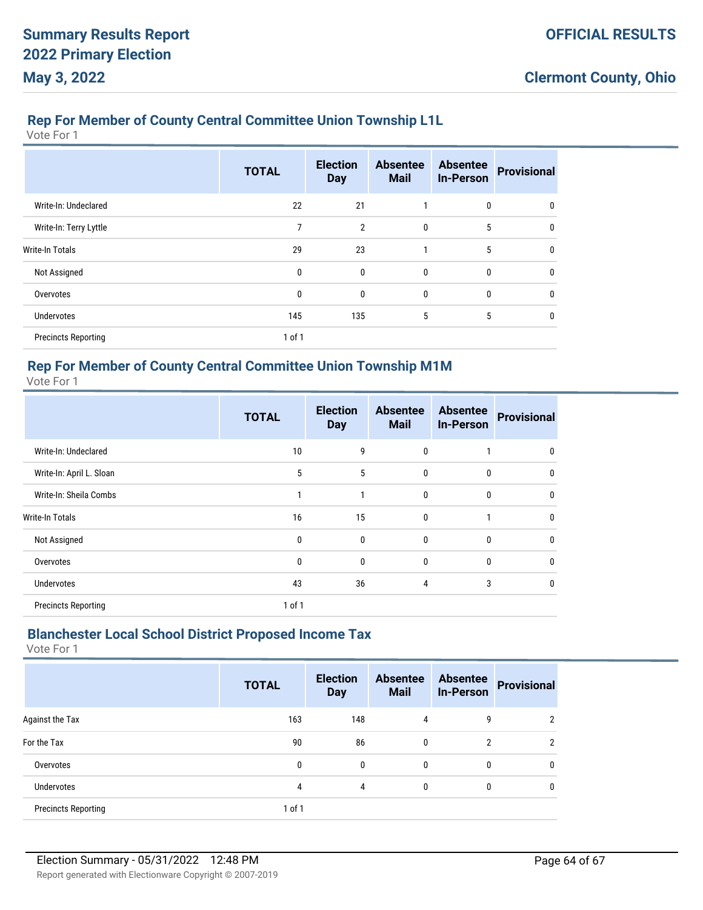# **Rep For Member of County Central Committee Union Township L1L**

Vote For 1

|                            | <b>TOTAL</b> | <b>Election</b><br><b>Day</b> | <b>Absentee</b><br><b>Mail</b> | <b>Absentee</b><br><b>In-Person</b> | <b>Provisional</b> |
|----------------------------|--------------|-------------------------------|--------------------------------|-------------------------------------|--------------------|
| Write-In: Undeclared       | 22           | 21                            |                                | 0                                   | 0                  |
| Write-In: Terry Lyttle     | 7            | $\overline{2}$                | $\mathbf{0}$                   | 5                                   | $\mathbf{0}$       |
| <b>Write-In Totals</b>     | 29           | 23                            |                                | 5                                   | $\mathbf{0}$       |
| Not Assigned               | 0            | 0                             | $\mathbf{0}$                   | $\mathbf{0}$                        | $\mathbf{0}$       |
| Overvotes                  | 0            | 0                             | $\mathbf{0}$                   | 0                                   | $\mathbf{0}$       |
| <b>Undervotes</b>          | 145          | 135                           | 5                              | 5                                   | 0                  |
| <b>Precincts Reporting</b> | 1 of 1       |                               |                                |                                     |                    |

### **Rep For Member of County Central Committee Union Township M1M**

Vote For 1

|                            | <b>TOTAL</b> | <b>Election</b><br><b>Day</b> | <b>Absentee</b><br><b>Mail</b> | <b>Absentee</b><br><b>In-Person</b> | <b>Provisional</b> |
|----------------------------|--------------|-------------------------------|--------------------------------|-------------------------------------|--------------------|
| Write-In: Undeclared       | 10           | 9                             | 0                              |                                     | 0                  |
| Write-In: April L. Sloan   | 5            | 5                             | 0                              | $\mathbf{0}$                        | $\mathbf 0$        |
| Write-In: Sheila Combs     | $\mathbf{1}$ | 1                             | 0                              | $\mathbf{0}$                        | $\mathbf{0}$       |
| <b>Write-In Totals</b>     | 16           | 15                            | 0                              |                                     | $\mathbf 0$        |
| Not Assigned               | 0            | $\mathbf{0}$                  | 0                              | $\mathbf{0}$                        | $\mathbf 0$        |
| Overvotes                  | 0            | $\mathbf{0}$                  | 0                              | $\mathbf{0}$                        | $\mathbf{0}$       |
| <b>Undervotes</b>          | 43           | 36                            | 4                              | 3                                   | $\mathbf 0$        |
| <b>Precincts Reporting</b> | 1 of 1       |                               |                                |                                     |                    |

# **Blanchester Local School District Proposed Income Tax**

|                            | <b>TOTAL</b> | <b>Election</b><br><b>Day</b> | <b>Absentee</b><br><b>Mail</b> | <b>Absentee</b><br><b>In-Person</b> | <b>Provisional</b> |
|----------------------------|--------------|-------------------------------|--------------------------------|-------------------------------------|--------------------|
| Against the Tax            | 163          | 148                           | 4                              | 9                                   | 2                  |
| For the Tax                | 90           | 86                            | 0                              | 2                                   | 2                  |
| Overvotes                  | 0            | $\mathbf{0}$                  | 0                              | 0                                   | $\mathbf{0}$       |
| Undervotes                 | 4            | 4                             | 0                              | 0                                   | $\mathbf 0$        |
| <b>Precincts Reporting</b> | 1 of 1       |                               |                                |                                     |                    |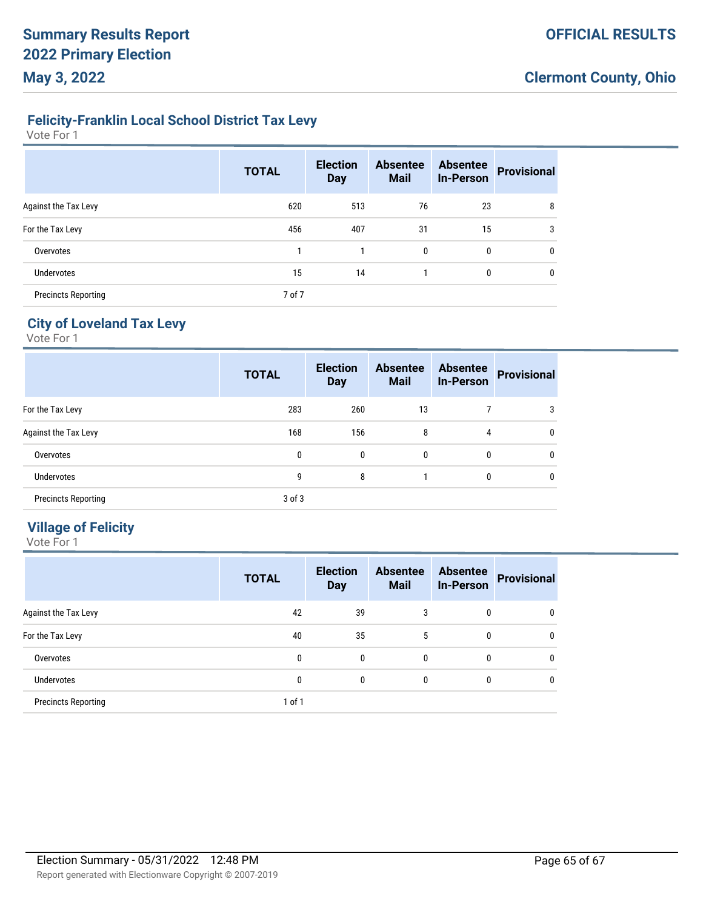# **Felicity-Franklin Local School District Tax Levy**

Vote For 1

|                            | <b>TOTAL</b> | <b>Election</b><br><b>Day</b> | <b>Absentee</b><br><b>Mail</b> | <b>Absentee</b><br><b>In-Person</b> | <b>Provisional</b> |
|----------------------------|--------------|-------------------------------|--------------------------------|-------------------------------------|--------------------|
| Against the Tax Levy       | 620          | 513                           | 76                             | 23                                  | 8                  |
| For the Tax Levy           | 456          | 407                           | 31                             | 15                                  | 3                  |
| Overvotes                  |              |                               | 0                              | 0                                   | 0                  |
| <b>Undervotes</b>          | 15           | 14                            |                                | 0                                   | 0                  |
| <b>Precincts Reporting</b> | 7 of 7       |                               |                                |                                     |                    |

# **City of Loveland Tax Levy**

Vote For 1

|                            | <b>TOTAL</b> | <b>Election</b><br><b>Day</b> | <b>Absentee</b><br><b>Mail</b> | <b>Absentee</b><br><b>In-Person</b> | <b>Provisional</b> |
|----------------------------|--------------|-------------------------------|--------------------------------|-------------------------------------|--------------------|
| For the Tax Levy           | 283          | 260                           | 13                             |                                     | 3                  |
| Against the Tax Levy       | 168          | 156                           | 8                              | 4                                   | $\mathbf{0}$       |
| Overvotes                  | 0            | 0                             | $\mathbf{0}$                   | $\mathbf{0}$                        | $\mathbf{0}$       |
| <b>Undervotes</b>          | 9            | 8                             |                                | $\mathbf{0}$                        | $\mathbf{0}$       |
| <b>Precincts Reporting</b> | $3$ of $3$   |                               |                                |                                     |                    |

# **Village of Felicity**

|                            | <b>TOTAL</b> | <b>Election</b><br><b>Day</b> | <b>Absentee</b><br><b>Mail</b> | <b>Absentee</b><br><b>In-Person</b> | <b>Provisional</b> |
|----------------------------|--------------|-------------------------------|--------------------------------|-------------------------------------|--------------------|
| Against the Tax Levy       | 42           | 39                            | 3                              | 0                                   | 0                  |
| For the Tax Levy           | 40           | 35                            | 5                              | 0                                   | $\mathbf{0}$       |
| Overvotes                  | 0            | 0                             | 0                              | 0                                   | $\mathbf{0}$       |
| <b>Undervotes</b>          | 0            | 0                             | 0                              | 0                                   | $\mathbf{0}$       |
| <b>Precincts Reporting</b> | $1$ of $1$   |                               |                                |                                     |                    |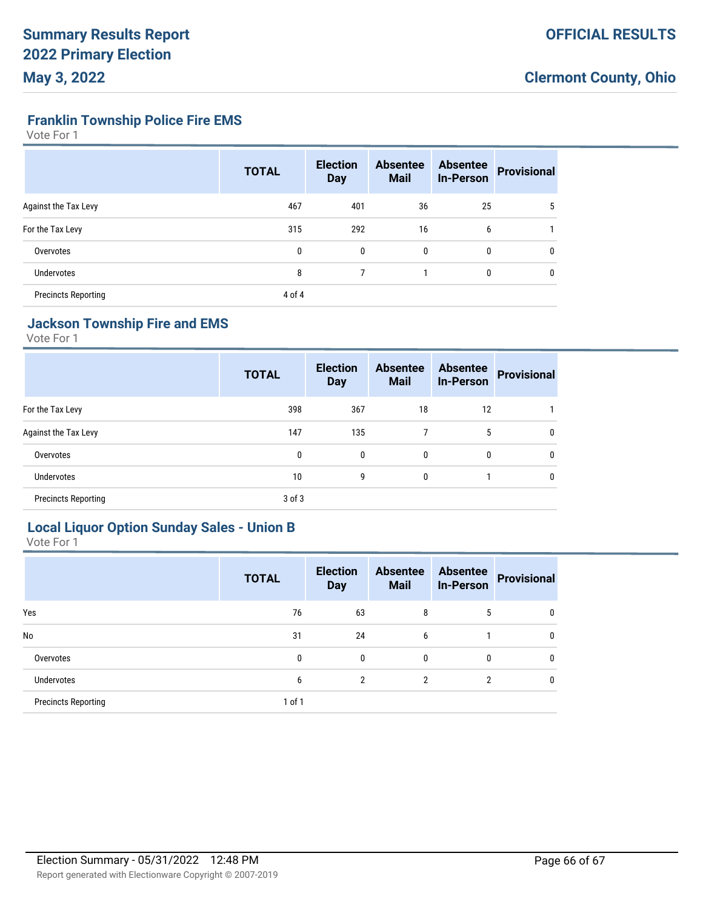### **Franklin Township Police Fire EMS**

Vote For 1

|                            | <b>TOTAL</b> | <b>Election</b><br><b>Day</b> | <b>Absentee</b><br><b>Mail</b> | <b>Absentee</b><br><b>In-Person</b> | <b>Provisional</b> |
|----------------------------|--------------|-------------------------------|--------------------------------|-------------------------------------|--------------------|
| Against the Tax Levy       | 467          | 401                           | 36                             | 25                                  | 5                  |
| For the Tax Levy           | 315          | 292                           | 16                             | 6                                   |                    |
| Overvotes                  | 0            | $\mathbf{0}$                  | $\mathbf{0}$                   | 0                                   | $\mathbf{0}$       |
| <b>Undervotes</b>          | 8            |                               |                                | 0                                   | $\mathbf{0}$       |
| <b>Precincts Reporting</b> | 4 of 4       |                               |                                |                                     |                    |

# **Jackson Township Fire and EMS**

Vote For 1

|                            | <b>TOTAL</b> | <b>Election</b><br><b>Day</b> | <b>Absentee</b><br><b>Mail</b> | <b>Absentee</b><br><b>In-Person</b> | <b>Provisional</b> |
|----------------------------|--------------|-------------------------------|--------------------------------|-------------------------------------|--------------------|
| For the Tax Levy           | 398          | 367                           | 18                             | 12                                  |                    |
| Against the Tax Levy       | 147          | 135                           | 7                              | 5                                   | 0                  |
| Overvotes                  | 0            | 0                             | 0                              | $\mathbf{0}$                        | 0                  |
| <b>Undervotes</b>          | 10           | 9                             | 0                              |                                     | $\mathbf{0}$       |
| <b>Precincts Reporting</b> | $3$ of $3$   |                               |                                |                                     |                    |

# **Local Liquor Option Sunday Sales - Union B**

|                            | <b>TOTAL</b> | <b>Election</b><br><b>Day</b> | <b>Absentee</b><br><b>Mail</b> | <b>Absentee</b><br><b>In-Person</b> | <b>Provisional</b> |
|----------------------------|--------------|-------------------------------|--------------------------------|-------------------------------------|--------------------|
| Yes                        | 76           | 63                            | 8                              | 5                                   | 0                  |
| No                         | 31           | 24                            | 6                              |                                     | 0                  |
| Overvotes                  | 0            | 0                             | 0                              | 0                                   | 0                  |
| <b>Undervotes</b>          | 6            | $\overline{2}$                | $\overline{2}$                 | $\overline{2}$                      | 0                  |
| <b>Precincts Reporting</b> | 1 of 1       |                               |                                |                                     |                    |